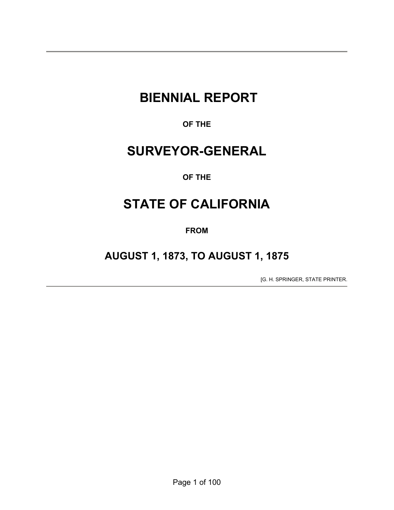# **BIENNIAL REPORT**

**OF THE** 

# **SURVEYOR-GENERAL**

# **OF THE**

# **STATE OF CALIFORNIA**

**FROM** 

# **AUGUST 1, 1873, TO AUGUST 1, 1875**

[G. H. SPRINGER, STATE PRINTER.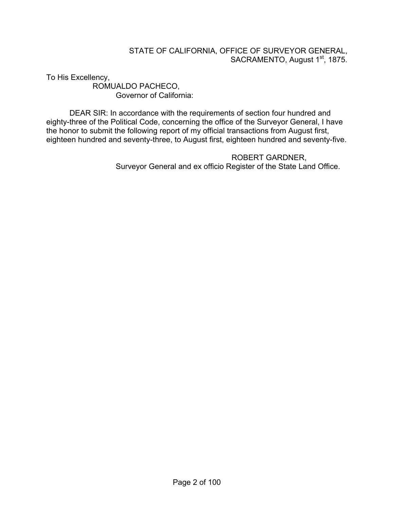### STATE OF CALIFORNIA, OFFICE OF SURVEYOR GENERAL, SACRAMENTO, August 1<sup>st</sup>, 1875.

To His Excellency, ROMUALDO PACHECO, Governor of California:

 DEAR SIR: In accordance with the requirements of section four hundred and eighty-three of the Political Code, concerning the office of the Surveyor General, I have the honor to submit the following report of my official transactions from August first, eighteen hundred and seventy-three, to August first, eighteen hundred and seventy-five.

> ROBERT GARDNER, Surveyor General and ex officio Register of the State Land Office.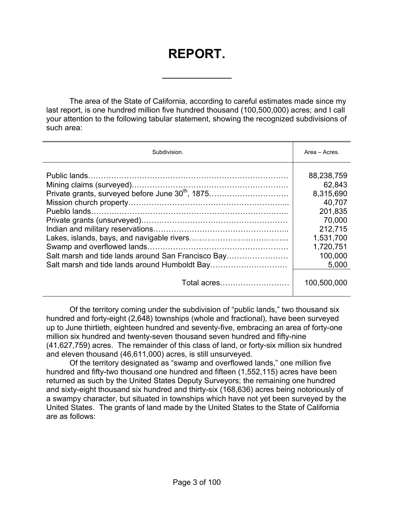# **REPORT.**

 $\overline{a}$ 

The area of the State of California, according to careful estimates made since my last report, is one hundred million five hundred thousand (100,500,000) acres; and I call your attention to the following tabular statement, showing the recognized subdivisions of such area:

| Subdivision.                                                 | Area - Acres. |
|--------------------------------------------------------------|---------------|
|                                                              | 88,238,759    |
|                                                              | 62,843        |
| Private grants, surveyed before June 30 <sup>th</sup> , 1875 | 8,315,690     |
|                                                              | 40,707        |
|                                                              | 201,835       |
|                                                              | 70,000        |
|                                                              | 212,715       |
|                                                              | 1,531,700     |
|                                                              | 1,720,751     |
| Salt marsh and tide lands around San Francisco Bay           | 100,000       |
| Salt marsh and tide lands around Humboldt Bay                | 5,000         |
| Total acres                                                  | 100,500,000   |

 Of the territory coming under the subdivision of "public lands," two thousand six hundred and forty-eight (2,648) townships (whole and fractional), have been surveyed up to June thirtieth, eighteen hundred and seventy-five, embracing an area of forty-one million six hundred and twenty-seven thousand seven hundred and fifty-nine (41,627,759) acres. The remainder of this class of land, or forty-six million six hundred and eleven thousand (46,611,000) acres, is still unsurveyed.

 Of the territory designated as "swamp and overflowed lands," one million five hundred and fifty-two thousand one hundred and fifteen (1,552,115) acres have been returned as such by the United States Deputy Surveyors; the remaining one hundred and sixty-eight thousand six hundred and thirty-six (168,636) acres being notoriously of a swampy character, but situated in townships which have not yet been surveyed by the United States. The grants of land made by the United States to the State of California are as follows: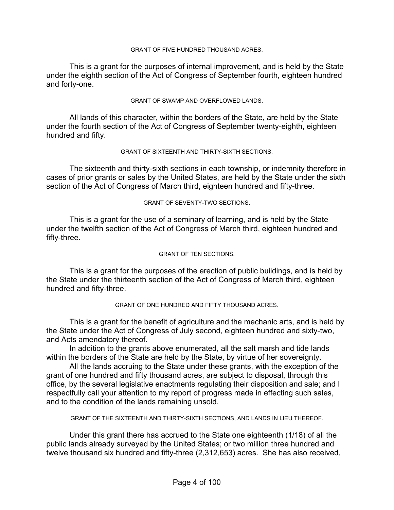#### GRANT OF FIVE HUNDRED THOUSAND ACRES.

 This is a grant for the purposes of internal improvement, and is held by the State under the eighth section of the Act of Congress of September fourth, eighteen hundred and forty-one.

#### GRANT OF SWAMP AND OVERFLOWED LANDS.

 All lands of this character, within the borders of the State, are held by the State under the fourth section of the Act of Congress of September twenty-eighth, eighteen hundred and fifty.

#### GRANT OF SIXTEENTH AND THIRTY-SIXTH SECTIONS.

 The sixteenth and thirty-sixth sections in each township, or indemnity therefore in cases of prior grants or sales by the United States, are held by the State under the sixth section of the Act of Congress of March third, eighteen hundred and fifty-three.

#### GRANT OF SEVENTY-TWO SECTIONS.

 This is a grant for the use of a seminary of learning, and is held by the State under the twelfth section of the Act of Congress of March third, eighteen hundred and fifty-three.

#### GRANT OF TEN SECTIONS.

 This is a grant for the purposes of the erection of public buildings, and is held by the State under the thirteenth section of the Act of Congress of March third, eighteen hundred and fifty-three.

#### GRANT OF ONE HUNDRED AND FIFTY THOUSAND ACRES.

 This is a grant for the benefit of agriculture and the mechanic arts, and is held by the State under the Act of Congress of July second, eighteen hundred and sixty-two, and Acts amendatory thereof.

 In addition to the grants above enumerated, all the salt marsh and tide lands within the borders of the State are held by the State, by virtue of her sovereignty.

 All the lands accruing to the State under these grants, with the exception of the grant of one hundred and fifty thousand acres, are subject to disposal, through this office, by the several legislative enactments regulating their disposition and sale; and I respectfully call your attention to my report of progress made in effecting such sales, and to the condition of the lands remaining unsold.

GRANT OF THE SIXTEENTH AND THIRTY-SIXTH SECTIONS, AND LANDS IN LIEU THEREOF.

 Under this grant there has accrued to the State one eighteenth (1/18) of all the public lands already surveyed by the United States; or two million three hundred and twelve thousand six hundred and fifty-three (2,312,653) acres. She has also received,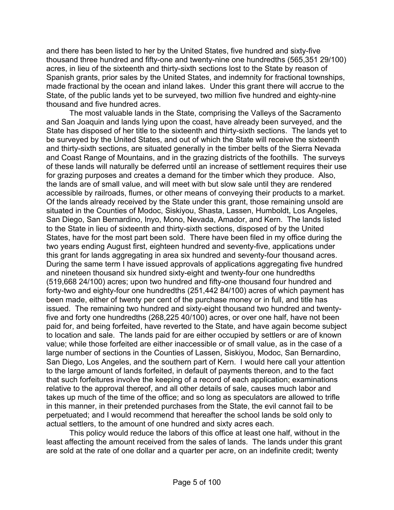and there has been listed to her by the United States, five hundred and sixty-five thousand three hundred and fifty-one and twenty-nine one hundredths (565,351 29/100) acres, in lieu of the sixteenth and thirty-sixth sections lost to the State by reason of Spanish grants, prior sales by the United States, and indemnity for fractional townships, made fractional by the ocean and inland lakes. Under this grant there will accrue to the State, of the public lands yet to be surveyed, two million five hundred and eighty-nine thousand and five hundred acres.

 The most valuable lands in the State, comprising the Valleys of the Sacramento and San Joaquin and lands lying upon the coast, have already been surveyed, and the State has disposed of her title to the sixteenth and thirty-sixth sections. The lands yet to be surveyed by the United States, and out of which the State will receive the sixteenth and thirty-sixth sections, are situated generally in the timber belts of the Sierra Nevada and Coast Range of Mountains, and in the grazing districts of the foothills. The surveys of these lands will naturally be deferred until an increase of settlement requires their use for grazing purposes and creates a demand for the timber which they produce. Also, the lands are of small value, and will meet with but slow sale until they are rendered accessible by railroads, flumes, or other means of conveying their products to a market. Of the lands already received by the State under this grant, those remaining unsold are situated in the Counties of Modoc, Siskiyou, Shasta, Lassen, Humboldt, Los Angeles, San Diego, San Bernardino, Inyo, Mono, Nevada, Amador, and Kern. The lands listed to the State in lieu of sixteenth and thirty-sixth sections, disposed of by the United States, have for the most part been sold. There have been filed in my office during the two years ending August first, eighteen hundred and seventy-five, applications under this grant for lands aggregating in area six hundred and seventy-four thousand acres. During the same term I have issued approvals of applications aggregating five hundred and nineteen thousand six hundred sixty-eight and twenty-four one hundredths (519,668 24/100) acres; upon two hundred and fifty-one thousand four hundred and forty-two and eighty-four one hundredths (251,442 84/100) acres of which payment has been made, either of twenty per cent of the purchase money or in full, and title has issued. The remaining two hundred and sixty-eight thousand two hundred and twentyfive and forty one hundredths (268,225 40/100) acres, or over one half, have not been paid for, and being forfeited, have reverted to the State, and have again become subject to location and sale. The lands paid for are either occupied by settlers or are of known value; while those forfeited are either inaccessible or of small value, as in the case of a large number of sections in the Counties of Lassen, Siskiyou, Modoc, San Bernardino, San Diego, Los Angeles, and the southern part of Kern. I would here call your attention to the large amount of lands forfeited, in default of payments thereon, and to the fact that such forfeitures involve the keeping of a record of each application; examinations relative to the approval thereof, and all other details of sale, causes much labor and takes up much of the time of the office; and so long as speculators are allowed to trifle in this manner, in their pretended purchases from the State, the evil cannot fail to be perpetuated; and I would recommend that hereafter the school lands be sold only to actual settlers, to the amount of one hundred and sixty acres each.

 This policy would reduce the labors of this office at least one half, without in the least affecting the amount received from the sales of lands. The lands under this grant are sold at the rate of one dollar and a quarter per acre, on an indefinite credit; twenty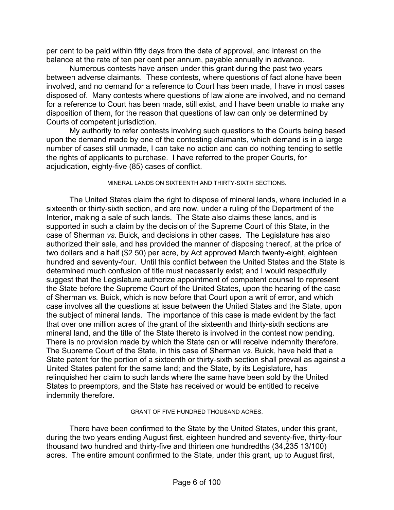per cent to be paid within fifty days from the date of approval, and interest on the balance at the rate of ten per cent per annum, payable annually in advance.

 Numerous contests have arisen under this grant during the past two years between adverse claimants. These contests, where questions of fact alone have been involved, and no demand for a reference to Court has been made, I have in most cases disposed of. Many contests where questions of law alone are involved, and no demand for a reference to Court has been made, still exist, and I have been unable to make any disposition of them, for the reason that questions of law can only be determined by Courts of competent jurisdiction.

 My authority to refer contests involving such questions to the Courts being based upon the demand made by one of the contesting claimants, which demand is in a large number of cases still unmade, I can take no action and can do nothing tending to settle the rights of applicants to purchase. I have referred to the proper Courts, for adjudication, eighty-five (85) cases of conflict.

#### MINERAL LANDS ON SIXTEENTH AND THIRTY-SIXTH SECTIONS.

 The United States claim the right to dispose of mineral lands, where included in a sixteenth or thirty-sixth section, and are now, under a ruling of the Department of the Interior, making a sale of such lands. The State also claims these lands, and is supported in such a claim by the decision of the Supreme Court of this State, in the case of Sherman *vs.* Buick, and decisions in other cases. The Legislature has also authorized their sale, and has provided the manner of disposing thereof, at the price of two dollars and a half (\$2 50) per acre, by Act approved March twenty-eight, eighteen hundred and seventy-four. Until this conflict between the United States and the State is determined much confusion of title must necessarily exist; and I would respectfully suggest that the Legislature authorize appointment of competent counsel to represent the State before the Supreme Court of the United States, upon the hearing of the case of Sherman *vs.* Buick, which is now before that Court upon a writ of error, and which case involves all the questions at issue between the United States and the State, upon the subject of mineral lands. The importance of this case is made evident by the fact that over one million acres of the grant of the sixteenth and thirty-sixth sections are mineral land, and the title of the State thereto is involved in the contest now pending. There is no provision made by which the State can or will receive indemnity therefore. The Supreme Court of the State, in this case of Sherman *vs.* Buick, have held that a State patent for the portion of a sixteenth or thirty-sixth section shall prevail as against a United States patent for the same land; and the State, by its Legislature, has relinquished her claim to such lands where the same have been sold by the United States to preemptors, and the State has received or would be entitled to receive indemnity therefore.

#### GRANT OF FIVE HUNDRED THOUSAND ACRES.

 There have been confirmed to the State by the United States, under this grant, during the two years ending August first, eighteen hundred and seventy-five, thirty-four thousand two hundred and thirty-five and thirteen one hundredths (34,235 13/100) acres. The entire amount confirmed to the State, under this grant, up to August first,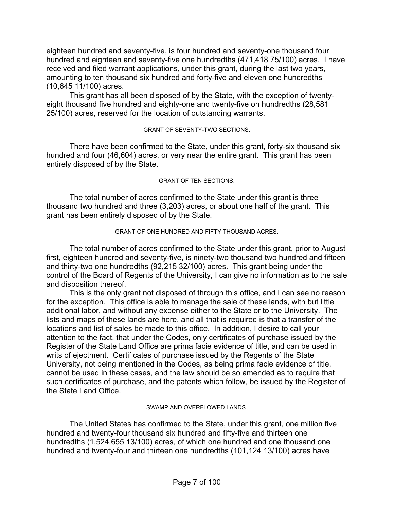eighteen hundred and seventy-five, is four hundred and seventy-one thousand four hundred and eighteen and seventy-five one hundredths (471,418 75/100) acres. I have received and filed warrant applications, under this grant, during the last two years, amounting to ten thousand six hundred and forty-five and eleven one hundredths (10,645 11/100) acres.

 This grant has all been disposed of by the State, with the exception of twentyeight thousand five hundred and eighty-one and twenty-five on hundredths (28,581 25/100) acres, reserved for the location of outstanding warrants.

#### GRANT OF SEVENTY-TWO SECTIONS.

 There have been confirmed to the State, under this grant, forty-six thousand six hundred and four (46,604) acres, or very near the entire grant. This grant has been entirely disposed of by the State.

#### GRANT OF TEN SECTIONS.

 The total number of acres confirmed to the State under this grant is three thousand two hundred and three (3,203) acres, or about one half of the grant. This grant has been entirely disposed of by the State.

#### GRANT OF ONE HUNDRED AND FIFTY THOUSAND ACRES.

 The total number of acres confirmed to the State under this grant, prior to August first, eighteen hundred and seventy-five, is ninety-two thousand two hundred and fifteen and thirty-two one hundredths (92,215 32/100) acres. This grant being under the control of the Board of Regents of the University, I can give no information as to the sale and disposition thereof.

 This is the only grant not disposed of through this office, and I can see no reason for the exception. This office is able to manage the sale of these lands, with but little additional labor, and without any expense either to the State or to the University. The lists and maps of these lands are here, and all that is required is that a transfer of the locations and list of sales be made to this office. In addition, I desire to call your attention to the fact, that under the Codes, only certificates of purchase issued by the Register of the State Land Office are prima facie evidence of title, and can be used in writs of ejectment. Certificates of purchase issued by the Regents of the State University, not being mentioned in the Codes, as being prima facie evidence of title, cannot be used in these cases, and the law should be so amended as to require that such certificates of purchase, and the patents which follow, be issued by the Register of the State Land Office.

#### SWAMP AND OVERFLOWED LANDS.

 The United States has confirmed to the State, under this grant, one million five hundred and twenty-four thousand six hundred and fifty-five and thirteen one hundredths (1,524,655 13/100) acres, of which one hundred and one thousand one hundred and twenty-four and thirteen one hundredths (101,124 13/100) acres have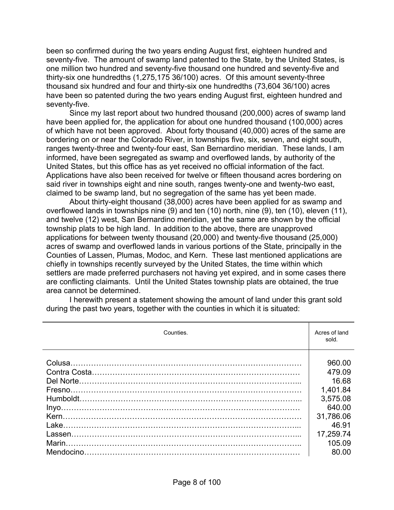been so confirmed during the two years ending August first, eighteen hundred and seventy-five. The amount of swamp land patented to the State, by the United States, is one million two hundred and seventy-five thousand one hundred and seventy-five and thirty-six one hundredths (1,275,175 36/100) acres. Of this amount seventy-three thousand six hundred and four and thirty-six one hundredths (73,604 36/100) acres have been so patented during the two years ending August first, eighteen hundred and seventy-five.

 Since my last report about two hundred thousand (200,000) acres of swamp land have been applied for, the application for about one hundred thousand (100,000) acres of which have not been approved. About forty thousand (40,000) acres of the same are bordering on or near the Colorado River, in townships five, six, seven, and eight south, ranges twenty-three and twenty-four east, San Bernardino meridian. These lands, I am informed, have been segregated as swamp and overflowed lands, by authority of the United States, but this office has as yet received no official information of the fact. Applications have also been received for twelve or fifteen thousand acres bordering on said river in townships eight and nine south, ranges twenty-one and twenty-two east, claimed to be swamp land, but no segregation of the same has yet been made.

 About thirty-eight thousand (38,000) acres have been applied for as swamp and overflowed lands in townships nine (9) and ten (10) north, nine (9), ten (10), eleven (11), and twelve (12) west, San Bernardino meridian, yet the same are shown by the official township plats to be high land. In addition to the above, there are unapproved applications for between twenty thousand (20,000) and twenty-five thousand (25,000) acres of swamp and overflowed lands in various portions of the State, principally in the Counties of Lassen, Plumas, Modoc, and Kern. These last mentioned applications are chiefly in townships recently surveyed by the United States, the time within which settlers are made preferred purchasers not having yet expired, and in some cases there are conflicting claimants. Until the United States township plats are obtained, the true area cannot be determined.

 I herewith present a statement showing the amount of land under this grant sold during the past two years, together with the counties in which it is situated:

| Counties. |           |  |
|-----------|-----------|--|
|           | 960.00    |  |
|           | 479.09    |  |
|           | 16.68     |  |
|           | 1,401.84  |  |
|           | 3,575.08  |  |
|           | 640.00    |  |
|           | 31,786.06 |  |
|           | 46.91     |  |
|           | 17,259.74 |  |
|           | 105.09    |  |
|           | 80.00     |  |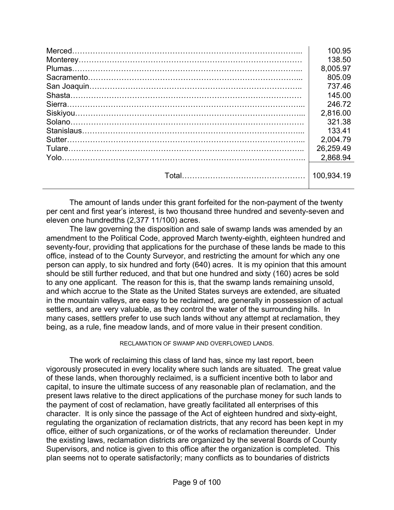| 100.95     |
|------------|
| 138.50     |
| 8,005.97   |
| 805.09     |
| 737.46     |
| 145.00     |
| 246.72     |
| 2,816.00   |
| 321.38     |
| 133.41     |
| 2.004.79   |
| 26,259.49  |
| 2.868.94   |
| 100.934.19 |

 The amount of lands under this grant forfeited for the non-payment of the twenty per cent and first year's interest, is two thousand three hundred and seventy-seven and eleven one hundredths (2,377 11/100) acres.

 The law governing the disposition and sale of swamp lands was amended by an amendment to the Political Code, approved March twenty-eighth, eighteen hundred and seventy-four, providing that applications for the purchase of these lands be made to this office, instead of to the County Surveyor, and restricting the amount for which any one person can apply, to six hundred and forty (640) acres. It is my opinion that this amount should be still further reduced, and that but one hundred and sixty (160) acres be sold to any one applicant. The reason for this is, that the swamp lands remaining unsold, and which accrue to the State as the United States surveys are extended, are situated in the mountain valleys, are easy to be reclaimed, are generally in possession of actual settlers, and are very valuable, as they control the water of the surrounding hills. In many cases, settlers prefer to use such lands without any attempt at reclamation, they being, as a rule, fine meadow lands, and of more value in their present condition.

RECLAMATION OF SWAMP AND OVERFLOWED LANDS.

 The work of reclaiming this class of land has, since my last report, been vigorously prosecuted in every locality where such lands are situated. The great value of these lands, when thoroughly reclaimed, is a sufficient incentive both to labor and capital, to insure the ultimate success of any reasonable plan of reclamation, and the present laws relative to the direct applications of the purchase money for such lands to the payment of cost of reclamation, have greatly facilitated all enterprises of this character. It is only since the passage of the Act of eighteen hundred and sixty-eight, regulating the organization of reclamation districts, that any record has been kept in my office, either of such organizations, or of the works of reclamation thereunder. Under the existing laws, reclamation districts are organized by the several Boards of County Supervisors, and notice is given to this office after the organization is completed. This plan seems not to operate satisfactorily; many conflicts as to boundaries of districts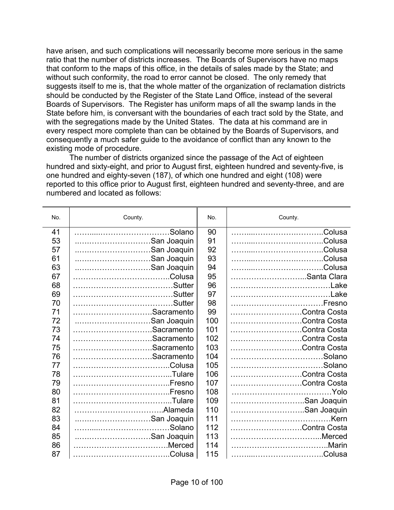have arisen, and such complications will necessarily become more serious in the same ratio that the number of districts increases. The Boards of Supervisors have no maps that conform to the maps of this office, in the details of sales made by the State; and without such conformity, the road to error cannot be closed. The only remedy that suggests itself to me is, that the whole matter of the organization of reclamation districts should be conducted by the Register of the State Land Office, instead of the several Boards of Supervisors. The Register has uniform maps of all the swamp lands in the State before him, is conversant with the boundaries of each tract sold by the State, and with the segregations made by the United States. The data at his command are in every respect more complete than can be obtained by the Boards of Supervisors, and consequently a much safer guide to the avoidance of conflict than any known to the existing mode of procedure.

 The number of districts organized since the passage of the Act of eighteen hundred and sixty-eight, and prior to August first, eighteen hundred and seventy-five, is one hundred and eighty-seven (187), of which one hundred and eight (108) were reported to this office prior to August first, eighteen hundred and seventy-three, and are numbered and located as follows:

| No. | County.     | No. | County.         |
|-----|-------------|-----|-----------------|
| 41  |             | 90  |                 |
| 53  | San Joaquin | 91  |                 |
| 57  | San Joaquin | 92  |                 |
| 61  | San Joaquin | 93  |                 |
| 63  | San Joaquin | 94  |                 |
| 67  |             | 95  | Santa Clara     |
| 68  |             | 96  | Lake            |
| 69  |             | 97  |                 |
| 70  | .Sutter     | 98  | Fresno          |
| 71  | Sacramento  | 99  | Contra Costa    |
| 72  | San Joaquin | 100 | Contra Costa    |
| 73  | Sacramento  | 101 | Contra Costa    |
| 74  | Sacramento  | 102 | Contra Costa    |
| 75  | Sacramento  | 103 | Contra Costa    |
| 76  | Sacramento  | 104 | .Solano         |
| 77  |             | 105 | Solano          |
| 78  |             | 106 | Contra Costa    |
| 79  |             | 107 | Contra Costa    |
| 80  |             | 108 | $\ldots$ . Yolo |
| 81  |             | 109 | San Joaquin     |
| 82  |             | 110 | San Joaquin     |
| 83  | San Joaquin | 111 | .Kern           |
| 84  | .Solano     | 112 | Contra Costa    |
| 85  | San Joaquin | 113 | Merced          |
| 86  | Merced      | 114 |                 |
| 87  |             | 115 |                 |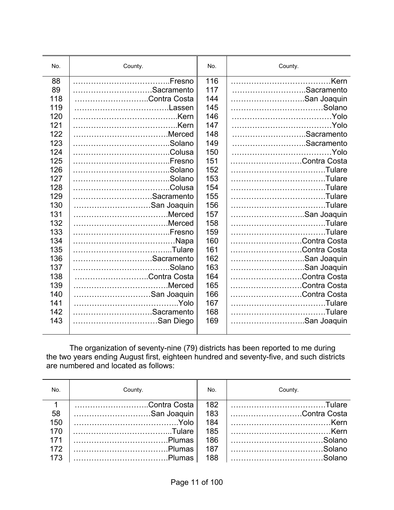| No. | County.      | No. | County.      |
|-----|--------------|-----|--------------|
| 88  |              | 116 |              |
| 89  | Sacramento   | 117 | Sacramento   |
| 118 | Contra Costa | 144 | San Joaquin  |
| 119 | Lassen       | 145 |              |
| 120 |              | 146 |              |
| 121 |              | 147 |              |
| 122 | Merced       | 148 | Sacramento   |
| 123 |              | 149 | Sacramento   |
| 124 |              | 150 | .Yolo        |
| 125 |              | 151 | Contra Costa |
| 126 |              | 152 |              |
| 127 |              | 153 |              |
| 128 |              | 154 |              |
| 129 | Sacramento   | 155 | .Tulare      |
| 130 | San Joaquin  | 156 |              |
| 131 |              | 157 | San Joaquin  |
| 132 | Merced       | 158 | Tulare.      |
| 133 |              | 159 |              |
| 134 |              | 160 | Contra Costa |
| 135 |              | 161 | Contra Costa |
| 136 | Sacramento   | 162 | San Joaquin  |
| 137 | .Solano      | 163 | San Joaquin  |
| 138 | Contra Costa | 164 | Contra Costa |
| 139 | Merced       | 165 | Contra Costa |
| 140 | San Joaquin  | 166 | Contra Costa |
| 141 |              | 167 |              |
| 142 | Sacramento   | 168 |              |
| 143 | San Diego    | 169 | San Joaquin  |
|     |              |     |              |

 The organization of seventy-nine (79) districts has been reported to me during the two years ending August first, eighteen hundred and seventy-five, and such districts are numbered and located as follows:

| No. | County.      | No. | County.      |
|-----|--------------|-----|--------------|
|     | Contra Costa | 182 |              |
| 58  | San Joaquin  | 183 | Contra Costa |
| 150 |              | 184 |              |
| 170 |              | 185 |              |
| 171 |              | 186 |              |
| 172 |              | 187 |              |
| 173 |              | 188 |              |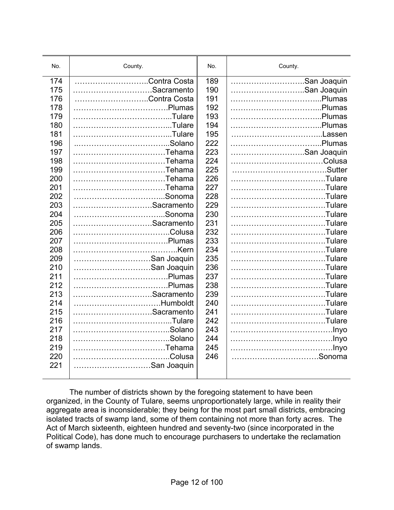| No. | County.      | No. | County.     |
|-----|--------------|-----|-------------|
| 174 | Contra Costa | 189 | San Joaquin |
| 175 | Sacramento   | 190 | San Joaquin |
| 176 | Contra Costa | 191 |             |
| 178 |              | 192 |             |
| 179 |              | 193 |             |
| 180 |              | 194 |             |
| 181 |              | 195 | Lassen      |
| 196 |              | 222 |             |
| 197 | Tehama       | 223 | San Joaquin |
| 198 | Tehama       | 224 | Colusa      |
| 199 | Tehama       | 225 |             |
| 200 | Tehama       | 226 | Tulare      |
| 201 | Tehama       | 227 | Tulare      |
| 202 |              | 228 | Tulare      |
| 203 | Sacramento   | 229 | Tulare      |
| 204 |              | 230 | Tulare      |
| 205 | Sacramento   | 231 |             |
| 206 |              | 232 | Tulare      |
| 207 |              | 233 |             |
| 208 |              | 234 | Tulare      |
| 209 | San Joaquin  | 235 |             |
| 210 | San Joaquin  | 236 |             |
| 211 |              | 237 | Tulare      |
| 212 |              | 238 |             |
| 213 | Sacramento   | 239 |             |
| 214 | Humboldt     | 240 | Tulare      |
| 215 | Sacramento   | 241 |             |
| 216 |              | 242 | Tulare      |
| 217 |              | 243 |             |
| 218 |              | 244 |             |
| 219 | Tehama       | 245 |             |
| 220 |              | 246 | Sonoma      |
| 221 | San Joaquin  |     |             |
|     |              |     |             |

 The number of districts shown by the foregoing statement to have been organized, in the County of Tulare, seems unproportionately large, while in reality their aggregate area is inconsiderable; they being for the most part small districts, embracing isolated tracts of swamp land, some of them containing not more than forty acres. The Act of March sixteenth, eighteen hundred and seventy-two (since incorporated in the Political Code), has done much to encourage purchasers to undertake the reclamation of swamp lands.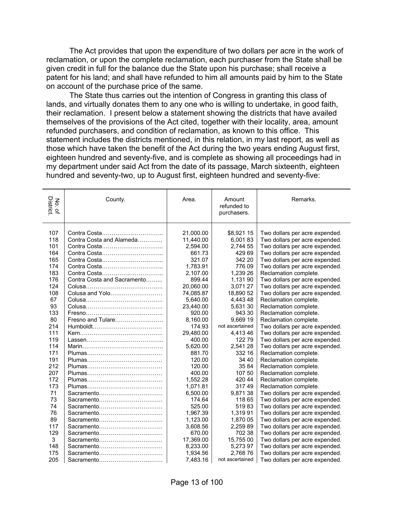The Act provides that upon the expenditure of two dollars per acre in the work of reclamation, or upon the complete reclamation, each purchaser from the State shall be given credit in full for the balance due the State upon his purchase; shall receive a patent for his land; and shall have refunded to him all amounts paid by him to the State on account of the purchase price of the same.

 The State thus carries out the intention of Congress in granting this class of lands, and virtually donates them to any one who is willing to undertake, in good faith, their reclamation. I present below a statement showing the districts that have availed themselves of the provisions of the Act cited, together with their locality, area, amount refunded purchasers, and condition of reclamation, as known to this office. This statement includes the districts mentioned, in this relation, in my last report, as well as those which have taken the benefit of the Act during the two years ending August first, eighteen hundred and seventy-five, and is complete as showing all proceedings had in my department under said Act from the date of its passage, March sixteenth, eighteen hundred and seventy-two, up to August first, eighteen hundred and seventy-five:

| No. of<br>District | County.                     | Area.     | Amount<br>refunded to<br>purchasers. | Remarks.                       |
|--------------------|-----------------------------|-----------|--------------------------------------|--------------------------------|
|                    |                             |           |                                      |                                |
| 107                |                             | 21,000.00 | \$8,921 15                           | Two dollars per acre expended. |
| 118                | Contra Costa and Alameda    | 11,440.00 | 6,00183                              | Two dollars per acre expended. |
| 101                |                             | 2,594.00  | 2,744 55                             | Two dollars per acre expended. |
| 164                |                             | 661.73    | 429 69                               | Two dollars per acre expended. |
| 165                |                             | 321.07    | 342 20                               | Two dollars per acre expended. |
| 174                | Contra Costa                | 1,783.91  | 776 09                               | Two dollars per acre expended. |
| 183                |                             | 2,107.00  | 1,239 26                             | Reclamation complete.          |
| 176                | Contra Costa and Sacramento | 899.44    | 1,131 90                             | Two dollars per acre expended. |
| 124                |                             | 20,060.00 | 3,071 27                             | Two dollars per acre expended. |
| 108                | Colusa and Yolo             | 74,085.87 | 18,890 52                            | Two dollars per acre expended. |
| 67                 |                             | 5,640.00  | 4,443 48                             | Reclamation complete.          |
| 93                 |                             | 23,440.00 | 5,631 30                             | Reclamation complete.          |
| 133                |                             | 920.00    | 943 30                               | Reclamation complete.          |
| 80                 | Fresno and Tulare           | 8,160.00  | 9,669 19                             | Reclamation complete.          |
| 214                |                             | 174.93    | not ascertained                      | Two dollars per acre expended. |
| 111                |                             | 29,480.00 | 4,41346                              | Two dollars per acre expended. |
| 119                |                             | 400.00    | 12279                                | Two dollars per acre expended. |
| 114                |                             | 5,620.00  | 2,541 28                             | Two dollars per acre expended. |
| 171                |                             | 881.70    | 332 16                               | Reclamation complete.          |
| 191                |                             | 120.00    | 34 40                                | Reclamation complete.          |
| 212                |                             | 120.00    | 35 84                                | Reclamation complete.          |
| 207                |                             | 400.00    | 107 50                               | Reclamation complete.          |
| 172                |                             | 1,552.28  | 420 44                               | Reclamation complete.          |
| 173                |                             | 1,071.81  | 31749                                | Reclamation complete.          |
| 71                 | Sacramento                  | 6,500.00  | 9,87138                              | Two dollars per acre expended. |
| 73                 | Sacramento                  | 174.64    | 118 65                               | Two dollars per acre expended. |
| 74                 | Sacramento                  | 525.00    | 51983                                | Two dollars per acre expended. |
| 76                 | Sacramento                  | 1,967.39  | 1,319 91                             | Two dollars per acre expended. |
| 89                 | Sacramento                  | 1,123.00  | 1,870 05                             | Two dollars per acre expended. |
| 117                | Sacramento                  | 3,608.56  | 2,259 89                             | Two dollars per acre expended. |
| 129                | Sacramento                  | 670.00    | 702 38                               | Two dollars per acre expended. |
| 3                  | Sacramento                  | 17,369.00 | 15,755 00                            | Two dollars per acre expended. |
| 148                | Sacramento                  | 8,233.00  | 5,273 97                             | Two dollars per acre expended. |
| 175                | Sacramento                  | 1,934.56  | 2.768 76                             | Two dollars per acre expended. |
| 205                | Sacramento                  | 7,483.16  | not ascertained                      | Two dollars per acre expended. |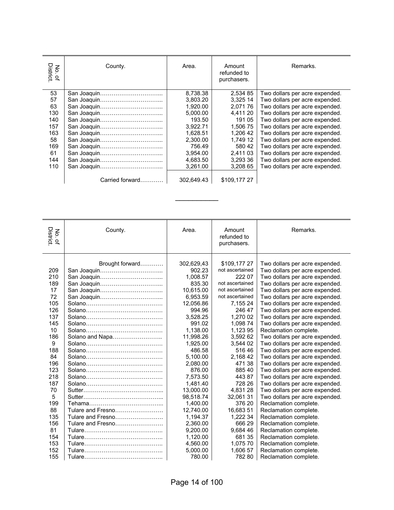| No. of<br>District. | County.         | Area.      | Amount<br>refunded to<br>purchasers. | Remarks.                       |
|---------------------|-----------------|------------|--------------------------------------|--------------------------------|
| 53                  |                 | 8,738.38   | 2,534 85                             | Two dollars per acre expended. |
| 57                  |                 | 3.803.20   | 3.325 14                             | Two dollars per acre expended. |
| 63                  |                 | 1.920.00   | 2.07176                              | Two dollars per acre expended. |
| 130                 |                 | 5,000.00   | 4,411 20                             | Two dollars per acre expended. |
| 140                 |                 | 193.50     | 191 05                               | Two dollars per acre expended. |
| 157                 |                 | 3.922.71   | 1.506 75                             | Two dollars per acre expended. |
| 163                 |                 | 1,628.51   | 1,206 42                             | Two dollars per acre expended. |
| 58                  |                 | 2,300.00   | 1.749 12                             | Two dollars per acre expended. |
| 169                 |                 | 756.49     | 580 42                               | Two dollars per acre expended. |
| 61                  |                 | 3.954.00   | 2.411 03                             | Two dollars per acre expended. |
| 144                 |                 | 4,683.50   | 3,293 36                             | Two dollars per acre expended. |
| 110                 |                 | 3,261.00   | 3.208 65                             | Two dollars per acre expended. |
|                     | Carried forward | 302,649.43 | \$109,177 27                         |                                |

 $\frac{1}{2}$ 

| No. of<br>District.                                                         | County.                        | Area.                                                                                                                                                 | Amount<br>refunded to<br>purchasers.                                                                                                                                                | Remarks.                                                                                                                                                                                                                                                                                                                                                                                                                                      |
|-----------------------------------------------------------------------------|--------------------------------|-------------------------------------------------------------------------------------------------------------------------------------------------------|-------------------------------------------------------------------------------------------------------------------------------------------------------------------------------------|-----------------------------------------------------------------------------------------------------------------------------------------------------------------------------------------------------------------------------------------------------------------------------------------------------------------------------------------------------------------------------------------------------------------------------------------------|
| 209<br>210<br>189<br>17<br>72<br>105<br>126<br>137<br>145<br>10<br>186<br>9 | Brought forward<br>San Joaquin | 302,629,43<br>902.23<br>1,008.57<br>835.30<br>10,615.00<br>6,953.59<br>12,056.86<br>994.96<br>3,528.25<br>991.02<br>1,138.00<br>11,998.26<br>1,925.00 | \$109,17727<br>not ascertained<br>222 07<br>not ascertained<br>not ascertained<br>not ascertained<br>7,155 24<br>246 47<br>1.270 02<br>1,098 74<br>1,123 95<br>3,592 62<br>3,544 02 | Two dollars per acre expended.<br>Two dollars per acre expended.<br>Two dollars per acre expended.<br>Two dollars per acre expended.<br>Two dollars per acre expended.<br>Two dollars per acre expended.<br>Two dollars per acre expended.<br>Two dollars per acre expended.<br>Two dollars per acre expended.<br>Two dollars per acre expended.<br>Reclamation complete.<br>Two dollars per acre expended.<br>Two dollars per acre expended. |
| 188                                                                         |                                | 486.58                                                                                                                                                | 516 46                                                                                                                                                                              | Two dollars per acre expended.                                                                                                                                                                                                                                                                                                                                                                                                                |
| 84                                                                          |                                | 5,100.00                                                                                                                                              | 2,168 42                                                                                                                                                                            | Two dollars per acre expended.                                                                                                                                                                                                                                                                                                                                                                                                                |
| 196                                                                         |                                | 2,080.00                                                                                                                                              | 471 38                                                                                                                                                                              | Two dollars per acre expended.                                                                                                                                                                                                                                                                                                                                                                                                                |
| 123                                                                         |                                | 876.00                                                                                                                                                | 88540                                                                                                                                                                               | Two dollars per acre expended.                                                                                                                                                                                                                                                                                                                                                                                                                |
| 218                                                                         |                                | 7,573.50                                                                                                                                              | 44387                                                                                                                                                                               | Two dollars per acre expended.                                                                                                                                                                                                                                                                                                                                                                                                                |
| 187                                                                         |                                | 1,481.40                                                                                                                                              | 728 26                                                                                                                                                                              | Two dollars per acre expended.                                                                                                                                                                                                                                                                                                                                                                                                                |
| 70                                                                          |                                | 13,000.00                                                                                                                                             | 4,831 28                                                                                                                                                                            | Two dollars per acre expended.                                                                                                                                                                                                                                                                                                                                                                                                                |
| 5                                                                           |                                | 98,518.74                                                                                                                                             | 32,061 31                                                                                                                                                                           | Two dollars per acre expended.                                                                                                                                                                                                                                                                                                                                                                                                                |
| 199                                                                         |                                | 1,400.00                                                                                                                                              | 376 20                                                                                                                                                                              | Reclamation complete.                                                                                                                                                                                                                                                                                                                                                                                                                         |
| 88                                                                          | Tulare and Fresno              | 12,740.00                                                                                                                                             | 16,683 51                                                                                                                                                                           | Reclamation complete.                                                                                                                                                                                                                                                                                                                                                                                                                         |
| 135                                                                         | Tulare and Fresno              | 1,194.37                                                                                                                                              | 1,222 34                                                                                                                                                                            | Reclamation complete.                                                                                                                                                                                                                                                                                                                                                                                                                         |
| 156                                                                         | Tulare and Fresno              | 2,360.00                                                                                                                                              | 666 29                                                                                                                                                                              | Reclamation complete.                                                                                                                                                                                                                                                                                                                                                                                                                         |
| 81                                                                          |                                | 9,200.00                                                                                                                                              | 9,684 46                                                                                                                                                                            | Reclamation complete.                                                                                                                                                                                                                                                                                                                                                                                                                         |
| 154                                                                         |                                | 1,120.00                                                                                                                                              | 681 35                                                                                                                                                                              | Reclamation complete.                                                                                                                                                                                                                                                                                                                                                                                                                         |
| 153                                                                         |                                | 4,560.00                                                                                                                                              | 1,075 70                                                                                                                                                                            | Reclamation complete.                                                                                                                                                                                                                                                                                                                                                                                                                         |
| 152                                                                         |                                | 5,000.00                                                                                                                                              | 1,606 57                                                                                                                                                                            | Reclamation complete.                                                                                                                                                                                                                                                                                                                                                                                                                         |
| 155                                                                         |                                | 780.00                                                                                                                                                | 78280                                                                                                                                                                               | Reclamation complete.                                                                                                                                                                                                                                                                                                                                                                                                                         |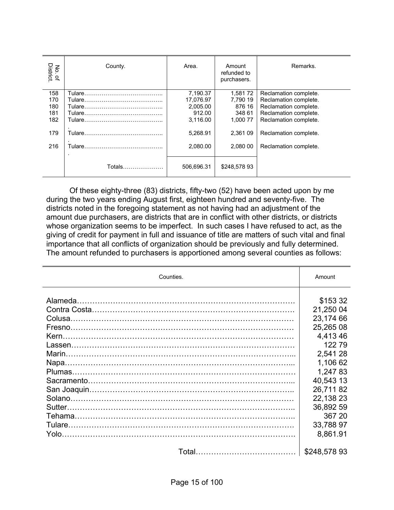| No. of<br>District. | County.       | Area.      | Amount<br>refunded to<br>purchasers. | Remarks.              |
|---------------------|---------------|------------|--------------------------------------|-----------------------|
| 158                 |               | 7,190.37   | 1,58172                              | Reclamation complete. |
| 170                 |               | 17,076.97  | 7,790 19                             | Reclamation complete. |
| 180                 |               | 2.005.00   | 876 16                               | Reclamation complete. |
| 181                 |               | 912.00     | 348 61                               | Reclamation complete. |
| 182                 | Tulare.       | 3.116.00   | 1.000 77                             | Reclamation complete. |
| 179                 |               | 5,268.91   | 2,361 09                             | Reclamation complete. |
| 216                 |               | 2,080.00   | 2,080 00                             | Reclamation complete. |
|                     | Totals………………… | 506.696.31 | \$248.57893                          |                       |

 Of these eighty-three (83) districts, fifty-two (52) have been acted upon by me during the two years ending August first, eighteen hundred and seventy-five. The districts noted in the foregoing statement as not having had an adjustment of the amount due purchasers, are districts that are in conflict with other districts, or districts whose organization seems to be imperfect. In such cases I have refused to act, as the giving of credit for payment in full and issuance of title are matters of such vital and final importance that all conflicts of organization should be previously and fully determined. The amount refunded to purchasers is apportioned among several counties as follows:

| Counties. | Amount      |
|-----------|-------------|
|           |             |
|           | \$153 32    |
|           | 21,250 04   |
|           | 23,174 66   |
|           | 25,265 08   |
|           | 4,41346     |
|           | 12279       |
|           | 2,541 28    |
|           | 1,106 62    |
|           | 1,24783     |
|           | 40,543 13   |
|           | 26,71182    |
|           | 22,138 23   |
|           | 36,892 59   |
|           | 367 20      |
|           | 33,788 97   |
|           | 8,861.91    |
|           | \$248,57893 |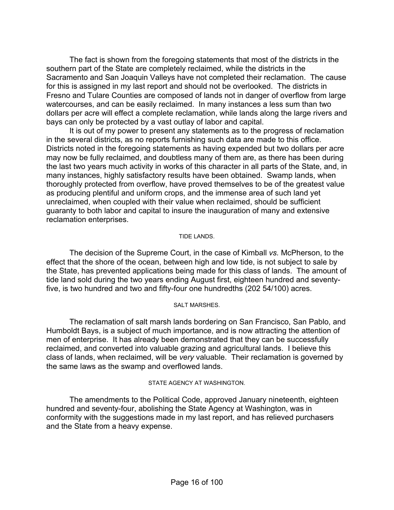The fact is shown from the foregoing statements that most of the districts in the southern part of the State are completely reclaimed, while the districts in the Sacramento and San Joaquin Valleys have not completed their reclamation. The cause for this is assigned in my last report and should not be overlooked. The districts in Fresno and Tulare Counties are composed of lands not in danger of overflow from large watercourses, and can be easily reclaimed. In many instances a less sum than two dollars per acre will effect a complete reclamation, while lands along the large rivers and bays can only be protected by a vast outlay of labor and capital.

 It is out of my power to present any statements as to the progress of reclamation in the several districts, as no reports furnishing such data are made to this office. Districts noted in the foregoing statements as having expended but two dollars per acre may now be fully reclaimed, and doubtless many of them are, as there has been during the last two years much activity in works of this character in all parts of the State, and, in many instances, highly satisfactory results have been obtained. Swamp lands, when thoroughly protected from overflow, have proved themselves to be of the greatest value as producing plentiful and uniform crops, and the immense area of such land yet unreclaimed, when coupled with their value when reclaimed, should be sufficient guaranty to both labor and capital to insure the inauguration of many and extensive reclamation enterprises.

#### TIDE LANDS.

 The decision of the Supreme Court, in the case of Kimball *vs.* McPherson, to the effect that the shore of the ocean, between high and low tide, is not subject to sale by the State, has prevented applications being made for this class of lands. The amount of tide land sold during the two years ending August first, eighteen hundred and seventyfive, is two hundred and two and fifty-four one hundredths (202 54/100) acres.

#### SALT MARSHES.

 The reclamation of salt marsh lands bordering on San Francisco, San Pablo, and Humboldt Bays, is a subject of much importance, and is now attracting the attention of men of enterprise. It has already been demonstrated that they can be successfully reclaimed, and converted into valuable grazing and agricultural lands. I believe this class of lands, when reclaimed, will be *very* valuable. Their reclamation is governed by the same laws as the swamp and overflowed lands.

#### STATE AGENCY AT WASHINGTON.

 The amendments to the Political Code, approved January nineteenth, eighteen hundred and seventy-four, abolishing the State Agency at Washington, was in conformity with the suggestions made in my last report, and has relieved purchasers and the State from a heavy expense.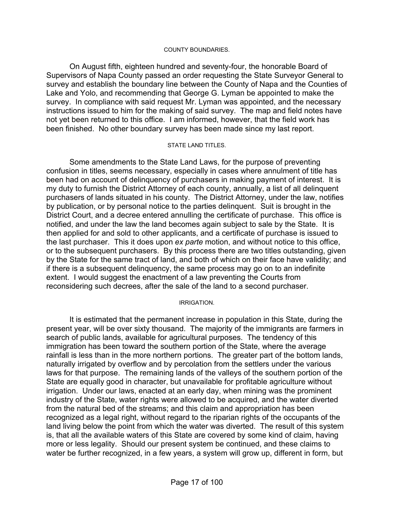#### COUNTY BOUNDARIES.

 On August fifth, eighteen hundred and seventy-four, the honorable Board of Supervisors of Napa County passed an order requesting the State Surveyor General to survey and establish the boundary line between the County of Napa and the Counties of Lake and Yolo, and recommending that George G. Lyman be appointed to make the survey. In compliance with said request Mr. Lyman was appointed, and the necessary instructions issued to him for the making of said survey. The map and field notes have not yet been returned to this office. I am informed, however, that the field work has been finished. No other boundary survey has been made since my last report.

#### STATE LAND TITLES.

 Some amendments to the State Land Laws, for the purpose of preventing confusion in titles, seems necessary, especially in cases where annulment of title has been had on account of delinquency of purchasers in making payment of interest. It is my duty to furnish the District Attorney of each county, annually, a list of all delinquent purchasers of lands situated in his county. The District Attorney, under the law, notifies by publication, or by personal notice to the parties delinquent. Suit is brought in the District Court, and a decree entered annulling the certificate of purchase. This office is notified, and under the law the land becomes again subject to sale by the State. It is then applied for and sold to other applicants, and a certificate of purchase is issued to the last purchaser. This it does upon *ex parte* motion, and without notice to this office, or to the subsequent purchasers. By this process there are two titles outstanding, given by the State for the same tract of land, and both of which on their face have validity; and if there is a subsequent delinquency, the same process may go on to an indefinite extent. I would suggest the enactment of a law preventing the Courts from reconsidering such decrees, after the sale of the land to a second purchaser.

#### IRRIGATION.

 It is estimated that the permanent increase in population in this State, during the present year, will be over sixty thousand. The majority of the immigrants are farmers in search of public lands, available for agricultural purposes. The tendency of this immigration has been toward the southern portion of the State, where the average rainfall is less than in the more northern portions. The greater part of the bottom lands, naturally irrigated by overflow and by percolation from the settlers under the various laws for that purpose. The remaining lands of the valleys of the southern portion of the State are equally good in character, but unavailable for profitable agriculture without irrigation. Under our laws, enacted at an early day, when mining was the prominent industry of the State, water rights were allowed to be acquired, and the water diverted from the natural bed of the streams; and this claim and appropriation has been recognized as a legal right, without regard to the riparian rights of the occupants of the land living below the point from which the water was diverted. The result of this system is, that all the available waters of this State are covered by some kind of claim, having more or less legality. Should our present system be continued, and these claims to water be further recognized, in a few years, a system will grow up, different in form, but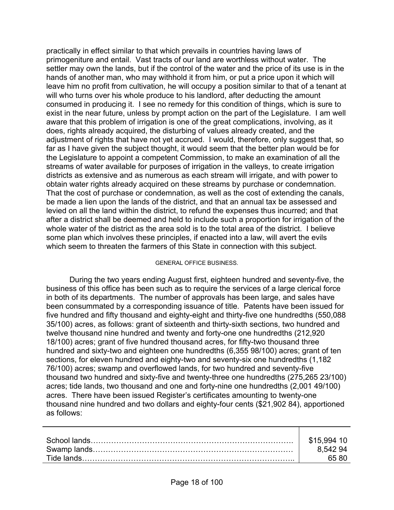practically in effect similar to that which prevails in countries having laws of primogeniture and entail. Vast tracts of our land are worthless without water. The settler may own the lands, but if the control of the water and the price of its use is in the hands of another man, who may withhold it from him, or put a price upon it which will leave him no profit from cultivation, he will occupy a position similar to that of a tenant at will who turns over his whole produce to his landlord, after deducting the amount consumed in producing it. I see no remedy for this condition of things, which is sure to exist in the near future, unless by prompt action on the part of the Legislature. I am well aware that this problem of irrigation is one of the great complications, involving, as it does, rights already acquired, the disturbing of values already created, and the adjustment of rights that have not yet accrued. I would, therefore, only suggest that, so far as I have given the subject thought, it would seem that the better plan would be for the Legislature to appoint a competent Commission, to make an examination of all the streams of water available for purposes of irrigation in the valleys, to create irrigation districts as extensive and as numerous as each stream will irrigate, and with power to obtain water rights already acquired on these streams by purchase or condemnation. That the cost of purchase or condemnation, as well as the cost of extending the canals, be made a lien upon the lands of the district, and that an annual tax be assessed and levied on all the land within the district, to refund the expenses thus incurred; and that after a district shall be deemed and held to include such a proportion for irrigation of the whole water of the district as the area sold is to the total area of the district. I believe some plan which involves these principles, if enacted into a law, will avert the evils which seem to threaten the farmers of this State in connection with this subject.

#### GENERAL OFFICE BUSINESS.

 During the two years ending August first, eighteen hundred and seventy-five, the business of this office has been such as to require the services of a large clerical force in both of its departments. The number of approvals has been large, and sales have been consummated by a corresponding issuance of title. Patents have been issued for five hundred and fifty thousand and eighty-eight and thirty-five one hundredths (550,088 35/100) acres, as follows: grant of sixteenth and thirty-sixth sections, two hundred and twelve thousand nine hundred and twenty and forty-one one hundredths (212,920 18/100) acres; grant of five hundred thousand acres, for fifty-two thousand three hundred and sixty-two and eighteen one hundredths (6,355 98/100) acres; grant of ten sections, for eleven hundred and eighty-two and seventy-six one hundredths (1,182 76/100) acres; swamp and overflowed lands, for two hundred and seventy-five thousand two hundred and sixty-five and twenty-three one hundredths (275,265 23/100) acres; tide lands, two thousand and one and forty-nine one hundredths (2,001 49/100) acres. There have been issued Register's certificates amounting to twenty-one thousand nine hundred and two dollars and eighty-four cents (\$21,902 84), apportioned as follows:

| \$15.994 10 |
|-------------|
| 8.54294     |
| 65.80       |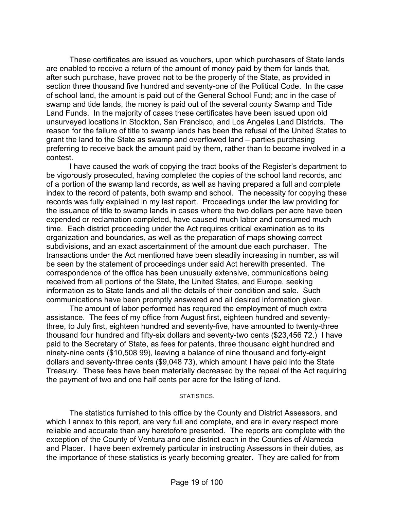These certificates are issued as vouchers, upon which purchasers of State lands are enabled to receive a return of the amount of money paid by them for lands that, after such purchase, have proved not to be the property of the State, as provided in section three thousand five hundred and seventy-one of the Political Code. In the case of school land, the amount is paid out of the General School Fund; and in the case of swamp and tide lands, the money is paid out of the several county Swamp and Tide Land Funds. In the majority of cases these certificates have been issued upon old unsurveyed locations in Stockton, San Francisco, and Los Angeles Land Districts. The reason for the failure of title to swamp lands has been the refusal of the United States to grant the land to the State as swamp and overflowed land – parties purchasing preferring to receive back the amount paid by them, rather than to become involved in a contest.

 I have caused the work of copying the tract books of the Register's department to be vigorously prosecuted, having completed the copies of the school land records, and of a portion of the swamp land records, as well as having prepared a full and complete index to the record of patents, both swamp and school. The necessity for copying these records was fully explained in my last report. Proceedings under the law providing for the issuance of title to swamp lands in cases where the two dollars per acre have been expended or reclamation completed, have caused much labor and consumed much time. Each district proceeding under the Act requires critical examination as to its organization and boundaries, as well as the preparation of maps showing correct subdivisions, and an exact ascertainment of the amount due each purchaser. The transactions under the Act mentioned have been steadily increasing in number, as will be seen by the statement of proceedings under said Act herewith presented. The correspondence of the office has been unusually extensive, communications being received from all portions of the State, the United States, and Europe, seeking information as to State lands and all the details of their condition and sale. Such communications have been promptly answered and all desired information given.

 The amount of labor performed has required the employment of much extra assistance. The fees of my office from August first, eighteen hundred and seventythree, to July first, eighteen hundred and seventy-five, have amounted to twenty-three thousand four hundred and fifty-six dollars and seventy-two cents (\$23,456 72.) I have paid to the Secretary of State, as fees for patents, three thousand eight hundred and ninety-nine cents (\$10,508 99), leaving a balance of nine thousand and forty-eight dollars and seventy-three cents (\$9,048 73), which amount I have paid into the State Treasury. These fees have been materially decreased by the repeal of the Act requiring the payment of two and one half cents per acre for the listing of land.

#### STATISTICS.

 The statistics furnished to this office by the County and District Assessors, and which I annex to this report, are very full and complete, and are in every respect more reliable and accurate than any heretofore presented. The reports are complete with the exception of the County of Ventura and one district each in the Counties of Alameda and Placer. I have been extremely particular in instructing Assessors in their duties, as the importance of these statistics is yearly becoming greater. They are called for from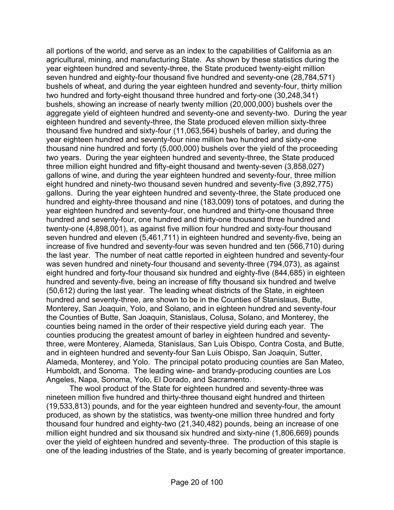all portions of the world, and serve as an index to the capabilities of California as an agricultural, mining, and manufacturing State. As shown by these statistics during the year eighteen hundred and seventy-three, the State produced twenty-eight million seven hundred and eighty-four thousand five hundred and seventy-one (28,784,571) bushels of wheat, and during the year eighteen hundred and seventy-four, thirty million two hundred and forty-eight thousand three hundred and forty-one (30,248,341) bushels, showing an increase of nearly twenty million (20,000,000) bushels over the aggregate yield of eighteen hundred and seventy-one and seventy-two. During the year eighteen hundred and seventy-three, the State produced eleven million sixty-three thousand five hundred and sixty-four (11,063,564) bushels of barley, and during the year eighteen hundred and seventy-four nine million two hundred and sixty-one thousand nine hundred and forty (5,000,000) bushels over the yield of the proceeding two years. During the year eighteen hundred and seventy-three, the State produced three million eight hundred and fifty-eight thousand and twenty-seven (3,858,027) gallons of wine, and during the year eighteen hundred and seventy-four, three million eight hundred and ninety-two thousand seven hundred and seventy-five (3,892,775) gallons. During the year eighteen hundred and seventy-three, the State produced one hundred and eighty-three thousand and nine (183,009) tons of potatoes, and during the year eighteen hundred and seventy-four, one hundred and thirty-one thousand three hundred and seventy-four, one hundred and thirty-one thousand three hundred and twenty-one (4,898,001), as against five million four hundred and sixty-four thousand seven hundred and eleven (5,461,711) in eighteen hundred and seventy-five, being an increase of five hundred and seventy-four was seven hundred and ten (566,710) during the last year. The number of neat cattle reported in eighteen hundred and seventy-four was seven hundred and ninety-four thousand and seventy-three (794,073), as against eight hundred and forty-four thousand six hundred and eighty-five (844,685) in eighteen hundred and seventy-five, being an increase of fifty thousand six hundred and twelve (50,612) during the last year. The leading wheat districts of the State, in eighteen hundred and seventy-three, are shown to be in the Counties of Stanislaus, Butte, Monterey, San Joaquin, Yolo, and Solano, and in eighteen hundred and seventy-four the Counties of Butte, San Joaquin, Stanislaus, Colusa, Solano, and Monterey, the counties being named in the order of their respective yield during each year. The counties producing the greatest amount of barley in eighteen hundred and seventythree, were Monterey, Alameda, Stanislaus, San Luis Obispo, Contra Costa, and Butte, and in eighteen hundred and seventy-four San Luis Obispo, San Joaquin, Sutter, Alameda, Monterey, and Yolo. The principal potato producing counties are San Mateo, Humboldt, and Sonoma. The leading wine- and brandy-producing counties are Los Angeles, Napa, Sonoma, Yolo, El Dorado, and Sacramento.

 The wool product of the State for eighteen hundred and seventy-three was nineteen million five hundred and thirty-three thousand eight hundred and thirteen (19,533,813) pounds, and for the year eighteen hundred and seventy-four, the amount produced, as shown by the statistics, was twenty-one million three hundred and forty thousand four hundred and eighty-two (21,340,482) pounds, being an increase of one million eight hundred and six thousand six hundred and sixty-nine (1,806,669) pounds over the yield of eighteen hundred and seventy-three. The production of this staple is one of the leading industries of the State, and is yearly becoming of greater importance.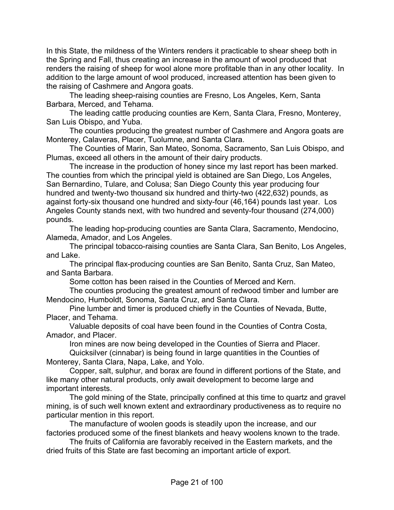In this State, the mildness of the Winters renders it practicable to shear sheep both in the Spring and Fall, thus creating an increase in the amount of wool produced that renders the raising of sheep for wool alone more profitable than in any other locality. In addition to the large amount of wool produced, increased attention has been given to the raising of Cashmere and Angora goats.

 The leading sheep-raising counties are Fresno, Los Angeles, Kern, Santa Barbara, Merced, and Tehama.

 The leading cattle producing counties are Kern, Santa Clara, Fresno, Monterey, San Luis Obispo, and Yuba.

 The counties producing the greatest number of Cashmere and Angora goats are Monterey, Calaveras, Placer, Tuolumne, and Santa Clara.

 The Counties of Marin, San Mateo, Sonoma, Sacramento, San Luis Obispo, and Plumas, exceed all others in the amount of their dairy products.

 The increase in the production of honey since my last report has been marked. The counties from which the principal yield is obtained are San Diego, Los Angeles, San Bernardino, Tulare, and Colusa; San Diego County this year producing four hundred and twenty-two thousand six hundred and thirty-two (422,632) pounds, as against forty-six thousand one hundred and sixty-four (46,164) pounds last year. Los Angeles County stands next, with two hundred and seventy-four thousand (274,000) pounds.

 The leading hop-producing counties are Santa Clara, Sacramento, Mendocino, Alameda, Amador, and Los Angeles.

 The principal tobacco-raising counties are Santa Clara, San Benito, Los Angeles, and Lake.

 The principal flax-producing counties are San Benito, Santa Cruz, San Mateo, and Santa Barbara.

Some cotton has been raised in the Counties of Merced and Kern.

 The counties producing the greatest amount of redwood timber and lumber are Mendocino, Humboldt, Sonoma, Santa Cruz, and Santa Clara.

 Pine lumber and timer is produced chiefly in the Counties of Nevada, Butte, Placer, and Tehama.

 Valuable deposits of coal have been found in the Counties of Contra Costa, Amador, and Placer.

Iron mines are now being developed in the Counties of Sierra and Placer.

 Quicksilver (cinnabar) is being found in large quantities in the Counties of Monterey, Santa Clara, Napa, Lake, and Yolo.

 Copper, salt, sulphur, and borax are found in different portions of the State, and like many other natural products, only await development to become large and important interests.

 The gold mining of the State, principally confined at this time to quartz and gravel mining, is of such well known extent and extraordinary productiveness as to require no particular mention in this report.

 The manufacture of woolen goods is steadily upon the increase, and our factories produced some of the finest blankets and heavy woolens known to the trade.

 The fruits of California are favorably received in the Eastern markets, and the dried fruits of this State are fast becoming an important article of export.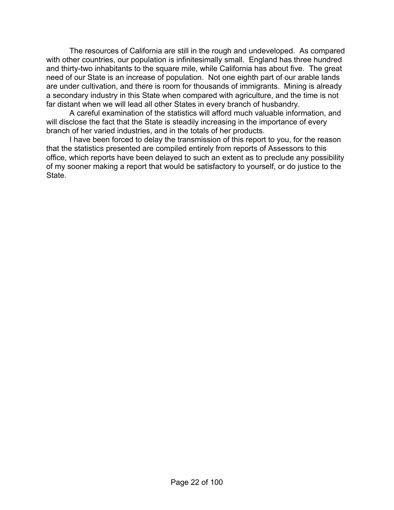The resources of California are still in the rough and undeveloped. As compared with other countries, our population is infinitesimally small. England has three hundred and thirty-two inhabitants to the square mile, while California has about five. The great need of our State is an increase of population. Not one eighth part of our arable lands are under cultivation, and there is room for thousands of immigrants. Mining is already a secondary industry in this State when compared with agriculture, and the time is not far distant when we will lead all other States in every branch of husbandry.

 A careful examination of the statistics will afford much valuable information, and will disclose the fact that the State is steadily increasing in the importance of every branch of her varied industries, and in the totals of her products.

 I have been forced to delay the transmission of this report to you, for the reason that the statistics presented are compiled entirely from reports of Assessors to this office, which reports have been delayed to such an extent as to preclude any possibility of my sooner making a report that would be satisfactory to yourself, or do justice to the **State**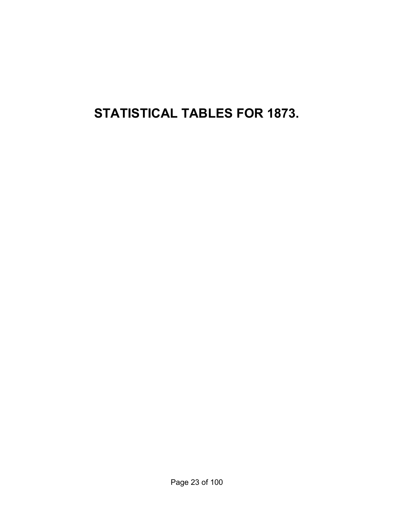**STATISTICAL TABLES FOR 1873.**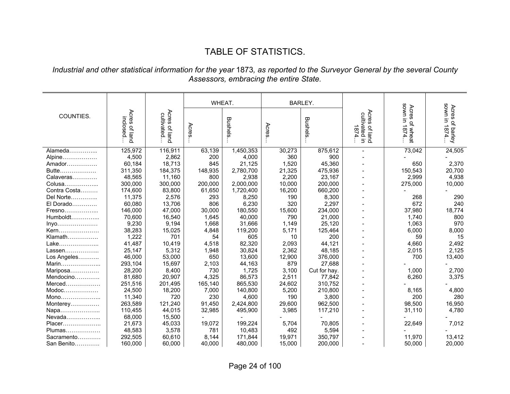# TABLE OF STATISTICS.

### *Industrial and other statistical information for the year* 1873*, as reported to the Surveyor General by the several County Assessors, embracing the entire State.*

|              |                                                      |                             | WHEAT.  |           |        |                |                                                        |                                   |                                         |
|--------------|------------------------------------------------------|-----------------------------|---------|-----------|--------|----------------|--------------------------------------------------------|-----------------------------------|-----------------------------------------|
|              |                                                      |                             |         |           |        | <b>BARLEY.</b> |                                                        |                                   | uwos                                    |
| COUNTIES.    | Acres<br>inclosed<br>$\mathbf{Q}_\mathrm{h}$<br>iand | Acres of land<br>cultivated | Acres   | Bushels   | Acres  | Bushels        | Acres<br><b>Acres of land</b><br>cultivated in<br>1874 | sown in 1874<br>Acres<br>of wheat | Acres<br>$\equiv$<br>of barley<br>1874. |
| Alameda      | 125,972                                              | 116,911                     | 63,139  | 1,450,353 | 30,273 | 875,612        | $\blacksquare$                                         | 73,042                            | 24,505                                  |
| Alpine       | 4,500                                                | 2,862                       | 200     | 4,000     | 360    | 900            |                                                        |                                   |                                         |
| Amador       | 60,184                                               | 18,713                      | 845     | 21,125    | 1,520  | 45,360         |                                                        | 650                               | 2,370                                   |
| Butte        | 311,350                                              | 184,375                     | 148,935 | 2,780,700 | 21,325 | 475,936        |                                                        | 150,543                           | 20,700                                  |
| Calaveras    | 48,565                                               | 11,160                      | 800     | 2,938     | 2,200  | 23,167         |                                                        | 2,999                             | 4,938                                   |
| Colusa       | 300,000                                              | 300,000                     | 200,000 | 2,000,000 | 10,000 | 200,000        |                                                        | 275,000                           | 10,000                                  |
| Contra Costa | 174,600                                              | 83,800                      | 61,650  | 1,720,400 | 16,200 | 660,200        |                                                        |                                   |                                         |
| Del Norte    | 11,375                                               | 2,576                       | 293     | 8,250     | 190    | 8,300          |                                                        | 268                               | 290                                     |
| El Dorado    | 60,080                                               | 13,706                      | 806     | 6,230     | 320    | 2,297          |                                                        | 672                               | 240                                     |
| Fresno       | 146,000                                              | 47,000                      | 30,000  | 180,550   | 15,600 | 234,000        |                                                        | 37,980                            | 18,774                                  |
| Humboldt     | 70,600                                               | 16,540                      | 1,645   | 40,000    | 790    | 21,000         |                                                        | 1,740                             | 800                                     |
| $inyo$       | 9,230                                                | 9,194                       | 1,668   | 31,666    | 1,149  | 25,120         |                                                        | 1,063                             | 970                                     |
| Kern         | 38,283                                               | 15,025                      | 4,848   | 119,200   | 5,171  | 125,464        |                                                        | 6,000                             | 8,000                                   |
| $K$ lamath   | 1,222                                                | 701                         | 54      | 605       | 10     | 200            |                                                        | 59                                | 15                                      |
| Lake         | 41,487                                               | 10,419                      | 4,518   | 82,320    | 2,093  | 44,121         |                                                        | 4,660                             | 2,492                                   |
| Lassen       | 25,147                                               | 5,312                       | 1,948   | 30,824    | 2,362  | 48,185         |                                                        | 2,015                             | 2,125                                   |
| Los Angeles  | 46,000                                               | 53,000                      | 650     | 13,600    | 12,900 | 376,000        |                                                        | 700                               | 13,400                                  |
| Marin        | 293,104                                              | 15,697                      | 2,103   | 44,163    | 879    | 27,688         |                                                        |                                   |                                         |
| Mariposa     | 28,200                                               | 8,400                       | 730     | 1,725     | 3,100  | Cut for hay.   |                                                        | 1,000                             | 2,700                                   |
| Mendocino    | 81,680                                               | 20,907                      | 4,325   | 86,573    | 2,511  | 77,842         |                                                        | 6,260                             | 3,375                                   |
| $Merced$     | 251,516                                              | 201,495                     | 165,140 | 865,530   | 24,602 | 310,752        |                                                        |                                   |                                         |
| Modoc        | 24,500                                               | 18,200                      | 7,000   | 140,800   | 5,200  | 210,800        |                                                        | 8,165                             | 4,800                                   |
| Mono         | 11,340                                               | 720                         | 230     | 4,600     | 190    | 3,800          |                                                        | 200                               | 280                                     |
| Monterey     | 263,589                                              | 121,240                     | 91,450  | 2,424,800 | 29,600 | 962,500        |                                                        | 98,500                            | 16,950                                  |
| Napa         | 110,455                                              | 44,015                      | 32,985  | 495,900   | 3,985  | 117,210        |                                                        | 31.110                            | 4,780                                   |
| Nevada       | 68,000                                               | 15,500                      |         |           |        |                |                                                        |                                   |                                         |
| $Placer$     | 21,673                                               | 45,033                      | 19,072  | 199,224   | 5,704  | 70,805         |                                                        | 22,649                            | 7,012                                   |
| Plumas       | 48,583                                               | 3,578                       | 781     | 10,483    | 492    | 5,594          |                                                        |                                   |                                         |
| Sacramento   | 292,505                                              | 60,610                      | 8,144   | 171,844   | 19,971 | 350,797        |                                                        | 11,970                            | 13,412                                  |
| San Benito   | 160.000                                              | 60.000                      | 40,000  | 480,000   | 15,000 | 200,000        |                                                        | 50.000                            | 20,000                                  |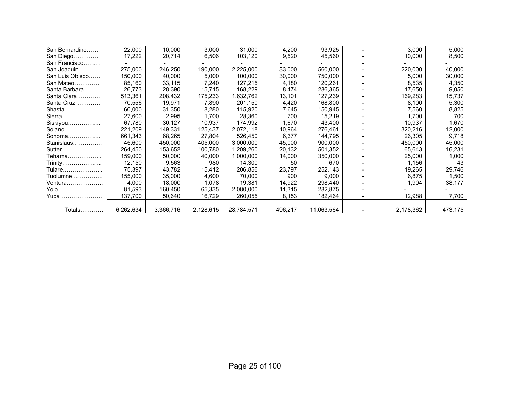| San Bernardino  | 22,000    | 10,000    | 3,000     | 31,000     | 4,200   | 93,925     | 3,000     | 5,000   |
|-----------------|-----------|-----------|-----------|------------|---------|------------|-----------|---------|
| San Diego       | 17,222    | 20,714    | 6,506     | 103,120    | 9,520   | 45,560     | 10,000    | 8,500   |
| San Francisco   |           |           |           |            |         |            |           |         |
| San Joaquin     | 275,000   | 246,250   | 190,000   | 2,225,000  | 33,000  | 560,000    | 220,000   | 40,000  |
| San Luis Obispo | 150.000   | 40,000    | 5,000     | 100,000    | 30,000  | 750,000    | 5,000     | 30,000  |
| San Mateo       | 85,160    | 33,115    | 7,240     | 127,215    | 4,180   | 120,261    | 8,535     | 4,350   |
| Santa Barbara   | 26,773    | 28,390    | 15,715    | 168,229    | 8,474   | 286,365    | 17,650    | 9,050   |
| Santa Clara     | 513,361   | 208,432   | 175,233   | 1,632,762  | 13,101  | 127,239    | 169,283   | 15,737  |
| Santa Cruz      | 70,556    | 19,971    | 7,890     | 201,150    | 4,420   | 168,800    | 8,100     | 5,300   |
| Shasta          | 60.000    | 31,350    | 8,280     | 115,920    | 7,645   | 150,945    | 7,560     | 8,825   |
| Sierra          | 27,600    | 2,995     | 1,700     | 28,360     | 700     | 15,219     | 1,700     | 700     |
| Siskiyou        | 67,780    | 30,127    | 10,937    | 174,992    | 1,670   | 43,400     | 10.937    | 1,670   |
| Solano          | 221,209   | 149,331   | 125,437   | 2,072,118  | 10,964  | 276,461    | 320,216   | 12,000  |
| Sonoma $\ldots$ | 661,343   | 68,265    | 27,804    | 526,450    | 6,377   | 144,795    | 26,305    | 9,718   |
| Stanislaus      | 45.600    | 450.000   | 405.000   | 3.000.000  | 45,000  | 900.000    | 450,000   | 45,000  |
| Sutter          | 264,450   | 153,652   | 100,780   | 1,209,260  | 20,132  | 501,352    | 65,643    | 16,231  |
| Tehama          | 159.000   | 50,000    | 40,000    | 1,000,000  | 14,000  | 350,000    | 25,000    | 1,000   |
| Trinity         | 12,150    | 9,563     | 980       | 14,300     | 50      | 670        | 1,156     | 43      |
| Tulare          | 75,397    | 43,782    | 15,412    | 206,856    | 23,797  | 252,143    | 19,265    | 29,746  |
| Tuolumne        | 155,000   | 35,000    | 4,600     | 70,000     | 900     | 9,000      | 6,875     | 1,500   |
| Ventura         | 4,000     | 18,000    | 1,078     | 19,381     | 14,922  | 298,440    | 1,904     | 38,177  |
| Yolo            | 81,593    | 160,450   | 65,335    | 2,080,000  | 11,315  | 282,875    |           |         |
| Yuba            | 137,700   | 50,640    | 16,729    | 260,055    | 8,153   | 182,464    | 12,988    | 7,700   |
|                 |           |           |           |            |         |            |           |         |
| Totals          | 6,262,634 | 3,366,716 | 2,128,615 | 28,784,571 | 496,217 | 11,063,564 | 2,178,362 | 473,175 |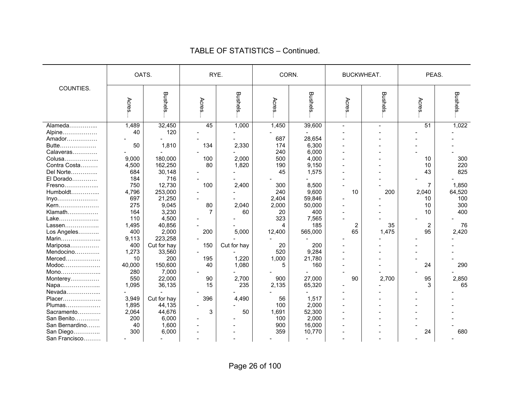|                |        |                |                |             |        |         |                   |         | PEAS.           |         |
|----------------|--------|----------------|----------------|-------------|--------|---------|-------------------|---------|-----------------|---------|
|                | OATS.  |                | RYE.           |             | CORN.  |         | <b>BUCKWHEAT.</b> |         |                 |         |
| COUNTIES.      | Acres  | <b>Bushels</b> | Acres          | Bushels     | Acres. | Bushels | Acres             | Bushels | Acres.          | Bushels |
| Alameda        | 1,489  | 32,450         | 45             | 1,000       | 1,450  | 39,600  |                   |         | $\overline{51}$ | 1,022   |
| Alpine         | 40     | 120            |                |             |        |         |                   |         |                 |         |
| Amador         |        |                |                |             | 687    | 28,654  |                   |         |                 |         |
| Butte          | 50     | 1,810          | 134            | 2,330       | 174    | 6,300   |                   |         |                 |         |
| Calaveras      |        |                |                |             | 240    | 6,000   |                   |         |                 |         |
| Colusa         | 9,000  | 180,000        | 100            | 2,000       | 500    | 4,000   |                   |         | 10              | 300     |
| Contra Costa   | 4,500  | 162,250        | 80             | 1,820       | 190    | 9,150   |                   |         | 10              | 220     |
| Del Norte      | 684    | 30,148         |                |             | 45     | 1,575   |                   |         | 43              | 825     |
| El Dorado      | 184    | 716            |                |             |        |         |                   |         |                 |         |
| Fresno         | 750    | 12,730         | 100            | 2,400       | 300    | 8,500   |                   |         | $\overline{7}$  | 1,850   |
| Humboldt       | 4,796  | 253,000        |                |             | 240    | 9,600   | 10                | 200     | 2,040           | 64,520  |
| Inyo           | 697    | 21,250         |                |             | 2,404  | 59,846  |                   |         | 10              | 100     |
| Kern           | 275    | 9,045          | 80             | 2,040       | 2,000  | 50,000  |                   |         | 10              | 300     |
| Klamath        | 164    | 3,230          | $\overline{7}$ | 60          | 20     | 400     |                   |         | 10              | 400     |
| Lake           | 110    | 4,500          |                |             | 323    | 7,565   |                   |         |                 |         |
| Lassen         | 1,495  | 40,856         |                |             | 4      | 185     | $\overline{2}$    | 35      | $\overline{2}$  | 76      |
| Los Angeles    | 400    | 2,000          | 200            | 5,000       | 12,400 | 565,000 | 65                | 1,475   | 95              | 2,420   |
| Marin          | 9,113  | 223,258        |                |             |        |         |                   |         |                 |         |
| Mariposa       | 400    | Cut for hay    | 150            | Cut for hay | 20     | 200     |                   |         |                 |         |
| Mendocino      | 1,273  | 33,560         |                |             | 520    | 9,284   |                   |         |                 |         |
| Merced         | 10     | 200            | 195            | 1,220       | 1,000  | 21,780  |                   |         |                 |         |
| $Modoc$        | 40,000 | 150,600        | 40             | 1,080       | 5      | 160     |                   |         | 24              | 290     |
| Mono           | 280    | 7,000          |                |             |        |         |                   |         |                 |         |
| Monterey       | 550    | 22,000         | 90             | 2,700       | 900    | 27,000  | 90                | 2,700   | 95              | 2,850   |
| Napa           | 1,095  | 36,135         | 15             | 235         | 2,135  | 65,320  |                   |         | 3               | 65      |
| Nevada         |        |                |                |             |        |         |                   |         |                 |         |
| Placer         | 3,949  | Cut for hay    | 396            | 4,490       | 56     | 1,517   |                   |         |                 |         |
| Plumas         | 1,895  | 44,135         |                |             | 100    | 2,000   |                   |         |                 |         |
| Sacramento     | 2,064  | 44,676         | 3              | 50          | 1,691  | 52,300  |                   |         |                 |         |
| San Benito     | 200    | 6,000          |                |             | 100    | 2,000   |                   |         |                 |         |
| San Bernardino | 40     | 1,600          |                |             | 900    | 16,000  |                   |         |                 |         |
| San Diego      | 300    | 6,000          |                |             | 359    | 10,770  |                   |         | 24              | 680     |
| San Francisco  |        |                |                |             |        |         |                   |         |                 |         |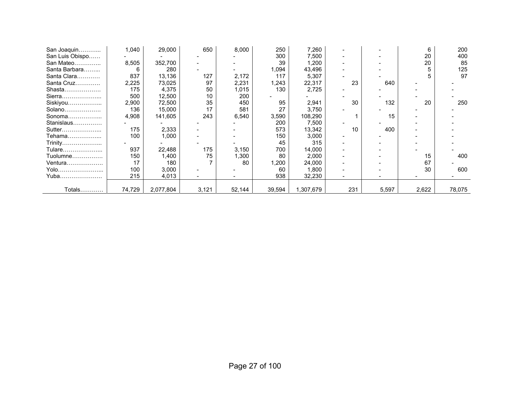| San Joaquin     | 1,040  | 29,000    | 650   | 8,000  | 250    | 7,260     |     |       | 6     | 200    |
|-----------------|--------|-----------|-------|--------|--------|-----------|-----|-------|-------|--------|
| San Luis Obispo |        |           |       |        | 300    | 7,500     |     |       | 20    | 400    |
| San Mateo       | 8,505  | 352,700   |       |        | 39     | 1,200     |     |       | 20    | 85     |
| Santa Barbara   | 6      | 280       |       |        | .094 ا | 43,496    |     |       |       | 125    |
| Santa Clara     | 837    | 13,136    | 127   | 2,172  | 117    | 5,307     |     |       |       | 97     |
| Santa Cruz      | 2,225  | 73,025    | 97    | 2,231  | 1,243  | 22,317    | 23  | 640   |       |        |
| Shasta          | 175    | 4,375     | 50    | 1,015  | 130    | 2,725     |     |       |       |        |
| Sierra          | 500    | 12,500    | 10    | 200    |        |           |     |       |       |        |
| Siskiyou        | 2,900  | 72,500    | 35    | 450    | 95     | 2,941     | 30  | 132   | 20    | 250    |
| Solano          | 136    | 15,000    | 17    | 581    | 27     | 3,750     |     |       |       |        |
| Sonoma          | 4,908  | 141,605   | 243   | 6,540  | 3,590  | 108,290   |     | 15    |       |        |
| Stanislaus      |        |           |       |        | 200    | 7,500     |     |       |       |        |
| Sutter          | 175    | 2,333     |       |        | 573    | 13,342    | 10  | 400   |       |        |
| Tehama          | 100    | 1,000     |       |        | 150    | 3,000     |     |       |       |        |
| Trinity         |        |           |       |        | 45     | 315       |     |       |       |        |
| Tulare          | 937    | 22,488    | 175   | 3,150  | 700    | 14,000    |     |       |       |        |
| Tuolumne        | 150    | 1,400     | 75    | 1,300  | 80     | 2,000     |     |       | 15    | 400    |
| <u> Ventura</u> | 17     | 180       |       | 80     | ,200   | 24,000    |     |       | 67    |        |
| Yolo……………………    | 100    | 3,000     |       |        | 60     | 1,800     |     |       | 30    | 600    |
| Yuba            | 215    | 4,013     |       |        | 938    | 32,230    |     |       |       |        |
|                 |        |           |       |        |        |           |     |       |       |        |
| Totals…………      | 74,729 | 2,077,804 | 3,121 | 52,144 | 39,594 | 1,307,679 | 231 | 5,597 | 2,622 | 78,075 |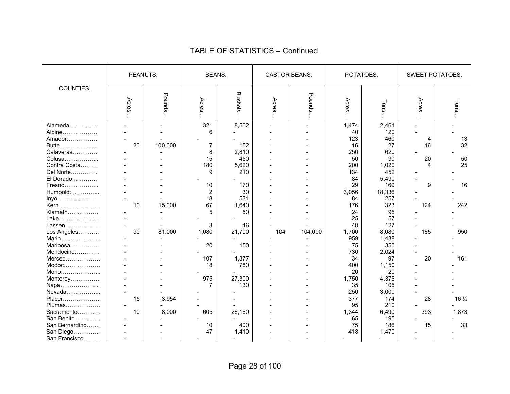|                | PEANUTS.       |         | <b>BEANS.</b> |                | CASTOR BEANS. |                          | POTATOES. |        | SWEET POTATOES. |                 |  |
|----------------|----------------|---------|---------------|----------------|---------------|--------------------------|-----------|--------|-----------------|-----------------|--|
| COUNTIES.      | Acres          | Pounds. | Acres         | <b>Bushels</b> | Acres         | Pounds.                  | Acres     | Tons   | Acres           | Tons.           |  |
| Alameda        | $\overline{a}$ |         | 321           | 8,502          | ÷             | $\overline{\phantom{a}}$ | 1,474     | 2,461  |                 |                 |  |
| Alpine         |                |         | 6             |                |               |                          | 40        | 120    |                 |                 |  |
| Amador         |                |         |               |                |               |                          | 123       | 460    | 4               | 13              |  |
| Butte          | 20             | 100,000 | 7             | 152            |               |                          | 16        | 27     | 16              | 32              |  |
| Calaveras      |                |         | 8             | 2,810          |               |                          | 250       | 620    |                 |                 |  |
| Colusa         |                |         | 15            | 450            |               |                          | 50        | 90     | 20              | 50              |  |
| Contra Costa   |                |         | 180           | 5,620          |               |                          | 200       | 1,020  | 4               | 25              |  |
| Del Norte      |                |         | 9             | 210            |               |                          | 134       | 452    |                 |                 |  |
| El Dorado      |                |         |               |                |               |                          | 84        | 5,490  |                 |                 |  |
| Fresno         |                |         | 10            | 170            |               |                          | 29        | 160    | 9               | 16              |  |
| Humboldt       |                |         | 2             | 30             |               |                          | 3,056     | 18,336 |                 |                 |  |
| Inyo           |                |         | 18            | 531            |               |                          | 84        | 257    |                 |                 |  |
| Kern           | 10             | 15,000  | 67            | 1,640          |               |                          | 176       | 323    | 124             | 242             |  |
| Klamath        |                |         | 5             | 50             |               |                          | 24        | 95     |                 |                 |  |
| Lake           |                |         |               |                |               |                          | 25        | 57     |                 |                 |  |
| Lassen         |                |         | 3             | 46             |               |                          | 48        | 127    |                 |                 |  |
| Los Angeles    | 90             | 81,000  | 1,080         | 21,700         | 104           | 104,000                  | 1,700     | 8,080  | 165             | 950             |  |
| Marin          |                |         |               |                |               |                          | 959       | 1,438  |                 |                 |  |
| Mariposa       |                |         | 20            | 150            |               |                          | 75        | 350    |                 |                 |  |
| Mendocino      |                |         |               |                |               |                          | 730       | 2,024  |                 |                 |  |
| Merced         |                |         | 107           | 1,377          |               |                          | 34        | 97     | 20              | 161             |  |
| Modoc          |                |         | 18            | 780            |               |                          | 400       | 1,150  |                 |                 |  |
| Mono           |                |         |               |                |               |                          | 20        | 20     |                 |                 |  |
| Monterey       |                |         | 975           | 27,300         |               |                          | 1,750     | 4,375  |                 |                 |  |
| Napa           |                |         | 7             | 130            |               |                          | 35        | 105    |                 |                 |  |
| Nevada         |                |         |               |                |               |                          | 250       | 3,000  |                 |                 |  |
| Placer         | 15             | 3,954   |               |                |               |                          | 377       | 174    | 28              | $16\frac{1}{2}$ |  |
| Plumas         |                |         |               |                |               |                          | 95        | 210    |                 |                 |  |
| Sacramento     | 10             | 8,000   | 605           | 26,160         |               |                          | 1,344     | 6,490  | 393             | 1,873           |  |
| San Benito     |                |         |               |                |               |                          | 65        | 195    |                 |                 |  |
| San Bernardino |                |         | 10            | 400            |               |                          | 75        | 186    | 15              | 33              |  |
| San Diego      | $\blacksquare$ |         | 47            | 1,410          |               |                          | 418       | 1,470  |                 |                 |  |
| San Francisco  | $\overline{a}$ |         |               |                |               |                          |           |        |                 |                 |  |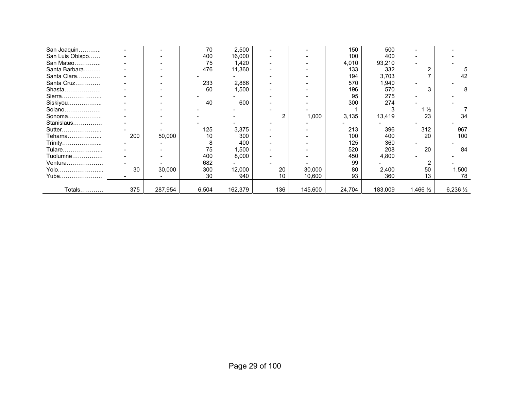| San Joaquin     |     |         | 70    | 2,500   |     |         | 150    | 500     |                |                    |
|-----------------|-----|---------|-------|---------|-----|---------|--------|---------|----------------|--------------------|
| San Luis Obispo |     |         | 400   | 16,000  |     |         | 100    | 400     |                |                    |
| San Mateo       |     |         | 75    | 1,420   |     |         | 4,010  | 93,210  |                |                    |
| Santa Barbara   |     |         | 476   | 11,360  |     |         | 133    | 332     |                |                    |
| Santa Clara     |     |         |       |         |     |         | 194    | 3,703   |                | 42                 |
| Santa Cruz      |     |         | 233   | 2,866   |     |         | 570    | 1,940   |                |                    |
| Shasta          |     |         | 60    | 1,500   |     |         | 196    | 570     |                |                    |
| Sierra          |     |         |       |         |     |         | 95     | 275     |                |                    |
| Siskiyou        |     |         | 40    | 600     |     |         | 300    | 274     |                |                    |
| Solano          |     |         |       |         |     |         |        |         | $1\frac{1}{2}$ |                    |
| Sonoma          |     |         |       |         | 2   | 1,000   | 3,135  | 13,419  | 23             | 34                 |
| Stanislaus      |     |         |       |         |     |         |        |         |                |                    |
| Sutter          |     |         | 125   | 3,375   |     |         | 213    | 396     | 312            | 967                |
| Tehama          | 200 | 50,000  | 10    | 300     |     |         | 100    | 400     | 20             | 100                |
| Trinity         |     |         |       | 400     |     |         | 125    | 360     |                |                    |
| Tulare          |     |         | 75    | 1,500   |     |         | 520    | 208     | 20             | 84                 |
| Tuolumne        |     |         | 400   | 8,000   |     |         | 450    | 4,800   |                |                    |
| Ventura         |     |         | 682   |         |     |         | 99     |         |                |                    |
| Yolo            | 30  | 30,000  | 300   | 12,000  | 20  | 30,000  | 80     | 2,400   | 50             | 1,500              |
| Yuba            |     |         | 30    | 940     | 10  | 10,600  | 93     | 360     | 13             | 78                 |
|                 |     |         |       |         |     |         |        |         |                |                    |
| Totals          | 375 | 287,954 | 6,504 | 162,379 | 136 | 145,600 | 24,704 | 183,009 | 1,466 1/2      | $6,236\frac{1}{2}$ |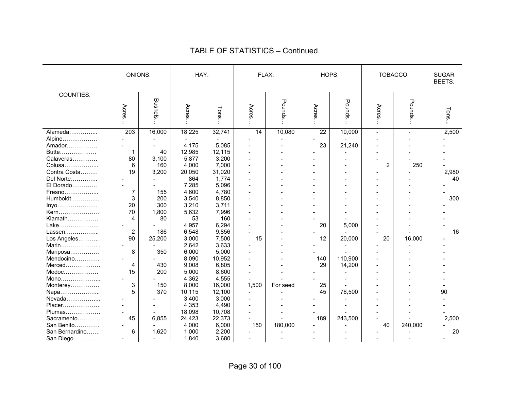|                | ONIONS.          |         | HAY.   |        |                          | FLAX.    | HOPS.           |                | TOBACCO.       |                | <b>SUGAR</b><br>BEETS. |
|----------------|------------------|---------|--------|--------|--------------------------|----------|-----------------|----------------|----------------|----------------|------------------------|
| COUNTIES.      | Acres            | Bushels | Acres  | Tons   | Acres                    | Pounds   | Acres           | Pounds         | Acres          | Pounds         | Tons                   |
| Alameda        | $\overline{203}$ | 16,000  | 18,225 | 32,741 | $\overline{14}$          | 10,080   | $\overline{22}$ | 10,000         | $\sim$         | $\blacksquare$ | 2,500                  |
| Alpine         |                  |         |        |        |                          |          |                 |                |                |                |                        |
| Amador         |                  |         | 4,175  | 5,085  |                          |          | 23              | 21,240         |                |                |                        |
| Butte          | 1                | 40      | 12,985 | 12,115 |                          |          |                 |                |                |                |                        |
| Calaveras      | 80               | 3,100   | 5,877  | 3,200  | ÷                        |          |                 |                |                |                |                        |
| Colusa         | 6                | 160     | 4,000  | 7,000  | ۳                        |          |                 |                | $\overline{2}$ | 250            |                        |
| Contra Costa   | 19               | 3,200   | 20,050 | 31,020 | $\overline{\phantom{0}}$ |          |                 |                |                |                | 2,980                  |
| Del Norte      |                  |         | 864    | 1,774  | ۳                        |          |                 |                |                |                | 40                     |
| El Dorado      |                  |         | 7,285  | 5,096  |                          |          |                 |                |                |                |                        |
| Fresno         | $\overline{7}$   | 155     | 4,600  | 4,780  | ÷                        |          |                 |                |                |                |                        |
| Humboldt       | 3                | 200     | 3,540  | 8,850  |                          |          |                 |                |                |                | 300                    |
| Inyo           | 20               | 300     | 3,210  | 3,711  |                          |          |                 |                |                |                |                        |
| Kern           | 70               | 1,800   | 5,632  | 7,996  |                          |          |                 |                |                |                |                        |
| Klamath        | 4                | 80      | 53     | 160    |                          |          |                 |                |                |                |                        |
| Lake           |                  |         | 4,957  | 6,294  | ۳                        |          | 20              | 5,000          |                |                |                        |
| Lassen         | 2                | 186     | 6,548  | 9,856  |                          |          |                 |                |                |                | 16                     |
| Los Angeles    | 90               | 25,200  | 3,000  | 7,500  | 15                       |          | 12              | 20,000         | 20             | 16,000         |                        |
| Marin          |                  |         | 2,642  | 3,633  |                          |          |                 |                |                |                |                        |
| Mariposa       | 8                | 350     | 6,000  | 5,000  |                          |          |                 |                |                |                |                        |
| Mendocino      |                  |         | 8,090  | 10,952 |                          |          | 140             | 110,900        |                |                |                        |
| Merced         | 4                | 430     | 9,008  | 6,805  |                          |          | 29              | 14,200         |                |                |                        |
| Modoc          | 15               | 200     | 5,000  | 8,600  | $\overline{\phantom{0}}$ |          |                 |                |                |                |                        |
| Mono           |                  |         | 4,362  | 4,555  | $\overline{\phantom{0}}$ |          |                 | $\blacksquare$ |                |                |                        |
| Monterey       | 3                | 150     | 8,000  | 16,000 | 1,500                    | For seed | 25              |                |                |                |                        |
| Napa           | 5                | 370     | 10,115 | 12,100 |                          |          | 45              | 76,500         |                |                | 90                     |
| Nevada         |                  |         | 3,400  | 3,000  |                          |          |                 |                |                |                |                        |
| Placer         |                  |         | 4,353  | 4,490  |                          |          |                 |                |                |                |                        |
| Plumas         | $\blacksquare$   |         | 18,098 | 10,708 |                          |          |                 |                |                |                |                        |
| Sacramento     | 45               | 6,855   | 24,423 | 22,373 |                          |          | 189             | 243,500        |                |                | 2,500                  |
| San Benito     |                  |         | 4,000  | 6,000  | 150                      | 180,000  |                 |                | 40             | 240,000        |                        |
| San Bernardino | 6                | 1,620   | 1,000  | 2,200  |                          |          |                 |                |                |                | 20                     |
| San Diego      |                  |         | 1,840  | 3,680  |                          |          |                 |                |                |                |                        |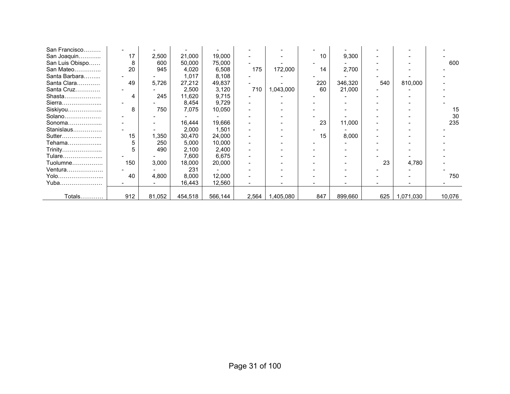| San Francisco   |     |        |         |         |       |           |     |         |     |           |        |
|-----------------|-----|--------|---------|---------|-------|-----------|-----|---------|-----|-----------|--------|
| San Joaquin     | 17  | 2,500  | 21,000  | 19,000  |       |           | 10  | 9,300   |     |           |        |
| San Luis Obispo | 8   | 600    | 50,000  | 75,000  |       |           |     |         |     |           | 600    |
| San Mateo       | 20  | 945    | 4,020   | 6,508   | 175   | 172,000   | 14  | 2,700   |     |           |        |
| Santa Barbara   |     |        | 1,017   | 8,108   |       |           |     |         |     |           |        |
| Santa Clara     | 49  | 5,726  | 27,212  | 49,837  |       |           | 220 | 346,320 | 540 | 810,000   |        |
| Santa Cruz      |     |        | 2,500   | 3,120   | 710   | 1,043,000 | 60  | 21,000  |     |           |        |
| Shasta          | 4   | 245    | 11,620  | 9,715   |       |           |     |         |     |           |        |
| Sierra          |     |        | 8,454   | 9,729   |       |           |     |         |     |           |        |
| Siskiyou        | 8   | 750    | 7,075   | 10,050  |       |           |     |         |     |           | 15     |
| Solano          |     |        |         |         |       |           |     |         |     |           | 30     |
| Sonoma          |     |        | 16,444  | 19,666  |       |           | 23  | 11,000  |     |           | 235    |
| Stanislaus      |     |        | 2,000   | 1,501   |       |           |     |         |     |           |        |
| Sutter          | 15  | 1,350  | 30,470  | 24,000  |       |           | 15  | 8,000   |     |           |        |
| Tehama          |     | 250    | 5,000   | 10,000  |       |           |     |         |     |           |        |
| Trinity         |     | 490    | 2,100   | 2,400   |       |           |     |         |     |           |        |
| Tulare          |     |        | 7,600   | 6,675   |       |           |     |         |     |           |        |
| Tuolumne…………….  | 150 | 3,000  | 18,000  | 20,000  |       |           |     |         | 23  | 4,780     |        |
| Ventura         |     |        | 231     |         |       |           |     |         |     |           |        |
| Yolo            | 40  | 4,800  | 8,000   | 12,000  |       |           |     |         |     |           | 750    |
| Yuba            |     |        | 16,443  | 12,560  |       |           |     |         |     |           |        |
|                 |     |        |         |         |       |           |     |         |     |           |        |
| Totals          | 912 | 81,052 | 454,518 | 566,144 | 2,564 | 1,405,080 | 847 | 899,660 | 625 | 1,071,030 | 10,076 |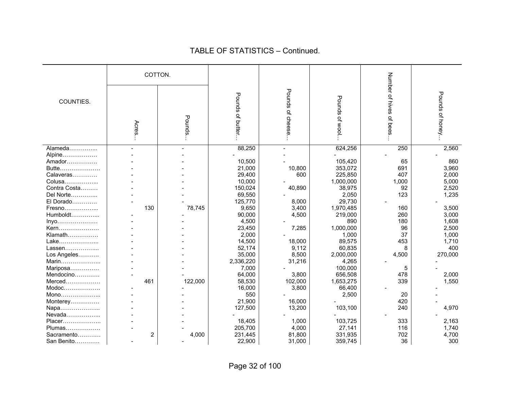#### COTTON. Number of hives of bees Number of hives of bees… Pounds of cheese Pounds of cheese… Pounds of honey... Pounds of honey… Pounds of butter. Pounds of butter… Pounds of wool Pounds of wool… COUNTIES. Pounds… Acres… Alameda…………... - - 88,250 - 624,256 250 2,560 Alpine……………… | - | - | - | - | - | -Amador…………… - - 10,500 - 105,420 65 860 Butte………………… - 21,000 10,800 353,072 691 3,960 Calaveras………… | - | - | 29,400 | 600 | 225,850 | 407 | 2,000 Colusa……………... - - 10,000 - 1,000,000 1,000 5,000 Contra Costa……… - - 150,024 40,890 38,975 92 2,520 Del Norte…………... - - 69,550 | - 2,050 | 123 | 1,235 El Dorado………… | - | - | 125.770 | 8.000 | 29.730 Fresno……………... 130 78,745 9,650 3,400 1,970,485 160 3,500 Humboldt…………... - - 90,000 4,500 219,000 260 3,000 Invo……………… │ - │ - │ 4,500 │ 890 │ 180 │ 1,608 Kern………………… - - 23,450 7,285 1,000,000 96 2,500 Klamath…………… | - | - | 2,000 | - 1,000 | 37 | 1,000 Lake………………… │ - │ - │ 14,500 │ 18,000 │ 89,575 │ 453 │ 1,710 Lassen……………… - 52,174 9,112 60,835 8 400 Los Angeles……….. | The result of the state of the state of the state of the state of the state of the state of t Marin………………... - - 2,336,220 31,216 4,265 - - Mariposa…………… - - 7,000 - 100,000 5 Mendocino………… - - 64,000 3,800 656,508 2,000 Merced……………… 461 122,000 58,530 102,000 1,653,275 339 1,550 Modoc……………… | - | - 16,000 | 3,800 | 66,400 Mono………………... - - 550 - 2,500 20 - Monterey…………… | - | - | 21,900 | 16,000 | - | 420 Napa………………… - 127,500 13,200 103,100 240 4,970 Nevada……………… Placer………………… | - - | 18,405 | 1,000 | 103,725 | 333 | 2,163 Plumas……………… - 205.700 4.000 27.141 116 1.740 Sacramento………… | 2 | 4,000 | 231,445 | 81,800 | 331,935 | 702 | 4,700 San Benito………… | - | - | 22,900 | 31,000 | 359,745 | 36 | 300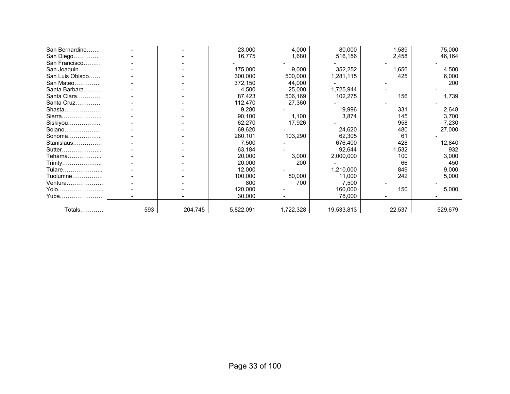| San Bernardino  |     |         | 23,000    | 4,000     | 80,000     | 1,589  | 75,000  |
|-----------------|-----|---------|-----------|-----------|------------|--------|---------|
| San Diego       |     |         | 16,775    | 1,680     | 516,156    | 2,458  | 46,164  |
| San Francisco   |     |         |           |           |            |        |         |
| San Joaquin     |     |         | 175,000   | 9,000     | 352,252    | 1,656  | 4,500   |
| San Luis Obispo |     |         | 300,000   | 500,000   | 1,281,115  | 425    | 6,000   |
| San Mateo       |     |         | 372,150   | 44,000    |            |        | 200     |
| Santa Barbara   |     |         | 4,500     | 25,000    | 1,725,944  |        |         |
| Santa Clara     |     |         | 87,423    | 506,169   | 102,275    | 156    | 1,739   |
| Santa Cruz      |     |         | 112,470   | 27,360    |            |        |         |
| Shasta          |     |         | 9,280     |           | 19,996     | 331    | 2,648   |
| Sierra          |     |         | 90,100    | 1,100     | 3,874      | 145    | 3,700   |
| Siskiyou        |     |         | 62,270    | 17,926    |            | 958    | 7,230   |
| Solano          |     |         | 69,620    |           | 24,620     | 480    | 27,000  |
| Sonoma          |     |         | 280,101   | 103,290   | 62,305     | 61     |         |
| Stanislaus      |     |         | 7,500     |           | 676,400    | 428    | 12,840  |
| Sutter          |     |         | 63,184    |           | 92,644     | 1,532  | 932     |
| Tehama          |     |         | 20,000    | 3,000     | 2,000,000  | 100    | 3,000   |
| Trinity         |     |         | 20,000    | 200       |            | 66     | 450     |
| Tulare          |     |         | 12,000    |           | 1,210,000  | 849    | 9,000   |
| Tuolumne        |     |         | 100,000   | 80,000    | 11,000     | 242    | 5,000   |
| Ventura         |     |         | 800       | 700       | 7,500      |        |         |
| Yolo            |     |         | 120,000   |           | 160,000    | 150    | 5,000   |
| Yuba            |     |         | 30,000    |           | 78,000     |        |         |
|                 |     |         |           |           |            |        |         |
| Totals          | 593 | 204,745 | 5,822,091 | 1,722,328 | 19,533,813 | 22,537 | 529,679 |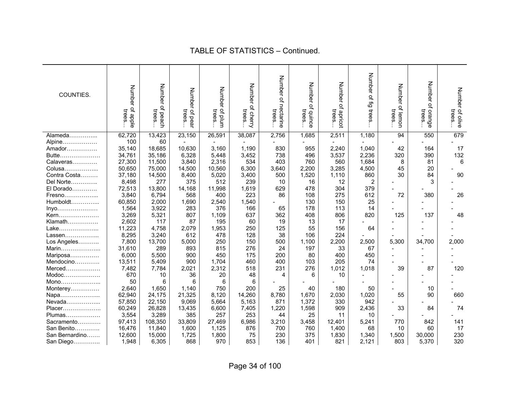| COUNTIES.      | Number<br>of apple<br>trees. | Number<br>of peach<br>trees | Number<br>r of pear<br>trees | Number<br>of plum<br>trees | Number<br>of cherry<br>trees | Number of<br>nectarine<br>trees | <b>Number</b><br>of quince<br>trees. | Number<br>of apricot<br>trees | Number of fig trees | Number<br>of lemon<br>trees | <b>Number</b><br>of orange<br>trees | Number of olive<br>trees |
|----------------|------------------------------|-----------------------------|------------------------------|----------------------------|------------------------------|---------------------------------|--------------------------------------|-------------------------------|---------------------|-----------------------------|-------------------------------------|--------------------------|
| Alameda        | 62,720                       | 13,423                      | 23,150                       | 26,591                     | 38,087                       | 2,756                           | 1,685                                | 2,511                         | 1,180               | 94                          | 550                                 | 679                      |
| Alpine         | 100                          | 60                          |                              |                            |                              |                                 |                                      |                               |                     |                             |                                     |                          |
| Amador         | 35,140                       | 18,685                      | 10,630                       | 3,160                      | 1,190                        | 830                             | 955                                  | 2,240                         | 1,040               | 42                          | 164                                 | 17                       |
| Butte          | 34,761                       | 35,186                      | 6,328                        | 5,448                      | 3,452                        | 738                             | 496                                  | 3,537                         | 2,236               | 320                         | 390                                 | 132                      |
| Calaveras      | 27,300                       | 11,500                      | 3,840                        | 2,316                      | 534                          | 403                             | 760                                  | 560                           | 1,684               | 8                           | 81                                  | 6                        |
| Colusa         | 50,650                       | 75,000                      | 14,500                       | 10,560                     | 6,300                        | 3,640                           | 2,200                                | 3,285                         | 4,500               | 45                          | 20                                  |                          |
| Contra Costa   | 37,180                       | 14,500                      | 8,400                        | 5,020                      | 3,400                        | 500                             | 1,520                                | 1,110                         | 860                 | 30                          | 84                                  | 90                       |
| Del Norte      | 8,498                        | 277                         | 375                          | 512                        | 239                          | 10                              | 16                                   | 12                            | $\overline{2}$      |                             | 3                                   |                          |
| El Dorado      | 72,513                       | 13,800                      | 14,168                       | 11,998                     | 1,619                        | 629                             | 478                                  | 304                           | 379                 |                             |                                     |                          |
| Fresno         | 3,840                        | 6,794                       | 568                          | 400                        | 223                          | 86                              | 108                                  | 275                           | 612                 | 72                          | 380                                 | 26                       |
| Humboldt       | 60,850                       | 2,000                       | 1,690                        | 2,540                      | 1,540                        |                                 | 130                                  | 150                           | 25                  |                             |                                     |                          |
| Inyo           | 1,564                        | 3,922                       | 283                          | 376                        | 166                          | 65                              | 178                                  | 113                           | 14                  |                             |                                     |                          |
| Kern           | 3,269                        | 5,321                       | 807                          | 1,109                      | 637                          | 362                             | 408                                  | 806                           | 820                 | 125                         | 137                                 | 48                       |
| Klamath        | 2,602                        | 117                         | 87                           | 195                        | 60                           | 19                              | 13                                   | 17                            |                     |                             |                                     |                          |
| Lake           | 11,223                       | 4,758                       | 2,079                        | 1,953                      | 250                          | 125                             | 55                                   | 156                           | 64                  |                             |                                     |                          |
| Lassen         | 8,295                        | 3,240                       | 612                          | 478                        | 128                          | 38                              | 106                                  | 224                           |                     |                             |                                     |                          |
| Los Angeles    | 7,800                        | 13,700                      | 5,000                        | 250                        | 150                          | 500                             | 1,100                                | 2,200                         | 2,500               | 5,300                       | 34,700                              | 2,000                    |
| Marin          | 31,610                       | 289                         | 893                          | 815                        | 276                          | 24                              | 197                                  | 33                            | 67                  |                             |                                     |                          |
| Mariposa       | 6,000                        | 5,500                       | 900                          | 450                        | 175                          | 200                             | 80                                   | 400                           | 450                 |                             |                                     |                          |
| Mendocino      | 13,511                       | 5,409                       | 900                          | 1,704                      | 460                          | 400                             | 103                                  | 205                           | 74                  |                             |                                     |                          |
| Merced         | 7,482                        | 7,784                       | 2,021                        | 2,312                      | 518                          | 231                             | 276                                  | 1,012                         | 1,018               | 39                          | 87                                  | 120                      |
| $Modoc$        | 670                          | 10                          | 36                           | 20                         | 48                           | 4                               | 6                                    | 10                            |                     |                             |                                     |                          |
| Mono           | 50                           | 6                           | 6                            | 6                          | 6                            |                                 |                                      |                               |                     |                             |                                     |                          |
| Monterey       | 2,640                        | 1,650                       | 1,140                        | 750                        | 200                          | 25                              | 40                                   | 180                           | 50                  |                             | 10                                  |                          |
| Napa           | 62,940                       | 24,175                      | 21,325                       | 8,120                      | 14,260                       | 8,780                           | 1,670                                | 2,030                         | 1,020               | 55                          | 90                                  | 660                      |
| Nevada         | 57,850                       | 22,150                      | 9,069                        | 5,664                      | 5,163                        | 871                             | 1,372                                | 330                           | 942                 |                             |                                     |                          |
| Placer         | 60,249                       | 26,828                      | 13,435                       | 6,600                      | 7,405                        | 1,220                           | 1,598                                | 909                           | 2,436               | 33                          | 84                                  | 74                       |
| Plumas         | 3,554                        | 3,289                       | 385                          | 257                        | 253                          | 44                              | 25                                   | 11                            | 10                  |                             |                                     |                          |
| Sacramento     | 97,413                       | 108,350                     | 33,809                       | 27,469                     | 6,986                        | 3,210                           | 3,458                                | 12,401                        | 5,241               | 770                         | 842                                 | 141                      |
| San Benito     | 16,476                       | 11,840                      | 1,600                        | 1,125                      | 876                          | 700                             | 760                                  | 1,400                         | 68                  | 10                          | 60                                  | 17                       |
| San Bernardino | 12,600                       | 15,000                      | 1,725                        | 1,800                      | 75                           | 230                             | 375                                  | 1,830                         | 1,340               | 1,500                       | 30,000                              | 230                      |
| San Diego      | 1,948                        | 6,305                       | 868                          | 970                        | 853                          | 136                             | 401                                  | 821                           | 2,121               | 803                         | 5,370                               | 320                      |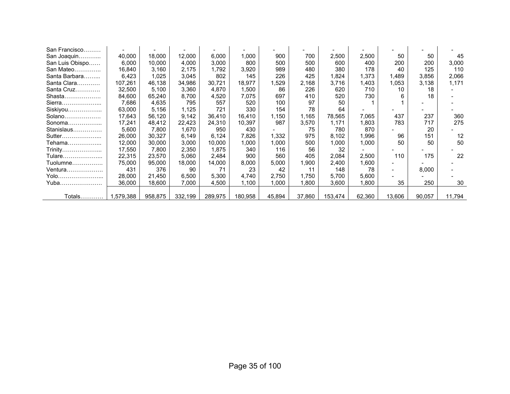| San Francisco   |           |         |         |         |         |        |        |         |        |        |        |        |
|-----------------|-----------|---------|---------|---------|---------|--------|--------|---------|--------|--------|--------|--------|
| San Joaquin     | 40,000    | 18,000  | 12,000  | 6,000   | 000.    | 900    | 700    | 2,500   | 2,500  | 50     | 50     | 45     |
| San Luis Obispo | 6,000     | 10,000  | 4,000   | 3,000   | 800     | 500    | 500    | 600     | 400    | 200    | 200    | 3,000  |
| San Mateo       | 16,840    | 3,160   | 2,175   | 1,792   | 3,920   | 989    | 480    | 380     | 178    | 40     | 125    | 110    |
| Santa Barbara   | 6,423     | 1,025   | 3,045   | 802     | 145     | 226    | 425    | 1,824   | ,373   | 1,489  | 3,856  | 2,066  |
| Santa Clara     | 107,261   | 46,138  | 34,986  | 30,721  | 18,977  | 1,529  | 2,168  | 3,716   | ,403   | 1,053  | 3,138  | 1,171  |
| Santa Cruz      | 32,500    | 5,100   | 3,360   | 4,870   | .500    | 86     | 226    | 620     | 710    | 10     | 18     |        |
| Shasta          | 84,600    | 65,240  | 8,700   | 4,520   | 7,075   | 697    | 410    | 520     | 730    | 6      | 18     |        |
| Sierra          | 7,686     | 4,635   | 795     | 557     | 520     | 100    | 97     | 50      |        |        |        |        |
| Siskiyou        | 63,000    | 5,156   | 1,125   | 721     | 330     | 154    | 78     | 64      |        |        |        |        |
| Solano          | 17,643    | 56,120  | 9,142   | 36,410  | 16.410  | 1,150  | 1,165  | 78,565  | 7.065  | 437    | 237    | 360    |
| Sonoma          | 17,241    | 48,412  | 22,423  | 24,310  | 10,397  | 987    | 3,570  | 1,171   | 1,803  | 783    | 717    | 275    |
| Stanislaus      | 5,600     | 7,800   | 1,670   | 950     | 430     |        | 75     | 780     | 870    |        | 20     |        |
| Sutter          | 26,000    | 30,327  | 6,149   | 6,124   | 7,826   | 1,332  | 975    | 8,102   | 1,996  | 96     | 151    | 12     |
| Tehama          | 12,000    | 30,000  | 3,000   | 10,000  | ,000    | 1,000  | 500    | 1,000   | 1,000  | 50     | 50     | 50     |
| Trinity         | 17,550    | 7,800   | 2,350   | 1,875   | 340     | 116    | 56     | 32      |        |        |        |        |
| Tulare          | 22,315    | 23,570  | 5,060   | 2,484   | 900     | 560    | 405    | 2,084   | 2,500  | 110    | 175    | 22     |
| Tuolumne        | 75,000    | 95,000  | 18,000  | 14,000  | 8,000   | 5,000  | 1,900  | 2,400   | 1,600  |        |        |        |
| $V$ entura      | 431       | 376     | 90      | 71      | 23      | 42     | 11     | 148     | 78     |        | 8,000  |        |
| Yolo            | 28,000    | 21.450  | 6,500   | 5,300   | 4.740   | 2.750  | 1.750  | 5.700   | 5,600  |        |        |        |
| Yuba            | 36,000    | 18,600  | 7,000   | 4,500   | 1,100   | 1,000  | 1.800  | 3,600   | .800   | 35     | 250    | 30     |
|                 |           |         |         |         |         |        |        |         |        |        |        |        |
| Totals          | 1,579,388 | 958,875 | 332,199 | 289,975 | 180,958 | 45,894 | 37,860 | 153,474 | 62,360 | 13,606 | 90,057 | 11,794 |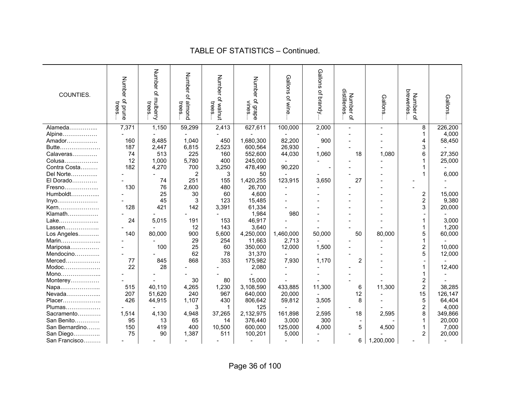| COUNTIES.                                                                                                                      | Number<br>of prune<br>trees | Number<br>$\mathbf{Q}$<br>i mulberry<br>trees | Number of almond<br>trees | Number<br>of walnut<br>trees | Number<br>r of grape<br>vines | Gallons<br>of wine | Gallons<br>of brandy | distilleries<br>Number of | Gallons   | breweries<br>Number<br>$\Omega$ | Gallons |
|--------------------------------------------------------------------------------------------------------------------------------|-----------------------------|-----------------------------------------------|---------------------------|------------------------------|-------------------------------|--------------------|----------------------|---------------------------|-----------|---------------------------------|---------|
| Alameda                                                                                                                        | 7,371                       | 1,150                                         | 59,299                    | 2,413                        | 627,611                       | 100,000            | 2,000                |                           |           | 8                               | 226,200 |
| Alpine                                                                                                                         |                             |                                               |                           |                              |                               |                    |                      |                           |           |                                 | 4,000   |
| Amador                                                                                                                         | 160                         | 8,485                                         | 1,040                     | 450                          | 1,680,300                     | 82,200             | 900                  |                           |           | 4                               | 58,450  |
| Butte                                                                                                                          | 187                         | 2,447                                         | 6,815                     | 2,523                        | 600,564                       | 26,930             |                      |                           |           | 3                               |         |
| Calaveras                                                                                                                      | 74                          | 513                                           | 225                       | 160                          | 552,600                       | 44,030             | 1,060                | 18                        | 1.080     | 6                               | 27,350  |
| Colusa                                                                                                                         | 12                          | 1,000                                         | 5,780                     | 400                          | 245,000                       |                    |                      |                           |           |                                 | 25,000  |
| Contra Costa                                                                                                                   | 182                         | 4,270                                         | 700                       | 3,250                        | 478,490                       | 90,220             |                      |                           |           |                                 |         |
| Del Norte                                                                                                                      |                             |                                               | 2                         | 3                            | 50                            |                    |                      |                           |           |                                 | 6,000   |
| El Dorado                                                                                                                      |                             | 74                                            | 251                       | 155                          | 1,420,255                     | 123,915            | 3,650                | 27                        |           |                                 |         |
| Fresno                                                                                                                         | 130                         | 76                                            | 2,600                     | 480                          | 26,700                        |                    |                      |                           |           |                                 |         |
| Humboldt                                                                                                                       |                             | 25                                            | 30                        | 60                           | 4,600                         |                    |                      |                           |           | $\overline{\mathbf{c}}$         | 15,000  |
|                                                                                                                                |                             | 45                                            | 3                         | 123                          | 15,485                        |                    |                      |                           |           | $\overline{2}$                  | 9,380   |
| Inyo                                                                                                                           | 128                         | 421                                           | 142                       | 3,391                        | 61,334                        |                    |                      |                           |           | 3                               | 20,000  |
| Kern<br>Klamath                                                                                                                |                             |                                               |                           |                              | 1,984                         | 980                |                      |                           |           |                                 |         |
|                                                                                                                                | 24                          |                                               |                           |                              | 46,917                        |                    |                      |                           |           |                                 | 3,000   |
| Lake<br>Lassen                                                                                                                 |                             | 5,015                                         | 191<br>12                 | 153<br>143                   | 3,640                         |                    |                      |                           |           |                                 | 1,200   |
|                                                                                                                                |                             |                                               |                           |                              |                               | 1,460,000          |                      | 50                        |           | 5                               |         |
| Los Angeles                                                                                                                    | 140                         | 80,000                                        | 900                       | 5,600                        | 4,250,000                     |                    | 50,000               |                           | 80,000    |                                 | 60,000  |
| Marin                                                                                                                          |                             |                                               | 29                        | 254                          | 11,663                        | 2,713              |                      |                           |           |                                 |         |
| Mariposa                                                                                                                       |                             | 100                                           | 25                        | 60                           | 350,000                       | 12,000             | 1,500                |                           |           | 2                               | 10,000  |
| Mendocino                                                                                                                      |                             |                                               | 62                        | 78                           | 31,370                        |                    |                      |                           |           | 5                               | 12,000  |
| Merced                                                                                                                         | 77                          | 845                                           | 868                       | 353                          | 175,982                       | 7,930              | 1,170                | $\overline{2}$            |           |                                 |         |
| $\mathsf{Modoc}\hspace{-0.04cm}\ldots\hspace{-0.04cm}\ldots\hspace{-0.04cm}\ldots\hspace{-0.04cm}\ldots\hspace{-0.04cm}\ldots$ | 22                          | 28                                            |                           |                              | 2,080                         |                    |                      |                           |           |                                 | 12,400  |
| Mono                                                                                                                           |                             |                                               |                           |                              |                               |                    |                      |                           |           |                                 |         |
| Monterey                                                                                                                       |                             |                                               | 30                        | 80                           | 15,000                        |                    |                      |                           |           | 2                               |         |
| Napa                                                                                                                           | 515                         | 40.110                                        | 4,265                     | 1,230                        | 3,108,590                     | 433,885            | 11,300               | 6                         | 11,300    | $\overline{2}$                  | 38,285  |
| Nevada                                                                                                                         | 207                         | 51,620                                        | 240                       | 967                          | 640,000                       | 20,000             |                      | 12                        |           | 15                              | 126,147 |
| Placer                                                                                                                         | 426                         | 44,915                                        | 1,107                     | 430                          | 806,642                       | 59,812             | 3,505                | 8                         |           | 5                               | 64,404  |
| Plumas                                                                                                                         |                             |                                               | 3                         |                              | 125                           |                    |                      |                           |           | $\mathbf 2$                     | 4,000   |
| Sacramento                                                                                                                     | 1,514                       | 4,130                                         | 4,948                     | 37,265                       | 2,132,975                     | 161,898            | 2,595                | 18                        | 2,595     | 8                               | 349,866 |
| San Benito                                                                                                                     | 95                          | 13                                            | 65                        | 14                           | 376,440                       | 3,000              | 300                  |                           |           |                                 | 20,000  |
| San Bernardino                                                                                                                 | 150                         | 419                                           | 400                       | 10,500                       | 600,000                       | 125,000            | 4,000                | 5                         | 4,500     |                                 | 7,000   |
| San Diego                                                                                                                      | 75                          | 90                                            | 1,387                     | 511                          | 100,201                       | 5,000              |                      |                           |           | 2                               | 20,000  |
| San Francisco                                                                                                                  |                             |                                               |                           |                              |                               |                    |                      | 6                         | 1,200,000 |                                 |         |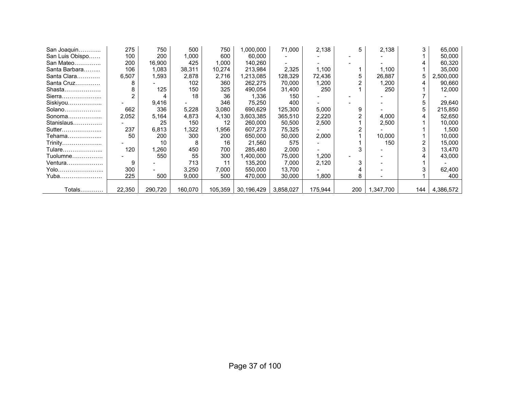| San Joaquin     | 275    | 750     | 500     | 750     | 000,000,   | 71,000    | 2,138   | 5   | 2,138    | 3   | 65,000    |
|-----------------|--------|---------|---------|---------|------------|-----------|---------|-----|----------|-----|-----------|
| San Luis Obispo | 100    | 200     | 1,000   | 600     | 60,000     |           |         |     |          |     | 50,000    |
| San Mateo       | 200    | 16,900  | 425     | 1.000   | 140,260    |           |         |     |          | 4   | 60,320    |
| Santa Barbara   | 106    | 1,083   | 38,311  | 10,274  | 213,984    | 2,325     | 1,100   |     | 1.100    |     | 35,000    |
| Santa Clara     | 6,507  | 1,593   | 2,878   | 2,716   | 1,213,085  | 128,329   | 72,436  |     | 26,887   | 5   | 2,500,000 |
| Santa Cruz      | 8      |         | 102     | 360     | 262,275    | 70,000    | 1,200   |     | ,200     | 4   | 90,660    |
| Shasta          | 8      | 125     | 150     | 325     | 490,054    | 31,400    | 250     |     | 250      |     | 12,000    |
| Sierra          |        |         | 18      | 36      | 1,336      | 150       |         |     |          |     |           |
| Siskiyou        |        | 9,416   |         | 346     | 75,250     | 400       |         |     |          | 5   | 29,640    |
| Solano          | 662    | 336     | 5,228   | 3,080   | 690,629    | 125.300   | 5,000   | 9   |          | 5   | 215,850   |
| Sonoma          | 2,052  | 5,164   | 4,873   | 4,130   | 3,603,385  | 365,510   | 2,220   |     | 4,000    |     | 52,650    |
| Stanislaus      |        | 25      | 150     | 12      | 260,000    | 50,500    | 2,500   |     | 2,500    |     | 10,000    |
| Sutter          | 237    | 6,813   | 1,322   | 1,956   | 607,273    | 75,325    |         |     |          |     | 1,500     |
| Tehama          | 50     | 200     | 300     | 200     | 650,000    | 50,000    | 2,000   |     | 10,000   |     | 10,000    |
| Trinity         |        | 10      | 8       | 16      | 21,560     | 575       |         |     | 150      | 2   | 15,000    |
| Tulare          | 120    | 260,    | 450     | 700     | 285,480    | 2,000     |         |     |          |     | 13,470    |
| Tuolumne        |        | 550     | 55      | 300     | .400,000   | 75,000    | 1,200   |     |          |     | 43,000    |
| Ventura         | 9      |         | 713     | 11      | 135,200    | 7,000     | 2,120   | 3   |          |     |           |
| Yolo            | 300    |         | 3,250   | 7,000   | 550,000    | 13,700    |         |     |          |     | 62,400    |
| Yuba            | 225    | 500     | 9,000   | 500     | 470.000    | 30.000    | 1,800   | 8   |          |     | 400       |
|                 |        |         |         |         |            |           |         |     |          |     |           |
| Totals          | 22,350 | 290,720 | 160,070 | 105,359 | 30,196,429 | 3,858,027 | 175,944 | 200 | ,347,700 | 144 | 4,386,572 |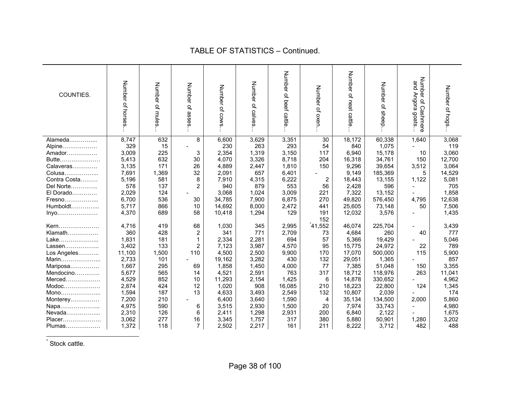| COUNTIES.    | Number<br>of horses | Number of mules | Number of asses | Number of cows | Number of<br>calves | Number of beef<br>i cattle | Number of oxen. | Number of neat cattle | Number of sheep | Number<br>and Angora<br>ٟۊ<br>Cashmere<br>goats | Number of hogs |
|--------------|---------------------|-----------------|-----------------|----------------|---------------------|----------------------------|-----------------|-----------------------|-----------------|-------------------------------------------------|----------------|
| Alameda      | 8,747               | 632             | 8               | 6,600          | 3,629               | 3,351                      | 30              | 18,172                | 60,338          | 1,640                                           | 3,068          |
|              | 329                 |                 |                 | 230            | 263                 | 293                        |                 | 840                   |                 |                                                 | 119            |
| Alpine       |                     | 15              |                 |                |                     |                            | 54              |                       | 1,075           |                                                 |                |
| Amador       | 3,009               | 225             | 3               | 2,354          | 1,319               | 3,150                      | 117             | 6,940                 | 15,178          | 10                                              | 3,060          |
| Butte        | 5,413               | 632             | 30              | 4,070          | 3,326               | 8,718                      | 204             | 16,318                | 34,761          | 150                                             | 12,700         |
| Calaveras    | 3,135               | 171             | 26              | 4,889          | 2,447               | 1,810                      | 150             | 9,296                 | 39,654          | 3,512                                           | 3,064          |
| Colusa       | 7,691               | 1,369           | 32              | 2,091          | 657                 | 6,401                      |                 | 9,149                 | 185,369         | 5                                               | 14,529         |
| Contra Costa | 5,196               | 581             | 8               | 7,910          | 4,315               | 6,222                      | $\overline{2}$  | 18,443                | 13,155          | 1,122                                           | 5,081          |
| Del Norte    | 578                 | 137             | $\overline{2}$  | 940            | 879                 | 553                        | 56              | 2,428                 | 596             |                                                 | 705            |
| El Dorado    | 2,029               | 124             |                 | 3,068          | 1,024               | 3,009                      | 221             | 7,322                 | 13,152          |                                                 | 1,858          |
| Fresno       | 6,700               | 536             | 30              | 34,785         | 7,900               | 6,875                      | 270             | 49,820                | 576,450         | 4,795                                           | 12,638         |
| Humboldt     | 5,717               | 866             | 10              | 14,692         | 8,000               | 2,472                      | 441             | 25,605                | 73,148          | 50                                              | 7,506          |
| Inyo         | 4,370               | 689             | 58              | 10,418         | 1,294               | 129                        | 191             | 12,032                | 3,576           |                                                 | 1,435          |
|              |                     |                 |                 |                |                     |                            | 152             |                       |                 |                                                 |                |
| Kern         | 4,716               | 419             | 68              | 1,030          | 345                 | 2,995                      | 41,552          | 46,074                | 225,704         |                                                 | 3,439          |
| Klamath      | 360                 | 428             | $\overline{2}$  | 341            | 771                 | 2,709                      | 73              | 4,684                 | 260             | 40                                              | 777            |
| Lake         | 1,831               | 181             | $\mathbf{1}$    | 2,334          | 2,281               | 694                        | 57              | 5,366                 | 19,429          |                                                 | 5,046          |
| Lassen       | 3,402               | 133             | $\overline{c}$  | 7,123          | 3,987               | 4,570                      | 95              | 15,775                | 24,972          | 22                                              | 789            |
| Los Angeles  | 11,100              | 1,500           | 110             | 4,500          | 2,500               | 9,900                      | 170             | 17,070                | 500,000         | 115                                             | 5,900          |
| Marin        | 2,733               | 101             |                 | 19,162         | 3,282               | 430                        | 132             | 29,051                | 1,365           |                                                 | 857            |
| Mariposa     | 1,667               | 295             | 69              | 1,858          | 1,450               | 4,000                      | 77              | 7,385                 | 51,048          | 150                                             | 3,355          |
| Mendocino    | 5,677               | 565             | 14              | 4,521          | 2,591               | 763                        | 317             | 18,712                | 118,976         | 263                                             | 11,041         |
| Merced       | 4,529               | 852             | 10              | 11,293         | 2,154               | 1,425                      | 6               | 14,878                | 330,652         |                                                 | 4,962          |
|              | 2,874               | 424             | 12              | 1,020          | 908                 | 16,085                     | 210             | 18,223                | 22,800          | 124                                             | 1,345          |
| Mono         | 1,594               | 187             | 13              | 4,633          | 3,493               | 2,549                      | 132             | 10,807                | 2,039           |                                                 | 174            |
| Monterey     | 7,200               | 210             |                 | 6,400          | 3,640               | 1,590                      | 4               | 35,134                | 134,500         | 2,000                                           | 5,860          |
| Napa         | 4,975               | 590             | 6               | 3,515          | 2,930               | 1,500                      | 20              | 7,974                 | 33,743          | ۰                                               | 4,980          |
| Nevada       | 2,310               | 126             | 6               | 2,411          | 1,298               | 2,931                      | 200             | 6,840                 | 2,122           |                                                 | 1,675          |
| Placer       | 3,062               | 277             | 16              | 3,345          | 1,757               | 317                        | 380             | 5,880                 | 50,901          | 1,280                                           | 3,202          |
| Plumas       | 1,372               | 118             | $\overline{7}$  | 2,502          | 2,217               | 161                        | 211             | 8,222                 | 3,712           | 482                                             | 488            |

\* Stock cattle.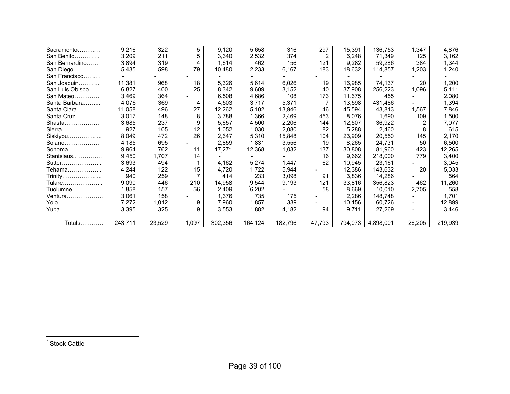| Sacramento      | 9,216   | 322    | 5     | 9,120   | 5,658   | 316     | 297    | 15,391  | 136,753   | 1,347                    | 4,876   |
|-----------------|---------|--------|-------|---------|---------|---------|--------|---------|-----------|--------------------------|---------|
| San Benito      | 3,209   | 211    | 5     | 3,340   | 2,532   | 374     |        | 6,248   | 71,349    | 125                      | 3,162   |
| San Bernardino  | 3,894   | 319    | 4     | 1,614   | 462     | 156     | 121    | 9,282   | 59,286    | 384                      | 1,344   |
| San Diego       | 5,435   | 598    | 79    | 10,480  | 2,233   | 6,167   | 183    | 18,632  | 114,857   | 1,203                    | 1,240   |
| San Francisco   |         |        |       |         |         |         |        |         |           |                          |         |
| San Joaquin     | 11,381  | 968    | 18    | 5,326   | 5,614   | 6,026   | 19     | 16,985  | 74,137    | 20                       | 1,200   |
| San Luis Obispo | 6,827   | 400    | 25    | 8,342   | 9,609   | 3,152   | 40     | 37,908  | 256,223   | 1,096                    | 5,111   |
| San Mateo       | 3,469   | 364    |       | 6,508   | 4,686   | 108     | 173    | 11,675  | 455       |                          | 2,080   |
| Santa Barbara   | 4,076   | 369    | 4     | 4,503   | 3,717   | 5,371   |        | 13,598  | 431,486   |                          | 1,394   |
| Santa Clara     | 11,058  | 496    | 27    | 12,262  | 5,102   | 13,946  | 46     | 45,594  | 43,813    | 1,567                    | 7,846   |
| Santa Cruz      | 3,017   | 148    | 8     | 3,788   | 1,366   | 2,469   | 453    | 8,076   | 1,690     | 109                      | 1,500   |
| Shasta          | 3,685   | 237    | 9     | 5,657   | 4,500   | 2,206   | 144    | 12,507  | 36,922    | $\overline{2}$           | 7,077   |
| Sierra          | 927     | 105    | 12    | 1,052   | 1,030   | 2,080   | 82     | 5,288   | 2,460     | 8                        | 615     |
| Siskiyou        | 8,049   | 472    | 26    | 2,647   | 5,310   | 15,848  | 104    | 23,909  | 20,550    | 145                      | 2,170   |
| $Solano$        | 4,185   | 695    |       | 2,859   | 1,831   | 3,556   | 19     | 8,265   | 24,731    | 50                       | 6,500   |
| Sonoma          | 9,964   | 762    | 11    | 17,271  | 12,368  | 1,032   | 137    | 30,808  | 81,960    | 423                      | 12,265  |
| Stanislaus      | 9,450   | 1,707  | 14    |         |         |         | 16     | 9.662   | 218,000   | 779                      | 3,400   |
| Sutter          | 3,693   | 494    |       | 4,162   | 5,274   | 1,447   | 62     | 10,945  | 23,161    |                          | 3,045   |
| Tehama          | 4,244   | 122    | 15    | 4,720   | 1,722   | 5,944   |        | 12,386  | 143,632   | 20                       | 5,033   |
| Trinity         | 940     | 259    |       | 414     | 233     | 3,098   | 91     | 3,836   | 14,286    |                          | 564     |
| Tulare          | 9,090   | 446    | 210   | 14,958  | 9,544   | 9,193   | 121    | 33,816  | 356,823   | 462                      | 11,260  |
| Tuolumne        | 1,858   | 157    | 56    | 2,409   | 6,202   |         | 58     | 8,669   | 10,010    | 2,705                    | 558     |
| Ventura         | 3,061   | 158    |       | 1,376   | 735     | 175     |        | 2,286   | 148,748   |                          | 1,701   |
| Yolo            | 7,272   | 1,012  | 9     | 7,960   | 1,857   | 339     |        | 10,156  | 60,726    | $\overline{\phantom{0}}$ | 12,899  |
| Yuba            | 3,395   | 325    | 9     | 3,553   | 1,882   | 4,182   | 94     | 9,711   | 27,269    | Ξ.                       | 3,446   |
|                 |         |        |       |         |         |         |        |         |           |                          |         |
| Totals          | 243,711 | 23,529 | 1,097 | 302,356 | 164,124 | 182,796 | 47,793 | 794,073 | 4,898,001 | 26,205                   | 219,939 |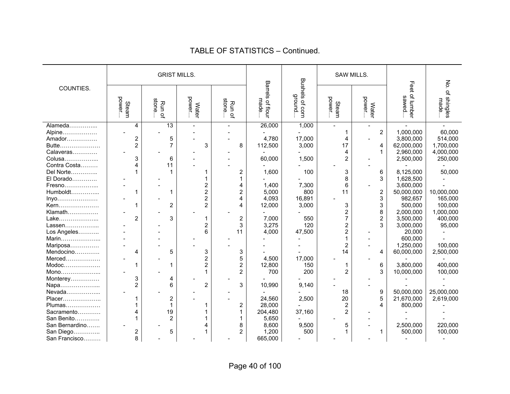|                |                 | <b>GRIST MILLS.</b> |                 |                                         |                          |                                      | SAW MILLS.              |                         |                          |                         |
|----------------|-----------------|---------------------|-----------------|-----------------------------------------|--------------------------|--------------------------------------|-------------------------|-------------------------|--------------------------|-------------------------|
| COUNTIES.      | power.<br>Steam | stone<br>Run of     | power.<br>Water | stone<br>Run<br>$\mathbf{Q}_\mathbf{q}$ | Barrels of flour<br>made | <b>Bushels</b><br>ground<br>s of com | power<br>Steam          | power<br><b>Water</b>   | Feet of lumber<br>sawed. | No. of shingles<br>made |
| Alameda        | 4               | 13                  |                 |                                         | 26,000                   | 1,000                                |                         | $\overline{a}$          |                          |                         |
| Alpine         |                 |                     |                 |                                         |                          |                                      | 1                       | $\overline{2}$          | 1,000,000                | 60,000                  |
| Amador         | 2               | 5                   |                 |                                         | 4,780                    | 17,000                               | 4                       |                         | 3,800,000                | 514,000                 |
| Butte          | $\overline{2}$  | $\overline{7}$      | 3               | 8                                       | 112,500                  | 3,000                                | 17                      | 4                       | 62,000,000               | 1,700,000               |
| Calaveras      |                 |                     |                 |                                         |                          |                                      | 4                       | $\mathbf{1}$            | 2,960,000                | 4,000,000               |
| Colusa         | 3               | 6                   |                 |                                         | 60,000                   | 1,500                                | $\overline{c}$          |                         | 2,500,000                | 250,000                 |
| Contra Costa   | 4               | 11                  |                 |                                         |                          |                                      |                         |                         |                          |                         |
| Del Norte      |                 |                     |                 | 2                                       | 1,600                    | 100                                  | 3                       | 6                       | 8,125,000                | 50,000                  |
| El Dorado      |                 |                     |                 | 1                                       |                          |                                      | 8                       | 3                       | 1,628,500                |                         |
| Fresno         |                 |                     |                 | 4                                       | 1,400                    | 7,300                                | 6                       |                         | 3,600,000                |                         |
| Humboldt       | 1               |                     | $\overline{2}$  | $\overline{2}$                          | 5,000                    | 800                                  | 11                      | $\overline{c}$          | 50,000,000               | 10,000,000              |
| Inyo           |                 |                     | $\overline{2}$  | 4                                       | 4,093                    | 16,891                               |                         | 3                       | 982,657                  | 165,000                 |
| Kern           |                 | $\overline{2}$      | $\overline{2}$  | 4                                       | 12,000                   | 3,000                                | 3                       | 3                       | 500,000                  | 100,000                 |
| Klamath        |                 |                     |                 |                                         |                          |                                      | $\overline{\mathbf{c}}$ | 8                       | 2,000,000                | 1,000,000               |
| Lake           | $\overline{2}$  | 3                   |                 | 2                                       | 7,000                    | 550                                  | 7                       | $\overline{\mathbf{c}}$ | 3,500,000                | 400,000                 |
| Lassen         |                 |                     | $\overline{2}$  | 3                                       | 3,275                    | 120                                  | $\overline{2}$          | 3                       | 3,000,000                | 95,000                  |
| Los Angeles    |                 |                     | 6               | 11                                      | 4,000                    | 47,500                               | $\overline{c}$          |                         | 20,000                   |                         |
| Marin          |                 |                     |                 |                                         |                          |                                      | 1                       |                         | 600,000                  |                         |
| Mariposa       |                 |                     |                 |                                         |                          |                                      | $\overline{c}$          |                         | 1,250,000                | 100,000                 |
| Mendocino      | 4               | 5                   | 3               | 3                                       |                          |                                      | 14                      | 4                       | 60,000,000               | 2,500,000               |
| Merced         |                 |                     | $\overline{2}$  | 5                                       | 4,500                    | 17,000                               |                         |                         |                          |                         |
| $Modoc$        | 1               | 1                   | $\overline{2}$  | $\overline{2}$                          | 12,800                   | 150                                  | 1                       | 6                       | 3,800,000                | 400,000                 |
| Mono           |                 |                     |                 | $\overline{2}$                          | 700                      | 200                                  | $\overline{2}$          | 3                       | 10,000,000               | 100,000                 |
| Monterey       | 3               | 4                   |                 |                                         |                          |                                      |                         |                         |                          |                         |
| Napa           | $\overline{2}$  | 6                   | $\overline{2}$  | 3                                       | 10,990                   | 9,140                                |                         |                         |                          |                         |
| Nevada         |                 |                     |                 |                                         |                          |                                      | 18                      | 9                       | 50,000,000               | 25,000,000              |
| Placer         |                 | $\overline{2}$      |                 |                                         | 24,560                   | 2,500                                | 20                      | 5                       | 21,670,000               | 2,619,000               |
| Plumas         |                 |                     |                 | 2                                       | 28,000                   |                                      | $\overline{c}$          | 4                       | 800,000                  |                         |
| Sacramento     |                 | 19                  |                 | 1                                       | 204,480                  | 37,160                               | $\overline{c}$          |                         |                          |                         |
| San Benito     |                 | $\overline{2}$      |                 |                                         | 5,650                    |                                      |                         |                         |                          |                         |
| San Bernardino |                 |                     |                 | 8                                       | 8,600                    | 9,500                                | 5                       |                         | 2,500,000                | 220,000                 |
| San Diego      | 2               | 5                   |                 | $\overline{c}$                          | 1,200                    | 500                                  | 1                       | 1                       | 500,000                  | 100,000                 |
| San Francisco  | 8               |                     |                 |                                         | 665,000                  |                                      |                         |                         |                          |                         |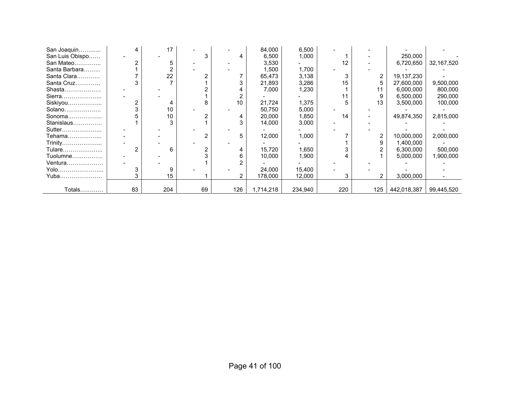| San Joaquin     |    | 17  |    |     | 84,000    | 6,500   |     |     |             |            |
|-----------------|----|-----|----|-----|-----------|---------|-----|-----|-------------|------------|
| San Luis Obispo |    |     |    |     | 6,500     | 1,000   |     |     | 250,000     |            |
| San Mateo       |    |     |    |     | 3,530     |         | 12  |     | 6,720,650   | 32,167,520 |
| Santa Barbara   |    |     |    |     | 1,500     | 1,700   |     |     |             |            |
| Santa Clara     |    | 22  |    |     | 65,473    | 3,138   |     |     | 19,137,230  |            |
| Santa Cruz      |    |     |    |     | 21,893    | 3,286   | 15  | 5   | 27,600,000  | 9,500,000  |
| Shasta          |    |     |    |     | 7,000     | 1,230   |     | 11  | 6,000,000   | 800,000    |
| Sierra          |    |     |    |     |           |         | 11  |     | 6,500,000   | 290,000    |
| Siskiyou        |    |     | 8  | 10  | 21,724    | 1,375   |     | 13  | 3,500,000   | 100,000    |
| Solano          |    | 10  |    |     | 50,750    | 5,000   |     |     |             |            |
| Sonoma          |    | 10  |    |     | 20,000    | 1,850   | 14  |     | 49,874,350  | 2,815,000  |
| Stanislaus      |    |     |    |     | 14,000    | 3,000   |     |     |             |            |
| Sutter          |    |     |    |     |           |         |     |     |             |            |
| Tehama          |    |     |    |     | 12,000    | 1,000   |     |     | 10,000,000  | 2,000,000  |
| Trinity         |    |     |    |     |           |         |     | 9   | 1,400,000   |            |
| Tulare          | 2  | 6   |    |     | 15,720    | 1,650   |     |     | 6,300,000   | 500,000    |
| Tuolumne        |    |     |    |     | 10,000    | 1,900   |     |     | 5,000,000   | 1,900,000  |
| Ventura         |    |     |    |     |           |         |     |     |             |            |
| Yolo            |    |     |    |     | 24,000    | 15,400  |     |     |             |            |
| Yuba……………………    |    | 15  |    |     | 178,000   | 12,000  |     |     | 3,000,000   |            |
|                 |    |     |    |     |           |         |     |     |             |            |
| Totals          | 83 | 204 | 69 | 126 | 1,714,218 | 234,940 | 220 | 125 | 442,018,387 | 99,445,520 |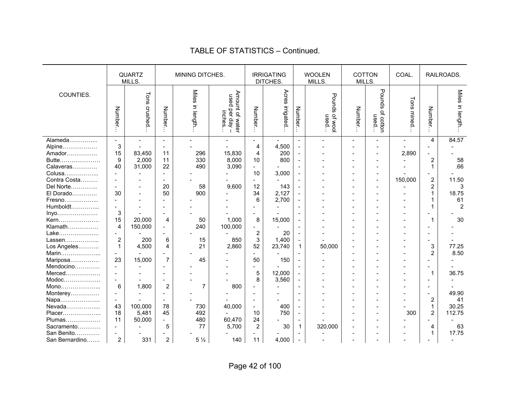|                                                            |                                      | <b>QUARTZ</b><br>MILLS.    |                                                                      | MINING DITCHES.                               |                                              |                                                 | <b>IRRIGATING</b><br>DITCHES.  |                                                                                | <b>WOOLEN</b><br>MILLS.   | MILLS.  | <b>COTTON</b>                                        | COAL.      |                                                                                                                    | RAILROADS.                     |
|------------------------------------------------------------|--------------------------------------|----------------------------|----------------------------------------------------------------------|-----------------------------------------------|----------------------------------------------|-------------------------------------------------|--------------------------------|--------------------------------------------------------------------------------|---------------------------|---------|------------------------------------------------------|------------|--------------------------------------------------------------------------------------------------------------------|--------------------------------|
| COUNTIES.                                                  | Number                               | Tons crushed               | Number.                                                              | <b>Miles</b><br>in length.                    | Amount of water<br>used per day –<br>inches. | <b>Number</b>                                   | Acres irrigated                | <b>Number</b>                                                                  | Pounds<br>of wool<br>used | Number. | Pounds<br>ዹ<br>used<br>cotton                        | Tons mined | Number.                                                                                                            | Miles in length                |
| Alameda<br>Alpine<br>Amador<br>Butte<br>Calaveras          | $\sim$<br>3<br>15<br>9<br>40         | 83,450<br>2,000<br>31,000  | $\blacksquare$<br>$\sim$<br>11<br>11<br>22                           | $\overline{\phantom{a}}$<br>296<br>330<br>490 | 15,830<br>8,000<br>3,090                     | $\overline{4}$<br>4<br>10                       | 4,500<br>200<br>800            | $\blacksquare$<br>$\blacksquare$<br>$\blacksquare$                             |                           |         |                                                      | 2,890      | $\overline{4}$<br>$\blacksquare$<br>$\blacksquare$<br>$\overline{2}$<br>$\mathbf{1}$                               | 84.57<br>58<br>.66             |
| Colusa<br>Contra Costa<br>Del Norte<br>El Dorado<br>Fresno | $\overline{\phantom{a}}$<br>30       |                            | $\overline{a}$<br>$\sim$<br>20<br>50<br>$\overline{a}$               | 58<br>900                                     | 9,600                                        | 10<br>12<br>34<br>6                             | 3,000<br>143<br>2,127<br>2.700 | $\blacksquare$<br>$\blacksquare$<br>$\overline{\phantom{a}}$<br>$\blacksquare$ |                           |         | $\overline{\phantom{0}}$<br>$\overline{\phantom{a}}$ | 150,000    | $\blacksquare$<br>$\overline{2}$<br>$\overline{2}$<br>$\mathbf{1}$<br>$\mathbf{1}$                                 | 11.50<br>3<br>18.75<br>61      |
| Humboldt<br>Inyo<br>Kern<br>Klamath<br>Lake                | $\sim$<br>3<br>15<br>4<br>$\sim$     | 20,000<br>150,000          | $\blacksquare$<br>$\sim$<br>$\overline{4}$<br>$\overline{a}$         | 50<br>240                                     | 1,000<br>100,000                             | $\overline{\phantom{a}}$<br>8<br>$\overline{2}$ | 15,000<br>20                   | $\overline{a}$<br>$\blacksquare$<br>$\blacksquare$                             |                           |         |                                                      |            | 1<br>$\overline{\phantom{a}}$<br>$\mathbf{1}$<br>$\overline{\phantom{a}}$                                          | $\overline{2}$<br>30           |
| Lassen<br>Los Angeles<br>Marin<br>Mariposa<br>Mendocino    | $\overline{c}$<br>$\mathbf{1}$<br>23 | 200<br>4,500<br>15,000     | 6<br>$\overline{4}$<br>$\overline{7}$<br>$\blacksquare$              | 15<br>21<br>45                                | 850<br>2,860                                 | 3<br>52<br>50<br>$\overline{a}$                 | 1,400<br>23,740<br>150         | $\blacksquare$<br>$\mathbf{1}$                                                 | 50,000                    |         |                                                      |            | $\blacksquare$<br>3<br>$\overline{2}$<br>$\overline{\phantom{a}}$<br>$\overline{\phantom{a}}$                      | 77.25<br>8.50                  |
| Merced<br>Modoc<br>Mono<br>Monterey<br>Napa                | 6<br>$\blacksquare$<br>$\sim$        | 1,800                      | $\blacksquare$<br>$\overline{2}$<br>$\overline{a}$<br>$\blacksquare$ | $\overline{7}$                                | 800                                          | 5<br>8                                          | 12,000<br>3,560                | $\blacksquare$<br>$\blacksquare$                                               |                           |         |                                                      |            | $\mathbf{1}$<br>$\overline{\phantom{0}}$<br>$\overline{\phantom{a}}$<br>$\overline{\phantom{a}}$<br>$\overline{2}$ | 36.75<br>49.90<br>41           |
| Nevada<br>Placer<br>Plumas<br>Sacramento                   | 43<br>18<br>11<br>$\sim$             | 100,000<br>5,481<br>50,000 | 78<br>45<br>$\sim$<br>5                                              | 730<br>492<br>480<br>77                       | 40,000<br>60,470<br>5,700                    | $\overline{a}$<br>10<br>24<br>$\overline{2}$    | 400<br>750<br>30               | 1                                                                              | 320,000                   |         |                                                      | 300        | $\mathbf{1}$<br>$\overline{2}$<br>4<br>$\mathbf{1}$                                                                | 30.25<br>112.75<br>63<br>17.75 |
| San Benito<br>San Bernardino                               | $\overline{2}$                       | 331                        | $\overline{2}$                                                       | $5\frac{1}{2}$                                | 140                                          | 11                                              | 4,000                          | $\blacksquare$                                                                 |                           |         |                                                      |            |                                                                                                                    |                                |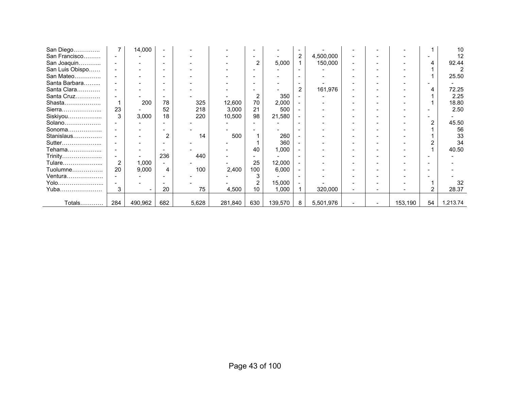| San Diego       |                | 14,000  |                |       |         |                |         |                          |           |  |         |                | 10       |
|-----------------|----------------|---------|----------------|-------|---------|----------------|---------|--------------------------|-----------|--|---------|----------------|----------|
| San Francisco   |                |         |                |       |         |                |         | $\overline{2}$           | 4,500,000 |  |         |                | 12       |
| San Joaquin     |                |         |                |       |         | 2              | 5,000   |                          | 150,000   |  |         | 4              | 92.44    |
| San Luis Obispo |                |         |                |       |         |                |         |                          |           |  |         |                |          |
| San Mateo       |                |         |                |       |         |                |         |                          |           |  |         |                | 25.50    |
| Santa Barbara   |                |         |                |       |         |                |         |                          |           |  |         |                |          |
| Santa Clara     |                |         |                |       |         |                |         | $\overline{2}$           | 161,976   |  |         | 4              | 72.25    |
| Santa Cruz      |                |         |                |       |         | $\overline{2}$ | 350     |                          |           |  |         |                | 2.25     |
| Shasta          |                | 200     | 78             | 325   | 12,600  | 70             | 2,000   | $\overline{\phantom{0}}$ |           |  |         |                | 18.80    |
| Sierra          | 23             |         | 52             | 218   | 3,000   | 21             | 500     |                          |           |  |         |                | 2.50     |
| Siskiyou        | 3              | 3,000   | 18             | 220   | 10,500  | 98             | 21,580  | $\blacksquare$           |           |  |         |                |          |
| Solano          |                |         |                |       |         |                |         |                          |           |  |         | $\overline{2}$ | 45.50    |
| Sonoma          |                |         |                |       |         |                |         |                          |           |  |         |                | 56       |
| Stanislaus      |                |         | $\overline{2}$ | 14    | 500     |                | 260     |                          |           |  |         |                | 33       |
| Sutter          |                |         |                |       |         |                | 360     |                          |           |  |         |                | 34       |
| Tehama          |                |         |                |       |         | 40             | 1,000   |                          |           |  |         |                | 40.50    |
| Trinity         |                |         | 236            | 440   |         |                |         |                          |           |  |         |                |          |
| Tulare…………………   | $\overline{2}$ | 1,000   |                |       |         | 25             | 12,000  |                          |           |  |         |                |          |
| Tuolumne        | 20             | 9,000   | 4              | 100   | 2,400   | 100            | 6,000   |                          |           |  |         |                |          |
| Ventura         |                |         |                |       |         |                |         |                          |           |  |         |                |          |
| Yolo            |                |         |                |       |         |                | 15,000  |                          |           |  |         |                | 32       |
| Yuba            | 3              |         | 20             | 75    | 4,500   | 10             | 1,000   |                          | 320,000   |  |         | $\overline{2}$ | 28.37    |
|                 |                |         |                |       |         |                |         |                          |           |  |         |                |          |
| Totals…………      | 284            | 490,962 | 682            | 5,628 | 281,840 | 630            | 139,570 | 8                        | 5,501,976 |  | 153,190 | 54             | 1,213.74 |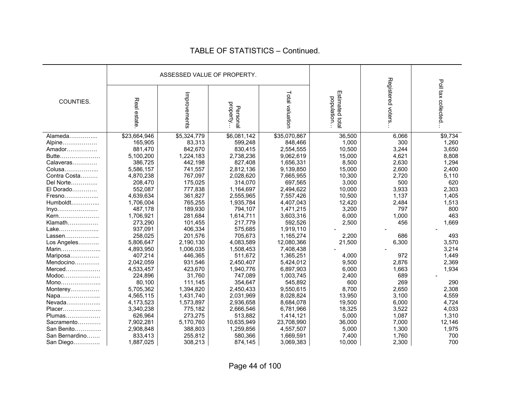|                |              | ASSESSED VALUE OF PROPERTY. |                      |                 |                               |                   |                    |
|----------------|--------------|-----------------------------|----------------------|-----------------|-------------------------------|-------------------|--------------------|
| COUNTIES.      | Real estate  | Improvements                | property<br>Personal | Total valuation | Estimated total<br>population | Registered voters | Poll tax collected |
| Alameda        | \$23,664,946 | \$5,324,779                 | \$6,081,142          | \$35,070,867    | 36,500                        | 6,066             | \$9,734            |
| Alpine         | 165,905      | 83,313                      | 599,248              | 848,466         | 1,000                         | 300               | 1,260              |
| Amador         | 881,470      | 842,670                     | 830,415              | 2,554,555       | 10,500                        | 3,244             | 3,650              |
| Butte          | 5,100,200    | 1,224,183                   | 2,738,236            | 9,062,619       | 15,000                        | 4,621             | 8,808              |
| Calaveras      | 386,725      | 442,198                     | 827,408              | 1,656,331       | 8,500                         | 2,630             | 1,294              |
| Colusa         | 5,586,157    | 741,557                     | 2,812,136            | 9,139,850       | 15,000                        | 2,600             | 2,400              |
| Contra Costa   | 4,870,238    | 767,097                     | 2,028,620            | 7,665,955       | 10,300                        | 2,720             | 5,110              |
| Del Norte      | 208,470      | 175,025                     | 314,070              | 697,565         | 3,000                         | 500               | 620                |
| El Dorado      | 552,087      | 777,838                     | 1,164,697            | 2,494,622       | 10,000                        | 3,933             | 2,303              |
| Fresno         | 4,639,634    | 361,827                     | 2,555,965            | 7,557,426       | 10,500                        | 1,137             | 1,405              |
| Humboldt       | 1,706,004    | 765,255                     | 1,935,784            | 4,407,043       | 12,420                        | 2,484             | 1,513              |
| $Inv0$         | 487,178      | 189,930                     | 794,107              | 1,471,215       | 3,200                         | 797               | 800                |
| Kern           | 1,706,921    | 281,684                     | 1,614,711            | 3,603,316       | 6,000                         | 1,000             | 463                |
| Klamath        | 273,290      | 101,455                     | 217,779              | 592,526         | 2,500                         | 456               | 1,669              |
| Lake           | 937,091      | 406,334                     | 575,685              | 1,919,110       |                               |                   |                    |
| Lassen         | 258,025      | 201,576                     | 705,673              | 1,165,274       | 2,200                         | 686               | 493                |
| Los Angeles    | 5,806,647    | 2,190,130                   | 4,083,589            | 12,080,366      | 21,500                        | 6,300             | 3,570              |
| Marin          | 4,893,950    | 1,006,035                   | 1,508,453            | 7,408,438       |                               |                   | 3,214              |
| Mariposa       | 407,214      | 446,365                     | 511,672              | 1,365,251       | 4,000                         | 972               | 1,449              |
| Mendocino      | 2,042,059    | 931,546                     | 2,450,407            | 5,424,012       | 9,500                         | 2,876             | 2,369              |
| Merced         | 4,533,457    | 423,670                     | 1,940,776            | 6,897,903       | 6,000                         | 1,663             | 1,934              |
| Modoc          | 224,896      | 31,760                      | 747,089              | 1,003,745       | 2,400                         | 689               |                    |
| $Mono$         | 80,100       | 111,145                     | 354,647              | 545,892         | 600                           | 269               | 290                |
| Monterey       | 5,705,362    | 1,394,820                   | 2,450,433            | 9,550,615       | 8,700                         | 2,650             | 2,308              |
| Napa           | 4,565,115    | 1,431,740                   | 2,031,969            | 8,028,824       | 13,950                        | 3,100             | 4,559              |
| Nevada         | 4,173,523    | 1,573,897                   | 2,936,658            | 8,684,078       | 19,500                        | 6,000             | 4,724              |
| Placer         | 3,340,238    | 775,182                     | 2,666,546            | 6,781,966       | 18,325                        | 3,522             | 4,033              |
| Plumas         | 626,964      | 273,275                     | 513,882              | 1,414,121       | 5,000                         | 1,087             | 1,310              |
| Sacramento     | 7,902,281    | 5,170,760                   | 10,635,949           | 23,708,990      | 36,000                        | 7,000             | 12,146             |
| San Benito     | 2,908,848    | 388,803                     | 1,259,856            | 4,557,507       | 5,000                         | 1,300             | 1,975              |
| San Bernardino | 833,413      | 255,812                     | 580,366              | 1,669,591       | 7,400                         | 1,760             | 700                |
| San Diego      | 1,887,025    | 308,213                     | 874,145              | 3,069,383       | 10,000                        | 2,300             | 700                |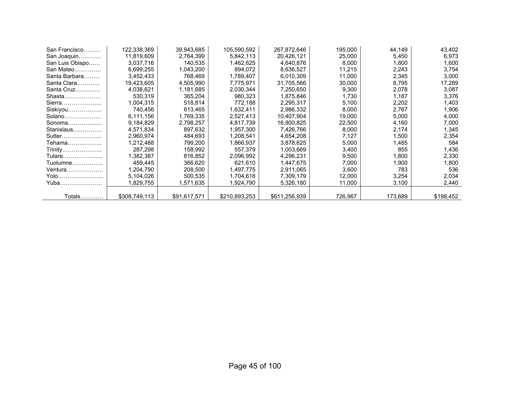| San Francisco   | 122,338,369   | 39,943,685   | 105,590,592   | 267,872,646   | 195,000 | 44,149  | 43,402    |
|-----------------|---------------|--------------|---------------|---------------|---------|---------|-----------|
| San Joaquin     | 11,819,609    | 2,764,399    | 5,842,113     | 20,426,121    | 25,000  | 5,450   | 6,973     |
| San Luis Obispo | 3,037,716     | 140,535      | 1,462,625     | 4,640,876     | 8,000   | 1,800   | 1,600     |
| San Mateo       | 6,699,255     | 1,043,200    | 894,072       | 8,636,527     | 11,215  | 2,243   | 3,754     |
| Santa Barbara   | 3,452,433     | 768.469      | 1,789,407     | 6,010,309     | 11,000  | 2,345   | 3,000     |
| Santa Clara     | 19,423,605    | 4,505,990    | 7,775,971     | 31,705,566    | 30,000  | 8,795   | 17,289    |
| Santa Cruz      | 4,038,621     | 1,181,685    | 2,030,344     | 7,250,650     | 9,300   | 2,078   | 3,087     |
| Shasta          | 530,319       | 365,204      | 980,323       | 1,875,846     | 1,730   | 1,187   | 3,376     |
| Sierra          | 1,004,315     | 518,814      | 772,188       | 2,295,317     | 5,100   | 2,202   | 1,403     |
| Siskiyou        | 740.456       | 613,465      | 1,632,411     | 2,986,332     | 8,000   | 2,767   | 1,906     |
| $Solano$        | 6,111,156     | 1,769,335    | 2,527,413     | 10,407,904    | 19,000  | 5,000   | 4,000     |
| Sonoma          | 9,184,829     | 2,798,257    | 4,817,739     | 16,800,825    | 22,500  | 4,160   | 7,000     |
| Stanislaus      | 4,571,834     | 897,632      | 1,957,300     | 7,426,766     | 8,000   | 2,174   | 1,345     |
| Sutter          | 2,960,974     | 484,693      | 1,208,541     | 4,654,208     | 7,127   | 1,500   | 2,354     |
| Tehama………………    | 1,212,488     | 799,200      | 1,866,937     | 3,878,625     | 5,000   | 1,485   | 584       |
| Trinity         | 287,298       | 158,992      | 557,379       | 1,003,669     | 3,400   | 855     | 1,436     |
| Tulare…………………   | 1,382,387     | 816,852      | 2,096,992     | 4,296,231     | 9,500   | 1,800   | 2,330     |
| Tuolumne        | 459,445       | 366,620      | 621,610       | 1,447,675     | 7,000   | 1.900   | 1,800     |
| Ventura         | 1,204,790     | 208,500      | 1,497,775     | 2,911,065     | 3,600   | 783     | 536       |
| Yolo            | 5,104,026     | 500,535      | 1,704,618     | 7,309,179     | 12,000  | 3,254   | 2,034     |
| Yuba            | 1,829,755     | 1,571,635    | 1,924,790     | 5,326,180     | 11,000  | 3,100   | 2,440     |
|                 |               |              |               |               |         |         |           |
| Totals…………      | \$308,749,113 | \$91,617,571 | \$210.893.253 | \$611,256,939 | 726,967 | 173,689 | \$198,452 |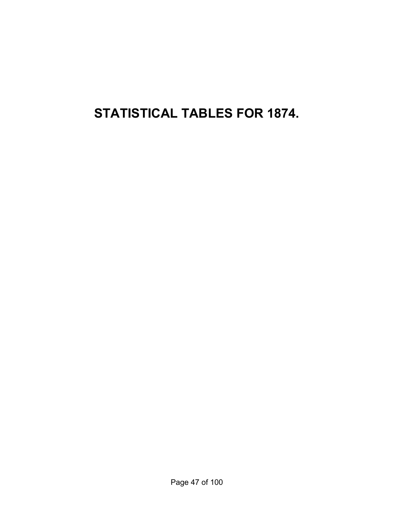**STATISTICAL TABLES FOR 1874.**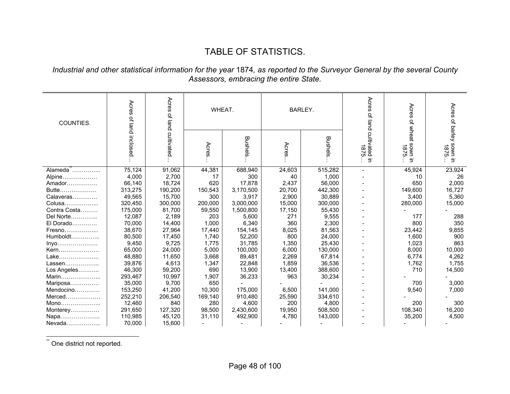### TABLE OF STATISTICS.

#### *Industrial and other statistical information for the year* 1874*, as reported to the Surveyor General by the several County Assessors, embracing the entire State.*

| COUNTIES.    | Acres            | Acres of land critivated. | WHEAT.  |           |        | <b>BARLEY.</b> | Acres<br>of land       | Acres<br>ዹ                                  | Acres                     |
|--------------|------------------|---------------------------|---------|-----------|--------|----------------|------------------------|---------------------------------------------|---------------------------|
|              | of land inclosed |                           | Acres   | Bushels   | Acres  | Bushels        | cultivated in<br>1875. | wheat sown<br><b>1875</b><br>$\overline{5}$ | of barley sown in<br>1875 |
| Alameda      | 75,124           | 91,062                    | 44,381  | 688,940   | 24,603 | 515,282        |                        | 45,924                                      | 23,924                    |
| Alpine       | 4,000            | 2,700                     | 17      | 300       | 40     | 1,000          |                        | 10                                          | 26                        |
| Amador       | 66,140           | 18,724                    | 620     | 17,878    | 2,437  | 56,000         |                        | 650                                         | 2,000                     |
| Butte        | 313,275          | 190,200                   | 150,543 | 3,170,500 | 20,700 | 442,300        |                        | 149,600                                     | 16,727                    |
| Calaveras    | 49,565           | 15,700                    | 300     | 3,917     | 2,900  | 30,889         |                        | 3,400                                       | 5,360                     |
| Colusa       | 320,450          | 300,000                   | 200,000 | 3,000,000 | 15,000 | 300,000        |                        | 280,000                                     | 15,000                    |
| Contra Costa | 175,000          | 81,700                    | 59,550  | 1,500,800 | 17,150 | 55,430         |                        |                                             |                           |
| Del Norte    | 12,087           | 2,189                     | 203     | 5,600     | 271    | 9,555          |                        | 177                                         | 288                       |
| El Dorado    | 70,000           | 14,400                    | 1,000   | 6,340     | 360    | 2,300          |                        | 800                                         | 350                       |
| Fresno       | 38,670           | 27,964                    | 17,440  | 154,145   | 8,025  | 81,563         |                        | 23,442                                      | 9,855                     |
| Humboldt     | 80,500           | 17,450                    | 1,740   | 52,200    | 800    | 24,000         |                        | 1,600                                       | 900                       |
| Inyo         | 9,450            | 9,725                     | 1,775   | 31,785    | 1.350  | 25,430         |                        | 1,023                                       | 863                       |
| Kern         | 65,000           | 24,000                    | 5,000   | 100,000   | 6,000  | 130,000        |                        | 8,000                                       | 10,000                    |
| Lake         | 48,880           | 11,650                    | 3,668   | 89,481    | 2,269  | 67,814         |                        | 6,774                                       | 4,262                     |
| Lassen       | 39,876           | 4,613                     | 1,347   | 22,848    | 1,859  | 36,536         |                        | 1,762                                       | 1,755                     |
| Los Angeles  | 46,300           | 59,200                    | 690     | 13,900    | 13,400 | 388,600        |                        | 710                                         | 14,500                    |
| Marin        | 293,467          | 10,997                    | 1,907   | 36,233    | 963    | 30,234         |                        |                                             |                           |
| Mariposa     | 35,000           | 9,700                     | 650     |           |        |                |                        | 700                                         | 3,000                     |
| Mendocino    | 153,250          | 41,200                    | 10.300  | 175,000   | 6,500  | 141,000        |                        | 9,540                                       | 7,000                     |
| Merced       | 252,210          | 206,540                   | 169,140 | 910,480   | 25,590 | 334,610        |                        |                                             |                           |
| Mono         | 12,460           | 840                       | 280     | 4,600     | 200    | 4,800          |                        | 200                                         | 300                       |
| Monterey     | 291,650          | 127,320                   | 98,500  | 2,430,600 | 19,950 | 508,500        |                        | 108,340                                     | 16,200                    |
| Napa         | 110,985          | 45,120                    | 31,110  | 492,900   | 4,780  | 143,000        |                        | 35,200                                      | 4,500                     |
| Nevada       | 70,000           | 15,600                    |         |           |        |                |                        |                                             |                           |

\*\* One district not reported.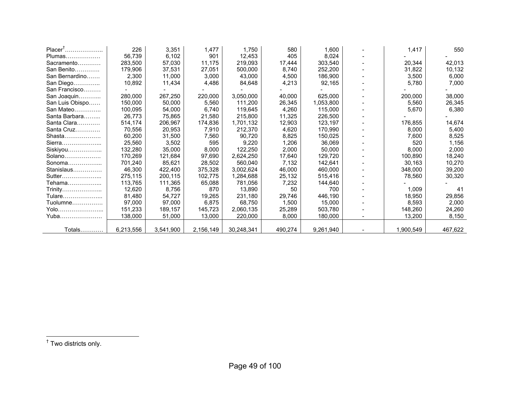| $PlacerT$       | 226       | 3,351     | 1,477     | 1,750      | 580     | 1,600     | 1,417     | 550     |
|-----------------|-----------|-----------|-----------|------------|---------|-----------|-----------|---------|
| Plumas          | 56,739    | 6,102     | 901       | 12,453     | 405     | 8,024     |           |         |
| Sacramento      | 283,500   | 57,030    | 11,175    | 219,093    | 17,444  | 303,540   | 20,344    | 42,013  |
| San Benito      | 179,906   | 37,531    | 27,051    | 500,000    | 8,740   | 252,200   | 31,822    | 10,132  |
| San Bernardino  | 2,300     | 11,000    | 3,000     | 43,000     | 4,500   | 186,900   | 3,500     | 6,000   |
| San Diego       | 10,892    | 11,434    | 4,486     | 84,648     | 4,213   | 92,165    | 5,780     | 7,000   |
| San Francisco   |           |           |           |            |         |           |           |         |
| San Joaquin     | 280,000   | 267,250   | 220,000   | 3,050,000  | 40,000  | 625,000   | 200,000   | 38,000  |
| San Luis Obispo | 150,000   | 50,000    | 5,560     | 111,200    | 26,345  | 1,053,800 | 5,560     | 26,345  |
| San Mateo       | 100,095   | 54,000    | 6,740     | 119,645    | 4,260   | 115,000   | 5,670     | 6,380   |
| Santa Barbara   | 26,773    | 75,865    | 21,580    | 215,800    | 11,325  | 226,500   |           |         |
| Santa Clara     | 514,174   | 206,967   | 174,836   | 1,701,132  | 12,903  | 123,197   | 176,855   | 14,674  |
| Santa Cruz      | 70,556    | 20,953    | 7,910     | 212,370    | 4,620   | 170,990   | 8,000     | 5,400   |
| Shasta          | 60,200    | 31,500    | 7,560     | 90,720     | 8,825   | 150,025   | 7,600     | 8,525   |
| Sierra          | 25,560    | 3,502     | 595       | 9,220      | 1,206   | 36,069    | 520       | 1,156   |
| Siskiyou        | 132,280   | 35,000    | 8,000     | 122,250    | 2,000   | 50,000    | 8,000     | 2,000   |
| Solano          | 170,269   | 121,684   | 97,690    | 2,624,250  | 17,640  | 129,720   | 100,890   | 18,240  |
| Sonoma          | 701,240   | 85,621    | 28,502    | 560,040    | 7,132   | 142,641   | 30,163    | 10,270  |
| Stanislaus      | 46,300    | 422,400   | 375,328   | 3,002,624  | 46,000  | 460,000   | 348,000   | 39,200  |
| Sutter          | 275,115   | 200,115   | 102,775   | 1,284,688  | 25,132  | 515,416   | 78,560    | 30,320  |
| Tehama          | 113,765   | 111,365   | 65,088    | 781,056    | 7,232   | 144,640   |           |         |
| Trinity         | 12,620    | 8,756     | 870       | 13,890     | 50      | 700       | 1,009     | 41      |
| Tulare          | 81,480    | 54,727    | 19,265    | 231,180    | 29,746  | 446,190   | 18,950    | 29,856  |
| Tuolumne        | 97,000    | 97,000    | 6,875     | 68,750     | 1,500   | 15,000    | 8,593     | 2,000   |
| Yolo            | 151,233   | 189,157   | 145,723   | 2,060,135  | 25,289  | 503,780   | 148,260   | 24,260  |
| Yuba            | 138,000   | 51,000    | 13,000    | 220,000    | 8,000   | 180,000   | 13,200    | 8,150   |
|                 |           |           |           |            |         |           |           |         |
| Totals          | 6,213,556 | 3,541,900 | 2,156,149 | 30,248,341 | 490,274 | 9,261,940 | 1,900,549 | 467,622 |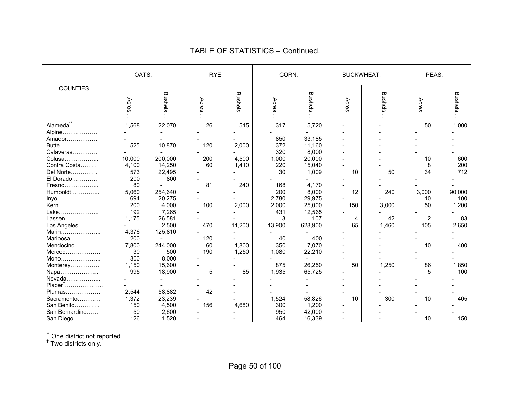|                     | OATS.  |         | RYE.  |                |        | CORN.          | <b>BUCKWHEAT.</b> |                |        | PEAS.    |
|---------------------|--------|---------|-------|----------------|--------|----------------|-------------------|----------------|--------|----------|
| COUNTIES.           | Acres  | Bushels | Acres | <b>Bushels</b> | Acres. | <b>Bushels</b> | Acres             | <b>Bushels</b> | Acres. | Bushels. |
| Alameda             | 1,568  | 22,070  | 26    | 515            | 317    | 5,720          |                   |                | 50     | 1,000    |
| Alpine              |        |         |       |                |        |                |                   |                |        |          |
| Amador              |        |         |       |                | 850    | 33,185         |                   |                |        |          |
| Butte               | 525    | 10,870  | 120   | 2,000          | 372    | 11,160         |                   |                |        |          |
| Calaveras           |        |         |       |                | 320    | 8,000          |                   |                |        |          |
| Colusa              | 10,000 | 200,000 | 200   | 4,500          | 1,000  | 20,000         |                   |                | 10     | 600      |
| Contra Costa        | 4,100  | 14,250  | 60    | 1,410          | 220    | 15,040         |                   |                | 8      | 200      |
| Del Norte           | 573    | 22,495  |       |                | 30     | 1,009          | 10                | 50             | 34     | 712      |
| El Dorado           | 200    | 800     |       |                |        |                |                   |                |        |          |
| Fresno              | 80     |         | 81    | 240            | 168    | 4,170          |                   |                |        |          |
| Humboldt            | 5,060  | 254,640 |       |                | 200    | 8,000          | 12                | 240            | 3,000  | 90,000   |
| Inyo                | 694    | 20,275  |       |                | 2,780  | 29,975         |                   |                | 10     | 100      |
| Kern                | 200    | 4,000   | 100   | 2,000          | 2,000  | 25,000         | 150               | 3,000          | 50     | 1,200    |
| Lake                | 192    | 7,265   |       |                | 431    | 12,565         |                   |                |        |          |
| Lassen              | 1,175  | 26,581  |       |                | 3      | 107            | 4                 | 42             | 2      | 83       |
| Los Angeles         |        | 2,500   | 470   | 11,200         | 13,900 | 628,900        | 65                | 1,460          | 105    | 2,650    |
| Marin               | 4,376  | 125,810 |       |                |        |                |                   |                |        |          |
| Mariposa            | 200    |         | 120   |                | 40     | 400            |                   |                |        |          |
| Mendocino           | 7,800  | 244,000 | 60    | 1,800          | 350    | 7,070          |                   |                | 10     | 400      |
| Merced              | 30     | 500     | 190   | 1,250          | 1,080  | 22,210         |                   |                |        |          |
| Mono                | 300    | 8,000   |       |                |        |                |                   |                |        |          |
| Monterey            | 1,150  | 15,600  |       |                | 875    | 26,250         | 50                | 1,250          | 86     | 1,850    |
| Napa                | 995    | 18,900  | 5     | 85             | 1,935  | 65,725         |                   |                | 5      | 100      |
| Nevada              |        |         |       |                |        |                |                   |                |        |          |
| Placer <sup>†</sup> |        |         |       |                |        |                |                   |                |        |          |
| Plumas              | 2,544  | 58,882  | 42    |                |        |                |                   |                |        |          |
| Sacramento          | 1,372  | 23,239  |       |                | 1,524  | 58,826         | 10                | 300            | 10     | 405      |
| San Benito.<br>.    | 150    | 4,500   | 156   | 4,680          | 300    | 1,200          |                   |                |        |          |
| San Bernardino      | 50     | 2,600   |       |                | 950    | 42,000         |                   |                |        |          |
| San Diego           | 126    | 1,520   |       |                | 464    | 16,339         |                   |                | 10     | 150      |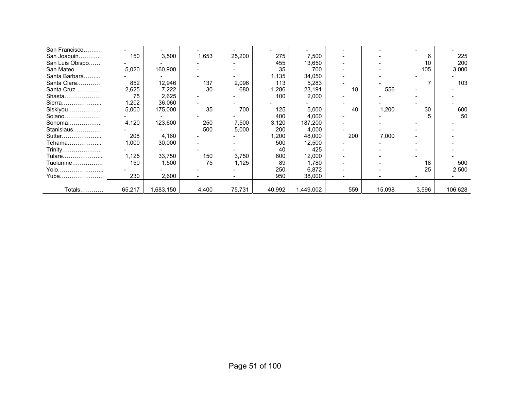| San Francisco   |        |          |       |        |        |          |     |        |       |         |
|-----------------|--------|----------|-------|--------|--------|----------|-----|--------|-------|---------|
| San Joaquin     | 150    | 3,500    | 1,653 | 25,200 | 275    | 7,500    |     |        | 6     | 225     |
| San Luis Obispo |        |          |       |        | 455    | 13,650   |     |        | 10    | 200     |
| San Mateo       | 5,020  | 160,900  |       |        | 35     | 700      |     |        | 105   | 3,000   |
| Santa Barbara   |        |          |       |        | 1,135  | 34,050   |     |        |       |         |
| Santa Clara     | 852    | 12,946   | 137   | 2,096  | 113    | 5,283    |     |        |       | 103     |
| Santa Cruz      | 2,625  | 7,222    | 30    | 680    | 1,286  | 23,191   | 18  | 556    |       |         |
| Shasta          | 75     | 2,625    |       |        | 100    | 2,000    |     |        |       |         |
| Sierra          | 1,202  | 36,060   |       |        |        |          |     |        |       |         |
| Siskiyou        | 5,000  | 175,000  | 35    | 700    | 125    | 5,000    | 40  | 1,200  | 30    | 600     |
| Solano          |        |          |       |        | 400    | 4,000    |     |        |       | 50      |
| Sonoma          | 4,120  | 123,600  | 250   | 7,500  | 3,120  | 187,200  |     |        |       |         |
| Stanislaus      |        |          | 500   | 5,000  | 200    | 4,000    |     |        |       |         |
| Sutter          | 208    | 4,160    |       |        | 1,200  | 48,000   | 200 | 7,000  |       |         |
| Tehama          | 1,000  | 30,000   |       |        | 500    | 12,500   |     |        |       |         |
| Trinity         |        |          |       |        | 40     | 425      |     |        |       |         |
| Tulare          | 1,125  | 33,750   | 150   | 3,750  | 600    | 12,000   |     |        |       |         |
| Tuolumne        | 150    | 1,500    | 75    | 1,125  | 89     | 1,780    |     |        | 18    | 500     |
| Yolo            |        |          |       |        | 250    | 6,872    |     |        | 25    | 2,500   |
| Yuba……………………    | 230    | 2,600    |       |        | 950    | 38,000   |     |        |       |         |
|                 |        |          |       |        |        |          |     |        |       |         |
| Totals          | 65,217 | ,683,150 | 4,400 | 75,731 | 40,992 | ,449,002 | 559 | 15,098 | 3,596 | 106,628 |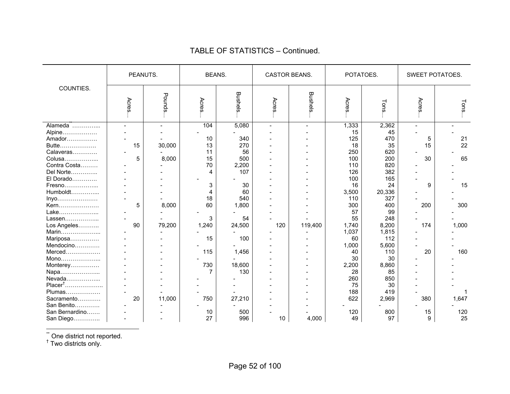|                     | PEANUTS. |        | <b>BEANS.</b> |         | <b>CASTOR BEANS.</b> |         | POTATOES. |        | <b>SWEET POTATOES.</b> |       |
|---------------------|----------|--------|---------------|---------|----------------------|---------|-----------|--------|------------------------|-------|
| COUNTIES.           | Acres    | Pounds | Acres         | Bushels | Acres                | Bushels | Acres     | Tons   | Acres                  | Tons. |
|                     |          |        | 104           | 5,080   |                      |         | 1,333     | 2,362  |                        |       |
| Alpine              |          |        |               |         |                      |         | 15        | 45     |                        |       |
| Amador              |          |        | 10            | 340     |                      |         | 125       | 470    | 5                      | 21    |
| Butte               | 15       | 30,000 | 13            | 270     |                      |         | 18        | 35     | 15                     | 22    |
| Calaveras           |          |        | 11            | 56      |                      |         | 250       | 620    |                        |       |
| Colusa              | 5        | 8,000  | 15            | 500     |                      |         | 100       | 200    | 30                     | 65    |
| Contra Costa        |          |        | 70            | 2,200   |                      |         | 110       | 820    |                        |       |
| Del Norte           |          |        | 4             | 107     |                      |         | 126       | 382    |                        |       |
| El Dorado           |          |        |               |         |                      |         | 100       | 165    |                        |       |
| Fresno              |          |        | 3             | 30      |                      |         | 16        | 24     | 9                      | 15    |
| Humboldt            |          |        | 4             | 60      |                      |         | 3,500     | 20,336 |                        |       |
| Inyo                |          |        | 18            | 540     |                      |         | 110       | 327    |                        |       |
| Kern                | 5        | 8,000  | 60            | 1,800   |                      |         | 300       | 400    | 200                    | 300   |
| Lake                |          |        |               |         |                      |         | 57        | 99     |                        |       |
| Lassen              |          |        | 3             | 54      |                      |         | 55        | 248    |                        |       |
| Los Angeles         | 90       | 79,200 | 1,240         | 24,500  | 120                  | 119,400 | 1,740     | 8,200  | 174                    | 1,000 |
| Marin               |          |        |               |         |                      |         | 1,037     | 1,815  |                        |       |
| Mariposa            |          |        | 15            | 100     |                      |         | 60        | 112    |                        |       |
| Mendocino           |          |        |               |         |                      |         | 1,000     | 5,600  |                        |       |
| Merced              |          |        | 115           | 1,456   |                      |         | 40        | 110    | 20                     | 160   |
| Mono                |          |        |               |         |                      |         | 30        | 30     |                        |       |
| Monterey            |          |        | 730           | 18,600  |                      |         | 2,200     | 8,860  |                        |       |
| Napa                |          |        |               | 130     |                      |         | 28        | 85     |                        |       |
| Nevada              |          |        |               |         |                      |         | 260       | 850    |                        |       |
| Placer <sup>†</sup> |          |        |               |         |                      |         | 75        | 30     |                        |       |
| Plumas              |          |        |               |         |                      |         | 188       | 419    |                        |       |
| Sacramento          | 20       | 11,000 | 750           | 27,210  |                      |         | 622       | 2,969  | 380                    | 1,647 |
| San Benito          |          |        |               |         |                      |         |           |        |                        |       |
| San Bernardino      |          |        | 10            | 500     |                      |         | 120       | 800    | 15                     | 120   |
| San Diego           |          |        | 27            | 996     | 10                   | 4,000   | 49        | 97     | 9                      | 25    |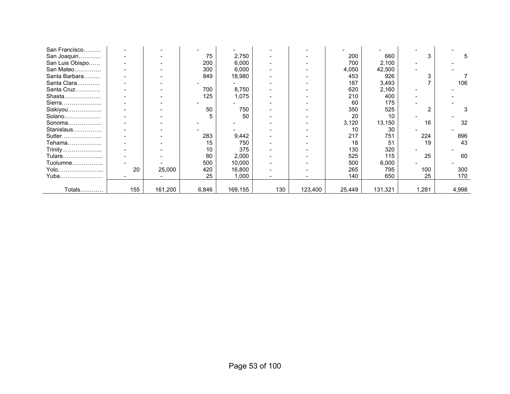| San Francisco   |     |         |       |         |     |         |        |         |       |       |
|-----------------|-----|---------|-------|---------|-----|---------|--------|---------|-------|-------|
| San Joaquin     |     |         | 75    | 2,750   |     |         | 200    | 660     | 3     |       |
| San Luis Obispo |     |         | 200   | 6,000   |     |         | 700    | 2,100   |       |       |
| San Mateo       |     |         | 300   | 6,000   |     |         | 4,050  | 42,500  |       |       |
| Santa Barbara   |     |         | 849   | 18,980  |     |         | 453    | 926     |       |       |
| Santa Clara     |     |         |       |         |     |         | 187    | 3,493   |       | 106   |
| Santa Cruz      |     |         | 700   | 8,750   |     |         | 620    | 2,160   |       |       |
| Shasta          |     |         | 125   | 1,075   |     |         | 210    | 400     |       |       |
| Sierra          |     |         |       |         |     |         | 60     | 175     |       |       |
| Siskiyou        |     |         | 50    | 750     |     |         | 350    | 525     | ◠     |       |
| Solano          |     |         |       | 50      |     |         | 20     | 10      |       |       |
| Sonoma          |     |         |       |         |     |         | 3,120  | 13,150  | 16    | 32    |
| Stanislaus      |     |         |       |         |     |         | 10     | 30      |       |       |
| Sutter          |     |         | 283   | 9,442   |     |         | 217    | 751     | 224   | 896   |
| Tehama          |     |         | 15    | 750     |     |         | 18     | 51      | 19    | 43    |
| Trinity         |     |         | 10    | 375     |     |         | 130    | 320     |       |       |
| Tulare          |     |         | 80    | 2,000   |     |         | 525    | 115     | 25    | 60    |
| Tuolumne        |     |         | 500   | 10,000  |     |         | 500    | 6,000   |       |       |
| Yolo            | 20  | 25,000  | 420   | 16,800  |     |         | 265    | 795     | 100   | 300   |
| Yuba            |     |         | 25    | 1,000   |     |         | 140    | 650     | 25    | 170   |
|                 |     |         |       |         |     |         |        |         |       |       |
| Totals…………      | 155 | 161,200 | 6,846 | 169,155 | 130 | 123,400 | 25,449 | 131,321 | 1,281 | 4,998 |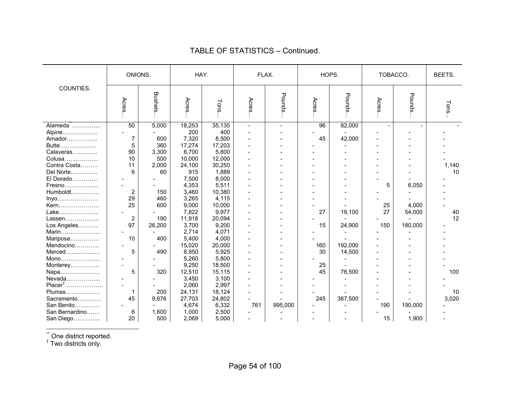|                     | ONIONS. |                | HAY.   |        |        | FLAX.   |       | HOPS.   |       | TOBACCO. | BEETS. |
|---------------------|---------|----------------|--------|--------|--------|---------|-------|---------|-------|----------|--------|
| COUNTIES.           | Acres   | <b>Bushels</b> | Acres. | Tons   | Acres  | Pounds  | Acres | Pounds  | Acres | Pounds   | Tons   |
|                     | 50      | 5,000          | 18,253 | 35,135 | $\sim$ |         | 96    | 82,000  |       |          |        |
| Alpine              |         |                | 200    | 400    |        |         |       |         |       |          |        |
| Amador              | 7       | 600            | 7,320  | 8,500  |        |         | 45    | 42,000  |       |          |        |
| Butte               | 5       | 360            | 17,274 | 17,203 |        |         |       |         |       |          |        |
| Calaveras           | 90      | 3,300          | 6,700  | 5,800  |        |         |       |         |       |          |        |
| Colusa              | 10      | 500            | 10,000 | 12,000 |        |         |       |         |       |          |        |
| Contra Costa        | 11      | 2,000          | 24,100 | 30,250 |        |         |       |         |       |          | 1,140  |
| Del Norte           | 6       | 60             | 915    | 1,889  |        |         |       |         |       |          | 10     |
| El Dorado           |         |                | 7,500  | 8,000  |        |         |       |         |       |          |        |
| Fresno              |         |                | 4,353  | 5,511  |        |         |       |         | 5     | 6,050    |        |
| Humboldt            | 2       | 150            | 3,460  | 10,380 |        |         |       |         |       |          |        |
| Inyo                | 29      | 460            | 3,265  | 4,115  |        |         |       |         |       |          |        |
| Kern                | 25      | 600            | 9,000  | 10,000 |        |         |       |         | 25    | 4,000    |        |
| Lake                |         |                | 7,822  | 9,977  |        |         | 27    | 19,100  | 27    | 54,000   | 40     |
| Lassen              | 2       | 190            | 11,918 | 20,094 |        |         |       |         |       |          | 12     |
| Los Angeles         | 97      | 26,200         | 3,700  | 9,200  |        |         | 15    | 24,900  | 150   | 180,000  |        |
| Marin               |         |                | 2,714  | 4,071  |        |         |       |         |       |          |        |
| Mariposa            | 10      | 400            | 5,400  | 4,000  |        |         |       |         |       |          |        |
| Mendocino           |         |                | 15,020 | 20,000 |        |         | 160   | 192,000 |       |          |        |
| Merced              | 5       | 490            | 8,950  | 5,925  |        |         | 30    | 14,500  |       |          |        |
| Mono                |         |                | 5,260  | 5,800  |        |         |       |         |       |          |        |
| Monterey            |         |                | 9,250  | 18,500 |        |         | 25    |         |       |          |        |
| Napa                | 5       | 320            | 12,510 | 15,115 |        |         | 45    | 78,500  |       |          | 100    |
| Nevada              |         |                | 3,450  | 3,100  |        |         |       |         |       |          |        |
| Placer <sup>†</sup> |         |                | 2,060  | 2,997  |        |         |       |         |       |          |        |
| Plumas              |         | 200            | 24,131 | 18,124 |        |         |       |         |       |          | 10     |
| Sacramento          | 45      | 9,676          | 27,703 | 24,802 |        |         | 245   | 367,500 |       |          | 3,020  |
| San Benito          |         |                | 4,674  | 6,332  | 761    | 995,000 |       |         | 190   | 190,000  |        |
| San Bernardino      | 6       | 1,600          | 1,000  | 2,500  |        |         |       |         |       |          |        |
| San Diego           | 20      | 500            | 2,069  | 5,000  |        |         |       |         | 15    | 1,900    |        |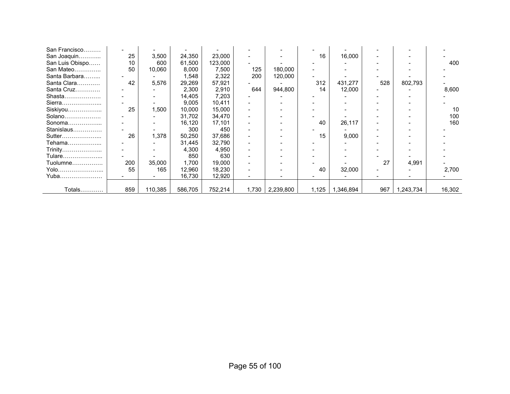| San Francisco   |     |         |         |         |                          |           |       |           |     |           |        |
|-----------------|-----|---------|---------|---------|--------------------------|-----------|-------|-----------|-----|-----------|--------|
| San Joaquin     | 25  | 3,500   | 24,350  | 23,000  |                          |           | 16    | 16,000    |     |           |        |
| San Luis Obispo | 10  | 600     | 61,500  | 123,000 |                          |           |       |           |     |           | 400    |
| San Mateo       | 50  | 10,060  | 8,000   | 7,500   | 125                      | 180,000   |       |           |     |           |        |
| Santa Barbara   |     |         | 1,548   | 2,322   | 200                      | 120,000   |       |           |     |           |        |
| Santa Clara     | 42  | 5,576   | 29,269  | 57,921  |                          |           | 312   | 431,277   | 528 | 802,793   |        |
| Santa Cruz      |     |         | 2,300   | 2,910   | 644                      | 944,800   | 14    | 12,000    |     |           | 8,600  |
| Shasta          |     |         | 14,405  | 7,203   |                          |           |       |           |     |           |        |
| Sierra          |     |         | 9,005   | 10,411  |                          |           |       |           |     |           |        |
| Siskiyou        | 25  | 1,500   | 10,000  | 15,000  |                          |           |       |           |     |           | 10     |
| Solano          |     |         | 31,702  | 34,470  |                          |           |       |           |     |           | 100    |
| Sonoma          |     |         | 16,120  | 17,101  |                          |           | 40    | 26,117    |     |           | 160    |
| Stanislaus      |     |         | 300     | 450     |                          |           |       |           |     |           |        |
| Sutter          | 26  | 1,378   | 50,250  | 37,686  | $\overline{\phantom{0}}$ |           | 15    | 9,000     |     |           |        |
| Tehama          |     |         | 31,445  | 32,790  |                          |           |       |           |     |           |        |
| Trinity…………………  |     |         | 4,300   | 4,950   |                          |           |       |           |     |           |        |
| Tulare          |     |         | 850     | 630     |                          |           |       |           |     |           |        |
| Tuolumne        | 200 | 35,000  | 1,700   | 19,000  |                          |           |       |           | 27  | 4,991     |        |
| Yolo            | 55  | 165     | 12,960  | 18,230  |                          |           | 40    | 32,000    |     |           | 2,700  |
| Yuba            |     |         | 16,730  | 12,920  |                          |           |       |           |     |           |        |
|                 |     |         |         |         |                          |           |       |           |     |           |        |
| Totals          | 859 | 110,385 | 586,705 | 752,214 | 1,730                    | 2,239,800 | 1,125 | 1,346,894 | 967 | 1,243,734 | 16,302 |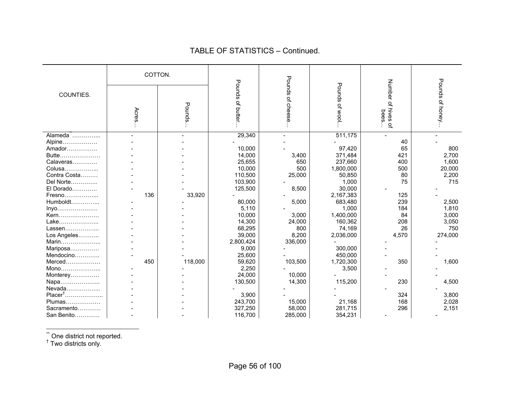|                      | COTTON. |         |                    |                  |                    |                                     |                     |
|----------------------|---------|---------|--------------------|------------------|--------------------|-------------------------------------|---------------------|
| COUNTIES.            | Acres   | Pounds  | Pounds<br>of butte | Pounds of cheese | Pounds<br>of wool. | Number of hives<br>bees<br>$\Omega$ | Pounds<br>of honey. |
| Alameda <sup>"</sup> |         |         | 29,340             |                  | 511,175            |                                     |                     |
| Alpine               |         |         |                    |                  |                    | 40                                  |                     |
| Amador               |         |         | 10,000             |                  | 97,420             | 65                                  | 800                 |
| Butte                |         |         | 14,000             | 3,400            | 371,484            | 421                                 | 2,700               |
| Calaveras            |         |         | 25,655             | 650              | 237,660            | 400                                 | 1,600               |
| Colusa               |         |         | 10,000             | 500              | 1,800,000          | 500                                 | 20,000              |
| Contra Costa         |         |         | 110,500            | 25,000           | 50,850             | 80                                  | 2,200               |
| Del Norte            |         |         | 103,900            |                  | 1,000              | 75                                  | 715                 |
| El Dorado            |         |         | 125,500            | 8,500            | 30,000             |                                     |                     |
| Fresno               | 136     | 33,920  |                    |                  | 2,167,383          | 125                                 |                     |
| Humboldt             |         |         | 80,000             | 5,000            | 683,480            | 239                                 | 2,500               |
| Inyo                 |         |         | 5,110              |                  | 1,000              | 184                                 | 1,810               |
| Kern                 |         |         | 10,000             | 3,000            | 1,400,000          | 84                                  | 3,000               |
| Lake                 |         |         | 14,300             | 24,000           | 160,362            | 208                                 | 3,050               |
| Lassen               |         |         | 68,295             | 800              | 74,169             | 26                                  | 750                 |
| Los Angeles          |         |         | 39,000             | 8,200            | 2,036,000          | 4,570                               | 274,000             |
| Marin                |         |         | 2,800,424          | 336,000          |                    |                                     |                     |
| Mariposa             |         |         | 9,000              |                  | 300,000            |                                     |                     |
| Mendocino            |         |         | 25,600             |                  | 450,000            |                                     |                     |
| Merced               | 450     | 118,000 | 59,620             | 103,500          | 1,720,300          | 350                                 | 1,600               |
| Mono                 |         |         | 2,250              |                  | 3,500              |                                     |                     |
| Monterey             |         |         | 24,000             | 10.000           |                    |                                     |                     |
| Napa                 |         |         | 130,500            | 14,300           | 115,200            | 230                                 | 4,500               |
| Nevada               |         |         |                    |                  |                    |                                     |                     |
| $Placer^{\dagger}$   |         |         | 3,900              |                  |                    | 324                                 | 3,800               |
| Plumas               |         |         | 243,700            | 15,000           | 21,168             | 168                                 | 2,028               |
| Sacramento           |         |         | 327,250            | 58,000           | 281,715            | 296                                 | 2,151               |
| San Benito           |         |         | 116,700            | 285,000          | 354,231            |                                     |                     |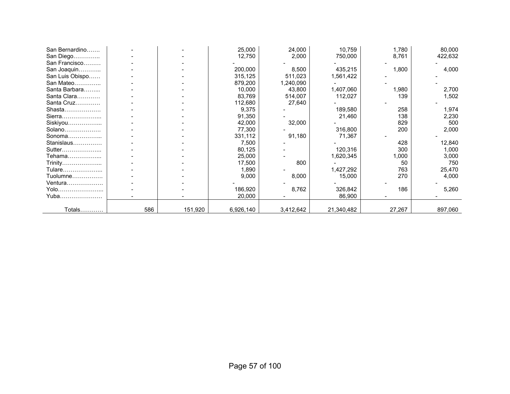| San Bernardino  |     |         | 25,000    | 24,000    | 10,759     | 1,780  | 80,000  |
|-----------------|-----|---------|-----------|-----------|------------|--------|---------|
| San Diego       |     |         | 12,750    | 2,000     | 750,000    | 8,761  | 422,632 |
| San Francisco   |     |         |           |           |            |        |         |
| San Joaquin     |     |         | 200,000   | 8,500     | 435,215    | 1,800  | 4,000   |
| San Luis Obispo |     |         | 315,125   | 511,023   | 1,561,422  |        |         |
| San Mateo       |     |         | 879,200   | 1,240,090 |            |        |         |
| Santa Barbara   |     |         | 10,000    | 43,800    | 1,407,060  | 1,980  | 2,700   |
| Santa Clara     |     |         | 83,769    | 514,007   | 112,027    | 139    | 1,502   |
| Santa Cruz      |     |         | 112,680   | 27,640    |            |        |         |
| Shasta          |     |         | 9,375     |           | 189,580    | 258    | 1,974   |
| Sierra          |     |         | 91,350    |           | 21,460     | 138    | 2,230   |
| Siskiyou        |     |         | 42,000    | 32,000    |            | 829    | 500     |
| Solano          |     |         | 77,300    |           | 316,800    | 200    | 2,000   |
| Sonoma          |     |         | 331,112   | 91,180    | 71,367     |        |         |
| Stanislaus      |     |         | 7,500     |           |            | 428    | 12,840  |
| Sutter          |     |         | 80,125    |           | 120,316    | 300    | 1,000   |
| Tehama          |     |         | 25,000    |           | 1,620,345  | 1,000  | 3,000   |
| Trinity         |     |         | 17,500    | 800       |            | 50     | 750     |
| Tulare          |     |         | 1,890     |           | 1,427,292  | 763    | 25,470  |
| $Tuolumne$      |     |         | 9,000     | 8,000     | 15,000     | 270    | 4,000   |
| Ventura         |     |         |           |           |            |        |         |
| Yolo            |     |         | 186,920   | 8,762     | 326,842    | 186    | 5,260   |
| Yuba            |     |         | 20,000    |           | 86,900     |        |         |
|                 |     |         |           |           |            |        |         |
| Totals…………      | 586 | 151,920 | 6,926,140 | 3,412,642 | 21,340,482 | 27,267 | 897,060 |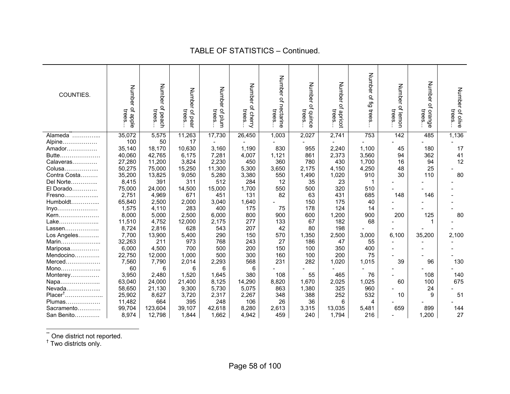| COUNTIES.          | Number of apple<br>trees | Number<br>of peach<br>trees | Number<br>trees<br>of pear | Number<br>und jo.<br>trees | Number<br>of cherry<br>trees | Number of nectarine<br>trees | Number of quince<br>trees | Number<br>$\Omega$<br>trees<br>apricot | Number of fig trees | Number<br>of lemon<br>trees. | Number<br>$\Omega$<br>trees<br>orange | Number of olive<br>trees. |
|--------------------|--------------------------|-----------------------------|----------------------------|----------------------------|------------------------------|------------------------------|---------------------------|----------------------------------------|---------------------|------------------------------|---------------------------------------|---------------------------|
| Alameda"           | 35,072                   | 5,575                       | 11,263                     | 17,730                     | 26,450                       | 1,003                        | 2,027                     | 2,741                                  | 753                 | 142                          | 485                                   | 1,136                     |
| Alpine             | 100                      | 50                          | 17                         |                            |                              |                              |                           |                                        |                     |                              |                                       |                           |
| Amador             | 35,140                   | 18,170                      | 10,630                     | 3,160                      | 1,190                        | 830                          | 955                       | 2,240                                  | 1,100               | 45                           | 180                                   | 17                        |
| Butte              | 40,060                   | 42,765                      | 6,175                      | 7,281                      | 4,007                        | 1,121                        | 861                       | 2,373                                  | 3,560               | 94                           | 362                                   | 41                        |
| Calaveras          | 27,280                   | 11,200                      | 3,824                      | 2,230                      | 450                          | 360                          | 780                       | 430                                    | 1,700               | 16                           | 94                                    | 12                        |
| Colusa             | 50,275                   | 75,000                      | 15,250                     | 11,300                     | 5,300                        | 3,650                        | 2,175                     | 4,150                                  | 4,250               | 48                           | 25                                    |                           |
| Contra Costa       | 35,200                   | 13,825                      | 9,050                      | 5,280                      | 3,380                        | 550                          | 1,490                     | 1,020                                  | 910                 | 30                           | 110                                   | 80                        |
| Del Norte          | 8,415                    | 391                         | 311                        | 512                        | 284                          | 12                           | 35                        | 23                                     |                     |                              |                                       |                           |
| El Dorado          | 75,000                   | 24,000                      | 14,500                     | 15,000                     | 1,700                        | 550                          | 500                       | 320                                    | 510                 |                              |                                       |                           |
| Fresno             | 2,751                    | 4,969                       | 671                        | 451                        | 131                          | 82                           | 63                        | 431                                    | 685                 | 148                          | 146                                   |                           |
| Humboldt           | 65,840                   | 2,500                       | 2,000                      | 3,040                      | 1,640                        |                              | 150                       | 175                                    | 40                  |                              |                                       |                           |
| $lnyo$             | 1,575                    | 4,110                       | 283                        | 400                        | 175                          | 75                           | 178                       | 124                                    | 14                  |                              |                                       |                           |
| Kern               | 8,000                    | 5,000                       | 2,500                      | 6,000                      | 800                          | 900                          | 600                       | 1,200                                  | 900                 | 200                          | 125                                   | 80                        |
| Lake               | 11,510                   | 4,752                       | 12,000                     | 2,175                      | 277                          | 133                          | 67                        | 182                                    | 68                  |                              |                                       |                           |
| Lassen             | 8,724                    | 2,816                       | 628                        | 543                        | 207                          | 42                           | 80                        | 198                                    |                     |                              |                                       |                           |
| Los Angeles        | 7,700                    | 13,900                      | 5,400                      | 290                        | 150                          | 570                          | 1,350                     | 2,500                                  | 3,000               | 6,100                        | 35,200                                | 2,100                     |
| Marin              | 32,263                   | 211                         | 973                        | 768                        | 243                          | 27                           | 186                       | 47                                     | 55                  |                              |                                       |                           |
| Mariposa           | 6,000                    | 4,500                       | 700                        | 500                        | 200                          | 150                          | 100                       | 350                                    | 400                 |                              |                                       |                           |
| Mendocino          | 22,750                   | 12,000                      | 1,000                      | 500                        | 300                          | 160                          | 100                       | 200                                    | 75                  |                              |                                       |                           |
| Merced             | 7,560                    | 7,790                       | 2,014                      | 2,293                      | 568                          | 231                          | 282                       | 1,020                                  | 1,015               | 39                           | 96                                    | 130                       |
| Mono               | 60                       | 6                           | 6                          | 6                          | 6                            |                              |                           |                                        |                     |                              |                                       |                           |
| Monterey           | 3,950                    | 2,480                       | 1,520                      | 1,645                      | 380                          | 108                          | 55                        | 465                                    | 76                  |                              | 108                                   | 140                       |
| Napa               | 63,040                   | 24,000                      | 21,400                     | 8,125                      | 14,290                       | 8,820                        | 1,670                     | 2,025                                  | 1,025               | 60                           | 100                                   | 675                       |
| Nevada             | 58,650                   | 21,130                      | 9,300                      | 5,730                      | 5,075                        | 863                          | 1,380                     | 325                                    | 960                 |                              | 24                                    |                           |
| $Placer^{\dagger}$ | 25,902                   | 8,627                       | 3,720                      | 2,317                      | 2,267                        | 348                          | 388                       | 252                                    | 532                 | 10                           | 9                                     | 51                        |
| Plumas             | 11,482                   | 664                         | 395                        | 248                        | 106                          | 26                           | 36                        | 6                                      | 4                   |                              |                                       |                           |
| Sacramento         | 99,704                   | 123,604                     | 39,107                     | 42,618                     | 8,280                        | 2,613                        | 3,315                     | 13,035                                 | 5,481               | 659                          | 899                                   | 144                       |
| San Benito         | 8,974                    | 12,798                      | 1,844                      | 1,662                      | 4,942                        | 459                          | 240                       | 1,794                                  | 216                 |                              | 1,200                                 | 27                        |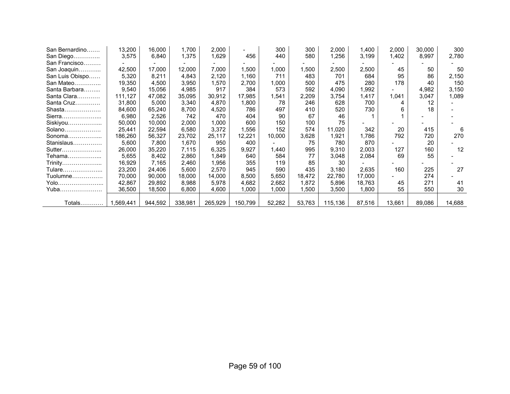| San Bernardino  | 13,200    | 16,000  | 1,700   | 2,000   |         | 300    | 300    | 2,000   | .400 ا | 2,000  | 30,000 | 300    |
|-----------------|-----------|---------|---------|---------|---------|--------|--------|---------|--------|--------|--------|--------|
| San Diego       | 3,575     | 6,840   | 1,375   | 1,629   | 456     | 440    | 580    | 1,256   | 3,199  | 1,402  | 8,997  | 2,780  |
| San Francisco   |           |         |         |         |         |        |        |         |        |        |        |        |
| San Joaquin     | 42,500    | 17,000  | 12,000  | 7,000   | 1,500   | 1,000  | 1,500  | 2,500   | 2,500  | 45     | 50     | 50     |
| San Luis Obispo | 5,320     | 8,211   | 4,843   | 2,120   | 1,160   | 711    | 483    | 701     | 684    | 95     | 86     | 2,150  |
| San Mateo       | 19,350    | 4,500   | 3,950   | 1,570   | 2,700   | 1,000  | 500    | 475     | 280    | 178    | 40     | 150    |
| Santa Barbara   | 9,540     | 15,056  | 4,985   | 917     | 384     | 573    | 592    | 4,090   | ,992   |        | 4,982  | 3,150  |
| Santa Clara     | 111,127   | 47,082  | 35,095  | 30,912  | 17,985  | 1,541  | 2,209  | 3,754   | 1,417  | 1,041  | 3,047  | 1,089  |
| Santa Cruz      | 31,800    | 5,000   | 3,340   | 4,870   | 1,800   | 78     | 246    | 628     | 700    | 4      | 12     |        |
| Shasta          | 84,600    | 65,240  | 8,700   | 4,520   | 786     | 497    | 410    | 520     | 730    |        | 18     |        |
| Sierra          | 6,980     | 2,526   | 742     | 470     | 404     | 90     | 67     | 46      |        |        |        |        |
| Siskiyou        | 50,000    | 10,000  | 2,000   | 1,000   | 600     | 150    | 100    | 75      |        |        |        |        |
| Solano          | 25,441    | 22,594  | 6,580   | 3,372   | .556    | 152    | 574    | 11,020  | 342    | 20     | 415    | 6      |
| Sonoma          | 186,260   | 56,327  | 23,702  | 25,117  | 12,221  | 10,000 | 3,628  | 1,921   | 1,786  | 792    | 720    | 270    |
| Stanislaus      | 5,600     | 7,800   | 1,670   | 950     | 400     |        | 75     | 780     | 870    |        | 20     |        |
| Sutter          | 26,000    | 35,220  | 7,115   | 6,325   | 9,927   | 1,440  | 995    | 9,310   | 2,003  | 127    | 160    | 12     |
| Tehama          | 5,655     | 8,402   | 2,860   | 1,849   | 640     | 584    | 77     | 3,048   | 2,084  | 69     | 55     |        |
| Trinity         | 16,929    | 7,165   | 2,460   | 1,956   | 355     | 119    | 85     | 30      |        |        |        |        |
| Tulare          | 23,200    | 24,406  | 5,600   | 2,570   | 945     | 590    | 435    | 3,180   | 2,635  | 160    | 225    | 27     |
| Tuolumne        | 70.000    | 90,000  | 18.000  | 14,000  | 8,500   | 5,650  | 18,472 | 22,780  | 17,000 |        | 274    |        |
| Yolo            | 42,867    | 29,892  | 8,988   | 5,978   | 4,682   | 2,682  | 1,872  | 5,896   | 18,763 | 45     | 271    | 41     |
| Yuba            | 36,500    | 18,500  | 6,800   | 4,600   | 1,000   | 1,000  | 1,500  | 3,500   | 1,800  | 55     | 550    | 30     |
|                 |           |         |         |         |         |        |        |         |        |        |        |        |
| Totals          | 1,569,441 | 944,592 | 338,981 | 265,929 | 150,799 | 52,282 | 53,763 | 115,136 | 87,516 | 13,661 | 89,086 | 14,688 |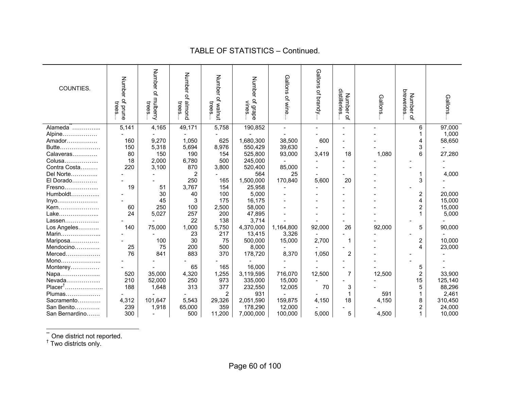| COUNTIES.           | Number<br>of prune<br>trees. | Number of<br>mulberry<br>trees | Number of<br>puouu<br>trees | Number<br>of walnut<br>trees | Number<br>of grape<br>vines | Gallons<br>of wine | Gallons<br>of brandy. | distilleries<br><b>Number</b><br>ቧ | Gallons. | breweries<br>Number<br>ዹ | Gallons. |
|---------------------|------------------------------|--------------------------------|-----------------------------|------------------------------|-----------------------------|--------------------|-----------------------|------------------------------------|----------|--------------------------|----------|
| Alameda             | 5,141                        | 4,165                          | 49,171                      | 5,758                        | 190,852                     | $\overline{a}$     |                       |                                    | $\sim$   | 6                        | 97,000   |
| Alpine              |                              |                                |                             |                              |                             |                    |                       |                                    |          |                          | 1,000    |
| Amador              | 160                          | 9,270                          | 1,050                       | 625                          | 1,680,300                   | 38,500             | 600                   |                                    |          | 4                        | 58,650   |
| Butte               | 150                          | 5,318                          | 5,694                       | 8,976                        | 550,429                     | 39,630             |                       |                                    |          | 3                        |          |
| Calaveras           | 80                           | 150                            | 190                         | 154                          | 525,800                     | 93,000             | 3,419                 | 18                                 | 1,080    | 6                        | 27,280   |
| Colusa              | 18                           | 2,000                          | 6,780                       | 500                          | 245,000                     |                    |                       |                                    |          |                          |          |
| Contra Costa        | 220                          | 3,100                          | 870                         | 3,800                        | 520,400                     | 85,000             |                       |                                    |          |                          |          |
| Del Norte           |                              |                                | $\overline{2}$              |                              | 564                         | 25                 |                       |                                    |          |                          | 4,000    |
| El Dorado           |                              |                                | 250                         | 165                          | 1,500,000                   | 170,840            | 5,600                 | 20                                 |          | 3                        |          |
| Fresno              | 19                           | 51                             | 3,767                       | 154                          | 25,958                      |                    |                       |                                    |          |                          |          |
| Humboldt            |                              | 30                             | 40                          | 100                          | 5,000                       |                    |                       |                                    |          | 2                        | 20,000   |
| Inyo                |                              | 45                             | 3                           | 175                          | 16,175                      |                    |                       |                                    |          | 4                        | 15,000   |
| Kern                | 60                           | 250                            | 100                         | 2,500                        | 58,000                      |                    |                       |                                    |          | $\overline{2}$           | 15,000   |
| Lake                | 24                           | 5,027                          | 257                         | 200                          | 47,895                      |                    |                       |                                    |          |                          | 5,000    |
| Lassen              |                              |                                | 22                          | 138                          | 3,714                       |                    |                       |                                    |          |                          |          |
| Los Angeles         | 140                          | 75,000                         | 1,000                       | 5,750                        | 4,370,000                   | 1,164,800          | 92,000                | 26                                 | 92,000   | 5                        | 90,000   |
| Marin               |                              |                                | 23                          | 217                          | 13,415                      | 3,326              |                       |                                    |          |                          |          |
| Mariposa            |                              | 100                            | 30                          | 75                           | 500,000                     | 15,000             | 2,700                 |                                    |          | 2                        | 10,000   |
| Mendocino           | 25                           | 75                             | 200                         | 500                          | 8,000                       |                    |                       |                                    |          | 4                        | 23,000   |
| Merced              | 76                           | 841                            | 883                         | 370                          | 178,720                     | 8,370              | 1,050                 | $\overline{2}$                     |          |                          |          |
| Mono                |                              |                                |                             |                              |                             |                    |                       |                                    |          |                          |          |
| Monterey            |                              |                                | 65                          | 165                          | 16,000                      |                    |                       |                                    |          | 5                        |          |
| Napa                | 520                          | 35,000                         | 4,320                       | 1,255                        | 3,119,595                   | 716,070            | 12,500                | $\overline{7}$                     | 12,500   | $\overline{2}$           | 33,900   |
| Nevada              | 210                          | 52,000                         | 250                         | 973                          | 335,000                     | 15,000             |                       |                                    |          | 15                       | 125,140  |
| Placer <sup>†</sup> | 188                          | 1,648                          | 313                         | 377                          | 232,550                     | 12,005             | 70                    | 3                                  |          | 5                        | 88,296   |
| Plumas              |                              |                                |                             | 2                            | 931                         |                    |                       |                                    | 591      |                          | 2,461    |
| Sacramento          | 4,312                        | 101,647                        | 5,543                       | 29,326                       | 2,051,590                   | 159,875            | 4,150                 | 18                                 | 4,150    | 8                        | 310,450  |
| San Benito          | 239                          | 1,918                          | 65,000                      | 359                          | 178,290                     | 12,000             |                       |                                    |          | 2                        | 24,000   |
| San Bernardino      | 300                          |                                | 500                         | 11,200                       | 7,000,000                   | 100,000            | 5,000                 | 5                                  | 4,500    |                          | 10,000   |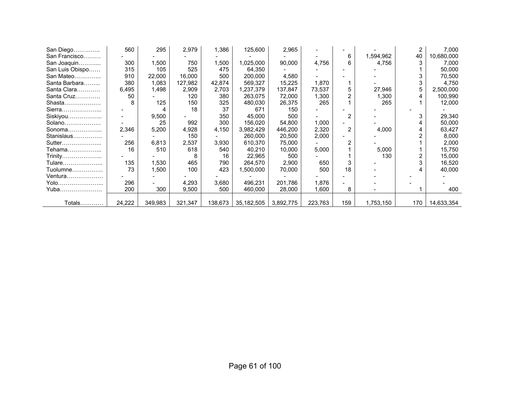| San Diego       | 560    | 295     | 2,979   | 1,386   | 125,600      | 2,965     |         |                |           | 2   | 7,000      |
|-----------------|--------|---------|---------|---------|--------------|-----------|---------|----------------|-----------|-----|------------|
| San Francisco   |        |         |         |         |              |           |         | 6              | 1,594,962 | 40  | 10,680,000 |
| San Joaquin     | 300    | 1,500   | 750     | 1,500   | ,025,000     | 90,000    | 4,756   |                | 4,756     |     | 7,000      |
| San Luis Obispo | 315    | 105     | 525     | 475     | 64,350       |           |         |                |           |     | 50,000     |
| San Mateo       | 910    | 22,000  | 16,000  | 500     | 200.000      | 4,580     |         |                |           |     | 70,500     |
| Santa Barbara   | 380    | 1,083   | 127,982 | 42,874  | 569,327      | 15,225    | 1,870   |                |           |     | 4,750      |
| Santa Clara     | 6,495  | 1,498   | 2,909   | 2,703   | 1,237,379    | 137,847   | 73,537  | 5              | 27,946    | 5   | 2,500,000  |
| Santa Cruz      | 50     |         | 120     | 380     | 263,075      | 72,000    | 1,300   |                | 1,300     |     | 100,990    |
| Shasta          |        | 125     | 150     | 325     | 480,030      | 26,375    | 265     |                | 265       |     | 12,000     |
| Sierra          |        |         | 18      | 37      | 671          | 150       |         |                |           |     |            |
| Siskiyou        | ۰      | 9,500   |         | 350     | 45,000       | 500       |         | 2              |           |     | 29,340     |
| Solano          |        | 25      | 992     | 300     | 156,020      | 54,800    | 1,000   |                |           |     | 50,000     |
| Sonoma          | 2,346  | 5,200   | 4,928   | 4,150   | 3,982,429    | 446,200   | 2,320   | $\overline{2}$ | 4,000     |     | 63,427     |
| Stanislaus      |        |         | 150     |         | 260,000      | 20,500    | 2,000   |                |           |     | 8,000      |
| Sutter          | 256    | 6,813   | 2,537   | 3,930   | 610,370      | 75,000    |         |                |           |     | 2,000      |
| Tehama………………    | 16     | 510     | 618     | 540     | 40,210       | 10,000    | 5,000   |                | 5,000     |     | 15,750     |
| Trinity         |        |         | 8       | 16      | 22,965       | 500       |         |                | 130       |     | 15,000     |
| Tulare          | 135    | 1,530   | 465     | 790     | 264,570      | 2,900     | 650     |                |           |     | 16,520     |
| Tuolumne        | 73     | 1,500   | 100     | 423     | ,500,000     | 70,000    | 500     | 18             |           |     | 40,000     |
| Ventura         |        |         |         |         |              |           |         |                |           |     |            |
| Yolo            | 296    |         | 4,293   | 3,680   | 496.231      | 201,786   | 1,876   |                |           |     |            |
| Yuba            | 200    | 300     | 9,500   | 500     | 460,000      | 28,000    | 1,600   | 8              |           |     | 400        |
|                 |        |         |         |         |              |           |         |                |           |     |            |
| Totals          | 24,222 | 349,983 | 321,347 | 138,673 | 35, 182, 505 | 3,892,775 | 223,763 | 159            | 1,753,150 | 170 | 14,633,354 |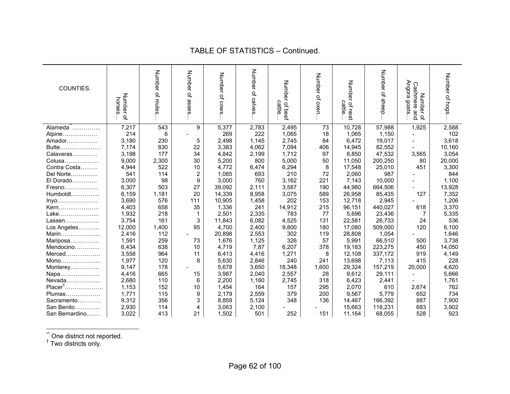| COUNTIES.           | Number of<br>horses | Number of mules | Number<br>of asses | Number of cows | Number of calves | Number of beef<br>cattle | Number of oxen | Number of neat<br>cattle | Number<br>$\vec{\sigma}$<br>sheep. | Angora<br>Cashmere and<br>Number<br>spoop<br>$\Omega$ | Number of hogs |
|---------------------|---------------------|-----------------|--------------------|----------------|------------------|--------------------------|----------------|--------------------------|------------------------------------|-------------------------------------------------------|----------------|
| Alameda             | 7,217               | 543             | 9                  | 5,377          | 2,783            | 2,495                    | 73             | 10,728                   | 57,988                             | 1,925                                                 | 2,588          |
| Alpine              | 214                 | 6               |                    | 269            | 222              | 1,065                    | 18             | 1.065                    | 1,150                              |                                                       | 102            |
| Amador              | 3,180               | 230             | 5                  | 2,498          | 1,145            | 2,745                    | 84             | 6,472                    | 19,017                             |                                                       | 3,618          |
| Butte               | 7,174               | 830             | 22                 | 3,383          | 4,062            | 7,094                    | 406            | 14,945                   | 82,552                             |                                                       | 10,160         |
| Calaveras           | 3,198               | 177             | 34                 | 4,842          | 2,199            | 1,712                    | 97             | 8,850                    | 47,532                             | 3,565                                                 | 3,054          |
| Colusa              | 9,000               | 2,300           | 30                 | 5,200          | 800              | 5,000                    | 50             | 11,050                   | 200,250                            | 80                                                    | 20,000         |
| Contra Costa        | 4,944               | 522             | 10                 | 4,772          | 6,474            | 6,294                    | 8              | 17,548                   | 25,010                             | 451                                                   | 3,300          |
| Del Norte           | 541                 | 114             | $\overline{c}$     | 1,085          | 693              | 210                      | 72             | 2,060                    | 987                                |                                                       | 844            |
| El Dorado           | 3,000               | 98              | 9                  | 3,000          | 760              | 3,162                    | 221            | 7,143                    | 10,000                             |                                                       | 1,100          |
| Fresno              | 6,307               | 503             | 27                 | 39,092         | 2,111            | 3,587                    | 190            | 44,980                   | 664,506                            |                                                       | 13,928         |
| Humboldt            | 6,159               | 1,181           | 20                 | 14,339         | 8,958            | 3,075                    | 589            | 26,958                   | 85,435                             | 127                                                   | 7,352          |
| $lnyo$              | 3,690               | 576             | 111                | 10,905         | 1,458            | 202                      | 153            | 12,718                   | 2,945                              |                                                       | 1,206          |
| Kern                | 4,403               | 658             | 35                 | 1,336          | 241              | 14,912                   | 215            | 96,151                   | 440,027                            | 618                                                   | 3,370          |
| Lake                | 1,932               | 218             | $\mathbf 1$        | 2,501          | 2,335            | 783                      | 77             | 5,696                    | 23,436                             | 7                                                     | 5,335          |
| Lassen              | 3,754               | 161             | 3                  | 11,843         | 6,082            | 4,525                    | 131            | 22,581                   | 26,733                             | 24                                                    | 536            |
| Los Angeles         | 12,000              | 1,400           | 95                 | 4,700          | 2,400            | 9,800                    | 180            | 17,080                   | 509,000                            | 120                                                   | 6,100          |
| Marin               | 2,416               | 112             |                    | 20,898         | 2,553            | 302                      | 119            | 28,808                   | 1,054                              |                                                       | 1,646          |
| Mariposa            | 1,591               | 259             | 73                 | 1,676          | 1,125            | 326                      | 57             | 5,991                    | 66,510                             | 500                                                   | 3,738          |
| Mendocino           | 6,434               | 638             | 10                 | 4,719          | 7,87             | 6,207                    | 378            | 19,183                   | 223,275                            | 450                                                   | 14,050         |
| Merced              | 3,558               | 964             | 11                 | 6,413          | 4,416            | 1,271                    | 8              | 12.108                   | 337,172                            | 919                                                   | 4,149          |
| Mono                | 1,977               | 120             | 8                  | 5,630          | 2,846            | 240                      | 241            | 13,698                   | 7,113                              | 415                                                   | 228            |
| Monterey            | 9,147               | 178             |                    | 5,678          | 3,650            | 18,348                   | 1,600          | 29,324                   | 157,219                            | 20,000                                                | 4,620          |
| Napa                | 4,416               | 665             | 15                 | 3,987          | 2,040            | 2,557                    | 28             | 9,612                    | 29,111                             | $\overline{a}$                                        | 5,666          |
| Nevada              | 2,680               | 110             | 6                  | 2,200          | 1,160            | 2,745                    | 318            | 6,423                    | 2,441                              |                                                       | 1,761          |
| Placer <sup>†</sup> | 1,153               | 152             | 10                 | 1,454          | 164              | 157                      | 295            | 2,070                    | 610                                | 2,674                                                 | 762            |
| Plumas              | 1,771               | 115             | 9                  | 2,179          | 2,559            | 379                      | 200            | 9,567                    | 5,779                              | 652                                                   | 734            |
| Sacramento          | 9,312               | 356             | 3                  | 8,859          | 5,124            | 348                      | 136            | 14,467                   | 166,392                            | 887                                                   | 7,900          |
| San Benito          | 2,930               | 114             | 4                  | 3,063          | 2,100            |                          |                | 15,663                   | 118,231                            | 683                                                   | 3,902          |
| San Bernardino      | 3,022               | 413             | 21                 | 1.502          | 501              | 252                      | 151            | 11.164                   | 68,055                             | 528                                                   | 923            |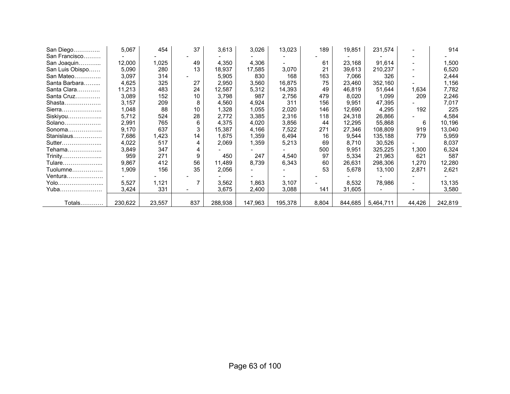| San Diego       | 5,067   | 454    | 37  | 3,613   | 3,026   | 13,023  | 189   | 19,851  | 231,574   |                          | 914     |
|-----------------|---------|--------|-----|---------|---------|---------|-------|---------|-----------|--------------------------|---------|
| San Francisco   |         |        |     |         |         |         |       |         |           |                          |         |
| San Joaquin     | 12,000  | 1,025  | 49  | 4,350   | 4,306   |         | 61    | 23,168  | 91,614    |                          | 1,500   |
| San Luis Obispo | 5,090   | 280    | 13  | 18,937  | 17,585  | 3,070   | 21    | 39,613  | 210,237   | $\overline{\phantom{a}}$ | 6,520   |
| San Mateo       | 3,097   | 314    |     | 5,905   | 830     | 168     | 163   | 7,066   | 326       | $\overline{\phantom{a}}$ | 2,444   |
| Santa Barbara   | 4,625   | 325    | 27  | 2,950   | 3,560   | 16,875  | 75    | 23,460  | 352,160   | $\overline{\phantom{a}}$ | 1,156   |
| Santa Clara     | 11,213  | 483    | 24  | 12,587  | 5,312   | 14,393  | 49    | 46,819  | 51,644    | 1,634                    | 7,782   |
| Santa Cruz      | 3,089   | 152    | 10  | 3,798   | 987     | 2,756   | 479   | 8,020   | 1,099     | 209                      | 2,246   |
| Shasta          | 3,157   | 209    | 8   | 4,560   | 4,924   | 311     | 156   | 9,951   | 47,395    |                          | 7,017   |
| Sierra          | 1,048   | 88     | 10  | 1,328   | 1,055   | 2,020   | 146   | 12,690  | 4,295     | 192                      | 225     |
| Siskiyou        | 5,712   | 524    | 28  | 2,772   | 3,385   | 2,316   | 118   | 24,318  | 26,866    |                          | 4,584   |
| Solano          | 2,991   | 765    | 6   | 4,375   | 4,020   | 3,856   | 44    | 12,295  | 55,868    | 6                        | 10,196  |
| Sonoma          | 9,170   | 637    | 3   | 15,387  | 4,166   | 7,522   | 271   | 27,346  | 108,809   | 919                      | 13,040  |
| Stanislaus      | 7,686   | 1,423  | 14  | 1,675   | 1,359   | 6,494   | 16    | 9,544   | 135,188   | 779                      | 5,959   |
| Sutter          | 4,022   | 517    | 4   | 2,069   | 1,359   | 5,213   | 69    | 8.710   | 30.526    |                          | 8,037   |
| Tehama………………    | 3,849   | 347    | 4   |         |         |         | 500   | 9,951   | 325,225   | 1,300                    | 6,324   |
| Trinity         | 959     | 271    | 9   | 450     | 247     | 4,540   | 97    | 5,334   | 21,963    | 621                      | 587     |
| Tulare          | 9,867   | 412    | 56  | 11,489  | 8,739   | 6,343   | 60    | 26,631  | 298,306   | 1,270                    | 12,280  |
| Tuolumne        | 1,909   | 156    | 35  | 2,056   |         |         | 53    | 5,678   | 13,100    | 2,871                    | 2,621   |
| Ventura         |         |        |     |         |         |         |       |         |           |                          |         |
| Yolo            | 5,527   | 1,121  |     | 3,562   | 1,863   | 3,107   |       | 8,532   | 78,986    |                          | 13,135  |
| Yuba            | 3,424   | 331    |     | 3,675   | 2,400   | 3,088   | 141   | 31,605  |           |                          | 3,580   |
|                 |         |        |     |         |         |         |       |         |           |                          |         |
| Totals          | 230,622 | 23,557 | 837 | 288,938 | 147,963 | 195,378 | 8,804 | 844,685 | 5,464,711 | 44,426                   | 242,819 |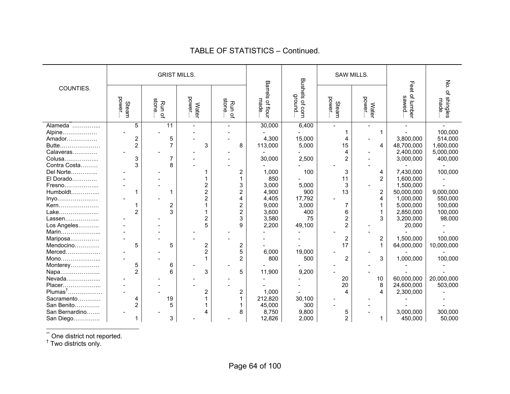|                |                 | <b>GRIST MILLS.</b> |                         |                         |                               |                                    | SAW MILLS.      |                         |                          | $\mathop{\mathsf{S}}\nolimits$ |
|----------------|-----------------|---------------------|-------------------------|-------------------------|-------------------------------|------------------------------------|-----------------|-------------------------|--------------------------|--------------------------------|
| COUNTIES.      | power.<br>Steam | stone<br>Run of     | power<br><b>Water</b>   | stone<br>Run of         | Barrels<br>made<br>i of flour | <b>Bushels</b><br>ground<br>of com | power.<br>Steam | power<br><b>Water</b>   | Feet of lumber<br>sawed. | of shingles<br>made            |
| Alameda        | 5               | 11                  |                         |                         | 30,000                        | 6,400                              |                 | $\overline{a}$          |                          |                                |
| Alpine         |                 |                     |                         |                         |                               |                                    |                 |                         |                          | 100,000                        |
| Amador         | $\overline{2}$  | 5                   |                         |                         | 4,300                         | 15,000                             | 4               |                         | 3,800,000                | 514,000                        |
| Butte          | $\overline{2}$  | 7                   | 3                       | 8                       | 113,000                       | 5,000                              | 15              | 4                       | 48,700,000               | 1,600,000                      |
| Calaveras      |                 |                     |                         |                         |                               |                                    | 4               |                         | 2,400,000                | 5,000,000                      |
| Colusa         | 3               | 7                   |                         |                         | 30,000                        | 2,500                              | $\overline{c}$  |                         | 3,000,000                | 400,000                        |
| Contra Costa   | 3               | 8                   |                         |                         |                               |                                    |                 |                         |                          |                                |
| Del Norte      |                 |                     |                         | 2                       | 1,000                         | 100                                | 3               | 4                       | 7,430,000                | 100,000                        |
| El Dorado      |                 |                     |                         | 1                       | 850                           |                                    | 11              | $\overline{2}$          | 1,600,000                |                                |
| Fresno         |                 |                     |                         | 3                       | 3,000                         | 5,000                              | 3               |                         | 1,500,000                |                                |
| Humboldt       |                 |                     | $\overline{2}$          | $\overline{c}$          | 4,900                         | 900                                | 13              | 2                       | 50,000,000               | 9,000,000                      |
| Inyo           |                 |                     | $\overline{2}$          | 4                       | 4,405                         | 17,792                             |                 | $\overline{\mathbf{4}}$ | 1,000,000                | 550,000                        |
| Kern           |                 | 2                   |                         | $\overline{\mathbf{c}}$ | 9,000                         | 3,000                              | 7               |                         | 5,000,000                | 100,000                        |
| Lake           | $\overline{2}$  | 3                   |                         | $\overline{2}$          | 3,600                         | 400                                | 6               | $\mathbf 1$             | 2,850,000                | 100,000                        |
| Lassen         |                 |                     |                         | 3                       | 3,580                         | 75                                 | $\overline{c}$  | 3                       | 3,200,000                | 98,000                         |
| Los Angeles    |                 |                     | 5                       | 9                       | 2,200                         | 49,100                             | $\overline{2}$  |                         | 20,000                   |                                |
| Marin          |                 |                     |                         |                         |                               |                                    |                 |                         |                          |                                |
| Mariposa       |                 |                     |                         |                         |                               |                                    | 2               | $\boldsymbol{2}$        | 1,500,000                | 100,000                        |
| Mendocino      | 5               | 5                   | $\overline{\mathbf{c}}$ | 2                       |                               |                                    | 17              |                         | 64,000,000               | 10,000,000                     |
| Merced         |                 |                     | $\overline{2}$          | 5                       | 6,000                         | 19,000                             |                 |                         |                          |                                |
| Mono           |                 |                     |                         | $\overline{2}$          | 800                           | 500                                | $\overline{2}$  | 3                       | 1,000,000                | 100,000                        |
| Monterey       | 5               | 6                   |                         |                         |                               |                                    |                 |                         |                          |                                |
| Napa           | $\overline{2}$  | 6                   | 3                       | 5                       | 11,900                        | 9,200                              |                 |                         |                          |                                |
| Nevada         |                 |                     |                         |                         |                               |                                    | 20              | 10                      | 60,000,000               | 20,000,000                     |
| Placer         |                 |                     |                         |                         |                               |                                    | 20              | 8                       | 24,600,000               | 503,000                        |
| $Plumas†$      |                 |                     | 2                       | 2                       | 1,000                         |                                    | 4               | 4                       | 2,300,000                |                                |
| Sacramento     | 4               | 19                  |                         | 1                       | 212,820                       | 30,100                             |                 |                         |                          |                                |
| San Benito     | $\overline{2}$  | 5                   |                         |                         | 45,000                        | 300                                |                 |                         |                          |                                |
| San Bernardino |                 |                     |                         | 8                       | 8,750                         | 9,800                              | 5               |                         | 3,000,000                | 300,000                        |
| San Diego      | 1               | 3                   |                         |                         | 12,826                        | 2,000                              | $\overline{2}$  | 1                       | 450,000                  | 50,000                         |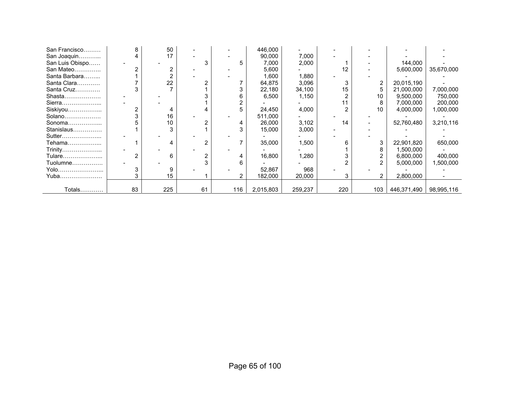| San Francisco   | 8  | 50  |    |     | 446,000   |         |     |     |             |            |
|-----------------|----|-----|----|-----|-----------|---------|-----|-----|-------------|------------|
| San Joaquin     |    | 17  |    |     | 90,000    | 7,000   |     |     |             |            |
| San Luis Obispo |    |     |    |     | 7,000     | 2,000   |     |     | 144,000     |            |
| San Mateo       |    |     |    |     | 5,600     |         | 12  |     | 5,600,000   | 35,670,000 |
| Santa Barbara   |    |     |    |     | 1,600     | 1,880   |     |     |             |            |
| Santa Clara     |    | 22  |    |     | 64,875    | 3,096   | 3   |     | 20,015,190  |            |
| Santa Cruz      |    |     |    |     | 22,180    | 34,100  | 15  |     | 21,000,000  | 7,000,000  |
| Shasta          |    |     |    |     | 6,500     | 1,150   |     | 10  | 9,500,000   | 750,000    |
| Sierra          |    |     |    |     |           |         | 11  | 8   | 7,000,000   | 200,000    |
| Siskiyou        |    |     |    |     | 24,450    | 4,000   | 2   | 10  | 4,000,000   | 1,000,000  |
| Solano          |    | 16  |    |     | 511,000   |         |     |     |             |            |
| Sonoma          |    | 10  |    |     | 26,000    | 3,102   | 14  |     | 52,760,480  | 3,210,116  |
| Stanislaus      |    |     |    |     | 15,000    | 3,000   |     |     |             |            |
| Sutter          |    |     |    |     |           |         |     |     |             |            |
| Tehama          |    |     |    |     | 35,000    | 1,500   |     |     | 22,901,820  | 650,000    |
| Trinity         |    |     |    |     |           |         |     | 8   | 1,500,000   |            |
| Tulare…………………   |    | 6   |    |     | 16,800    | 1,280   |     |     | 6,800,000   | 400,000    |
| Tuolumne        |    |     |    |     |           |         |     |     | 5,000,000   | 1,500,000  |
| Yolo            |    |     |    |     | 52,867    | 968     |     |     |             |            |
| Yuba            |    | 15  |    |     | 182,000   | 20,000  | 3   |     | 2,800,000   |            |
|                 |    |     |    |     |           |         |     |     |             |            |
| Totals          | 83 | 225 | 61 | 116 | 2,015,803 | 259,237 | 220 | 103 | 446,371,490 | 98,995,116 |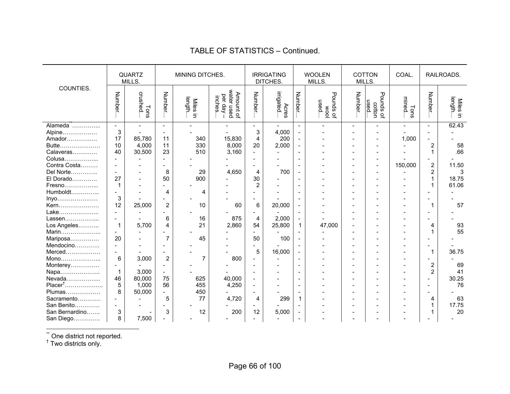|                                                              |                                                         | QUARTZ<br>MILLS.                  |                                     | MINING DITCHES.                    |                                                |                                     | <b>IRRIGATING</b><br>DITCHES.                     |                                                      | <b>WOOLEN</b><br>MILLS.  |        | <b>COTTON</b><br>MILLS.        | COAL.         |                                                                                      | RAILROADS.                   |
|--------------------------------------------------------------|---------------------------------------------------------|-----------------------------------|-------------------------------------|------------------------------------|------------------------------------------------|-------------------------------------|---------------------------------------------------|------------------------------------------------------|--------------------------|--------|--------------------------------|---------------|--------------------------------------------------------------------------------------|------------------------------|
| COUNTIES.                                                    | <b>Number</b>                                           | crushed<br>Tons                   | Number                              | length<br><b>Miles</b><br>$\equiv$ | Amount of<br>water used<br>per day –<br>inches | <b>Number</b>                       | irrigated<br>Acres                                | Number                                               | pow<br>Jo spunod<br>used | Number | Pounds of<br>Pounds of<br>used | mined<br>Tons | Number.                                                                              | Miles in<br>Iength           |
| Alpine<br>Amador<br>Butte<br>Calaveras<br>Colusa             | $\blacksquare$<br>3<br>17<br>10<br>40<br>$\overline{a}$ | 85,780<br>4,000<br>30,500         | 11<br>11<br>23                      | 340<br>330<br>510                  | 15,830<br>8,000<br>3,160                       | 3<br>$\overline{4}$<br>20           | 4,000<br>200<br>2,000<br>$\overline{\phantom{0}}$ |                                                      |                          |        |                                | 1,000         | $\blacksquare$<br>$\blacksquare$<br>$\blacksquare$<br>$\overline{2}$<br>$\mathbf{1}$ | 62.43<br>58<br>.66           |
| Contra Costa<br>Del Norte<br>El Dorado<br>Fresno<br>Humboldt | $\blacksquare$<br>27<br>$\mathbf 1$<br>$\overline{a}$   |                                   | 8<br>50<br>4                        | 29<br>900<br>4                     | 4,650                                          | 4<br>30<br>$\overline{2}$           | 700                                               | $\overline{\phantom{a}}$<br>$\sim$<br>$\blacksquare$ |                          |        | $\blacksquare$                 | 150,000       | $\sqrt{2}$<br>2<br>1<br>$\mathbf{1}$<br>$\overline{\phantom{a}}$                     | 11.50<br>3<br>18.75<br>61.06 |
| Inyo<br>Kern<br>Lake                                         | 3<br>12                                                 | 25,000                            | $\overline{\mathbf{c}}$             | 10                                 | 60                                             | 6<br>÷                              | 20,000                                            | $\blacksquare$<br>$\blacksquare$                     |                          |        |                                |               | $\blacksquare$<br>1<br>$\overline{\phantom{a}}$                                      | 57                           |
| Lassen<br>Los Angeles<br>Marin                               | $\mathbf 1$                                             | 5,700                             | 6<br>4                              | 16<br>21                           | 875<br>2,860                                   | 4<br>54                             | 2,000<br>25,800                                   | $\mathbf{1}$                                         | 47,000                   |        |                                |               | $\overline{\phantom{a}}$<br>4<br>1                                                   | 93<br>55                     |
| Mariposa<br>Mendocino<br>Merced<br>Mono                      | 20<br>$\overline{\phantom{a}}$<br>$\sim$<br>6           | 3,000                             | $\overline{7}$<br>$\overline{2}$    | 45<br>$\overline{7}$               | 800                                            | 50<br>$\overline{\phantom{0}}$<br>5 | 100<br>16,000                                     |                                                      |                          |        |                                |               | $\overline{\phantom{0}}$<br>$\overline{\phantom{a}}$<br>$\mathbf{1}$                 | 36.75                        |
| Monterey<br>Napa<br>Nevada                                   | $\sim$<br>$\mathbf 1$<br>46                             | 3,000<br>80,000                   | 75                                  | 625                                | 40,000                                         | $\overline{a}$                      |                                                   | $\sim$<br>$\sim$                                     |                          |        |                                |               | $\blacksquare$<br>$\overline{2}$<br>$\overline{2}$<br>$\overline{a}$                 | 69<br>41<br>30.25            |
| Placer <sup>†</sup><br>Plumas<br>Sacramento                  | 5<br>8                                                  | 1,000<br>50,000                   | 56<br>$\overline{\phantom{0}}$<br>5 | 455<br>450<br>77                   | 4,250<br>4,720                                 | $\overline{\phantom{a}}$<br>÷<br>4  | 299                                               | $\overline{a}$<br>$\blacksquare$<br>1                |                          |        |                                |               | $\sim$<br>$\blacksquare$<br>4                                                        | 76<br>63                     |
| San Benito<br>San Bernardino<br>San Diego                    | 3<br>8                                                  | $\overline{\phantom{a}}$<br>7,500 | 3                                   | 12                                 | 200                                            | $\overline{a}$<br>12                | 5,000                                             | $\overline{\phantom{0}}$                             |                          |        |                                |               | $\mathbf{1}$                                                                         | 17.75<br>20                  |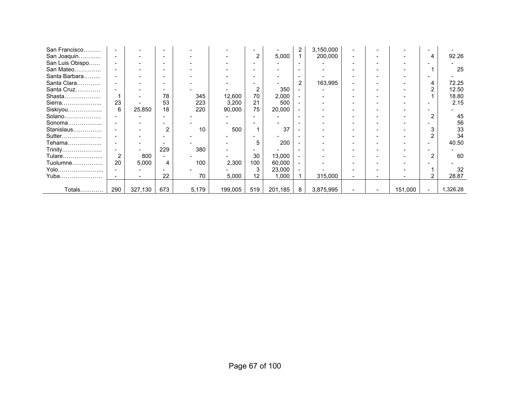| San Francisco   |                |         |                          |       |         |                |         | 2                        | 3,150,000 |  |         |                |          |
|-----------------|----------------|---------|--------------------------|-------|---------|----------------|---------|--------------------------|-----------|--|---------|----------------|----------|
| San Joaquin     |                |         | $\overline{\phantom{a}}$ |       |         | $\overline{2}$ | 5,000   |                          | 200,000   |  |         |                | 92.26    |
| San Luis Obispo |                |         | $\overline{\phantom{0}}$ |       |         |                |         | $\overline{\phantom{0}}$ |           |  |         |                |          |
| San Mateo       |                |         |                          |       |         |                |         |                          |           |  |         |                | 25       |
| Santa Barbara   |                |         |                          |       |         |                |         | $\overline{\phantom{0}}$ |           |  |         |                |          |
| Santa Clara     |                |         |                          |       |         |                |         | 2                        | 163,995   |  |         |                | 72.25    |
| Santa Cruz      |                |         |                          |       |         | 2              | 350     |                          |           |  |         |                | 12.50    |
| Shasta          |                |         | 78                       | 345   | 12,600  | 70             | 2,000   |                          |           |  |         |                | 18.80    |
| Sierra          | 23             |         | 53                       | 223   | 3,200   | 21             | 500     |                          |           |  |         |                | 2.15     |
| Siskiyou        | 6              | 25,850  | 18                       | 220   | 90,000  | 75             | 20,000  |                          |           |  |         |                |          |
| Solano          |                |         |                          |       |         |                |         | $\overline{\phantom{0}}$ |           |  |         |                | 45       |
| Sonoma          |                |         |                          |       |         |                |         |                          |           |  |         |                | 56       |
| Stanislaus      |                |         | 2                        | 10    | 500     | 1              | 37      |                          |           |  |         |                | 33       |
| Sutter          |                |         |                          |       |         |                |         |                          |           |  |         |                | 34       |
| Tehama          |                |         |                          |       |         | 5              | 200     |                          |           |  |         |                | 40.50    |
| Trinity         |                |         | 229                      | 380   |         |                |         |                          |           |  |         |                |          |
| Tulare          | $\overline{2}$ | 800     |                          |       |         | 30             | 13,000  |                          |           |  |         |                | 60       |
| Tuolumne        | 20             | 5,000   | 4                        | 100   | 2,300   | 100            | 60,000  |                          |           |  |         |                |          |
| Yolo            |                |         |                          |       |         | 3              | 23,000  |                          |           |  |         |                | 32       |
| Yuba            |                |         | 22                       | 70    | 5,000   | 12             | 1,000   |                          | 315,000   |  |         |                | 28.87    |
|                 |                |         |                          |       |         |                |         |                          |           |  |         |                |          |
| Totals          | 290            | 327,130 | 673                      | 5,179 | 199,005 | 519            | 201,185 | 8                        | 3,875,995 |  | 151,000 | $\blacksquare$ | 1,326.28 |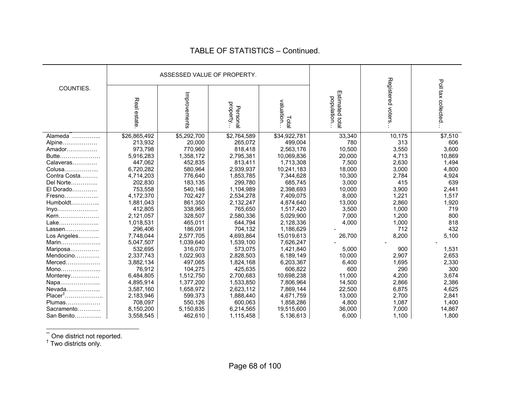|                      |              | ASSESSED VALUE OF PROPERTY. |                      |                     |                                |                   |                     |
|----------------------|--------------|-----------------------------|----------------------|---------------------|--------------------------------|-------------------|---------------------|
| COUNTIES.            |              |                             |                      |                     |                                |                   |                     |
|                      | Real estate  | Improvements                | property<br>Personal | valuation.<br>Total | Estimated total<br>population. | Registered voters | Poll tax collected  |
| Alameda <sup>"</sup> | \$26,865,492 | \$5,292,700                 | \$2,764,589          | \$34,922,781        | 33,340                         | 10,175            | $\overline{$}7,510$ |
| Alpine               | 213,932      | 20,000                      | 265,072              | 499,004             | 780                            | 313               | 606                 |
| Amador               | 973,798      | 770,960                     | 818,418              | 2,563,176           | 10,500                         | 3,550             | 3,600               |
| Butte                | 5,916,283    | 1,358,172                   | 2,795,381            | 10,069,836          | 20,000                         | 4,713             | 10,869              |
| Calaveras            | 447,062      | 452,835                     | 813,411              | 1,713,308           | 7,500                          | 2,630             | 1,494               |
| Colusa               | 6,720,282    | 580,964                     | 2,939,937            | 10,241,183          | 18,000                         | 3,000             | 4,800               |
| Contra Costa         | 4,714,203    | 776,640                     | 1,853,785            | 7,344,628           | 10,300                         | 2,784             | 4,924               |
| Del Norte            | 202,830      | 183,135                     | 299,780              | 685,745             | 3,000                          | 415               | 639                 |
| El Dorado            | 753,558      | 540,146                     | 1,104,989            | 2,398,693           | 10,000                         | 3,900             | 2,441               |
| Fresno               | 4,172,370    | 702,427                     | 2,534,278            | 7,409,075           | 8,000                          | 1,221             | 1,517               |
| $Humboldt$           | 1,881,043    | 861,350                     | 2,132,247            | 4,874,640           | 13,000                         | 2,860             | 1,920               |
| Inyo                 | 412,805      | 338,965                     | 765,650              | 1,517,420           | 3,500                          | 1,000             | 719                 |
| Kern                 | 2,121,057    | 328,507                     | 2,580,336            | 5,029,900           | 7,000                          | 1,200             | 800                 |
| Lake                 | 1,018,531    | 465,011                     | 644,794              | 2,128,336           | 4,000                          | 1,000             | 818                 |
| Lassen               | 296,406      | 186,091                     | 704,132              | 1,186,629           |                                | 712               | 432                 |
| Los Angeles          | 7,748,044    | 2,577,705                   | 4,693,864            | 15,019,613          | 26,700                         | 8,200             | 5,100               |
| Marin                | 5,047,507    | 1,039,640                   | 1,539,100            | 7,626,247           |                                |                   |                     |
| Mariposa             | 532,695      | 316,070                     | 573,075              | 1,421,840           | 5,000                          | 900               | 1,531               |
| Mendocino            | 2,337,743    | 1,022,903                   | 2,828,503            | 6,189,149           | 10,000                         | 2,907             | 2,653               |
| Merced               | 3,882,134    | 497,065                     | 1,824,168            | 6,203,367           | 6,400                          | 1,695             | 2,330               |
| Mono                 | 76,912       | 104,275                     | 425,635              | 606,822             | 600                            | 290               | 300                 |
| Monterey             | 6,484,805    | 1,512,750                   | 2,700,683            | 10,698,238          | 11,000                         | 4,200             | 3,674               |
| Napa                 | 4,895,914    | 1,377,200                   | 1,533,850            | 7,806,964           | 14,500                         | 2,866             | 2,386               |
| Nevada               | 3,587,160    | 1,658,972                   | 2,623,112            | 7,869,144           | 22,500                         | 6,875             | 4,625               |
| Placer <sup>†</sup>  | 2,183,946    | 599,373                     | 1,888,440            | 4,671,759           | 13,000                         | 2,700             | 2,841               |
| Plumas               | 708,097      | 550,126                     | 600,063              | 1,858,286           | 4,800                          | 1,087             | 1,400               |
| Sacramento           | 8,150,200    | 5,150,835                   | 6,214,565            | 19,515,600          | 36,000                         | 7,000             | 14,867              |
| San Benito           | 3,558,545    | 462,610                     | 1,115,458            | 5,136,613           | 6,000                          | 1,100             | 1,800               |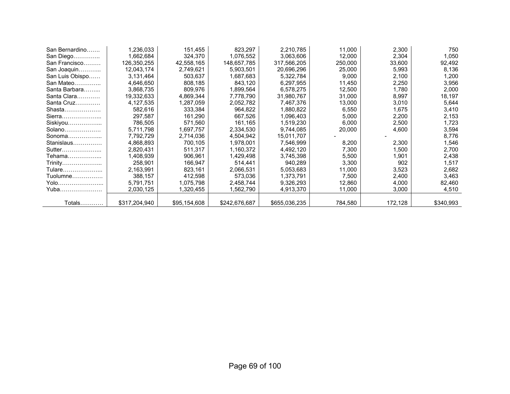| San Bernardino  | 1,236,033     | 151,455      | 823,297       | 2,210,785     | 11,000  | 2,300   | 750       |
|-----------------|---------------|--------------|---------------|---------------|---------|---------|-----------|
| San Diego       | 1,662,684     | 324,370      | 1,076,552     | 3,063,606     | 12,000  | 2,304   | 1,050     |
| San Francisco   | 126,350,255   | 42,558,165   | 148,657,785   | 317,566,205   | 250,000 | 33,600  | 92,492    |
| San Joaquin     | 12,043,174    | 2,749,621    | 5,903,501     | 20,696,296    | 25,000  | 5,993   | 8,136     |
| San Luis Obispo | 3,131,464     | 503,637      | 1,687,683     | 5,322,784     | 9,000   | 2,100   | 1,200     |
| San Mateo       | 4,646,650     | 808,185      | 843,120       | 6,297,955     | 11,450  | 2,250   | 3,956     |
| Santa Barbara   | 3,868,735     | 809,976      | 1,899,564     | 6,578,275     | 12,500  | 1,780   | 2,000     |
| Santa Clara     | 19,332,633    | 4,869,344    | 7,778,790     | 31,980,767    | 31,000  | 8,997   | 18,197    |
| Santa Cruz      | 4,127,535     | 1,287,059    | 2,052,782     | 7,467,376     | 13,000  | 3,010   | 5,644     |
| Shasta          | 582,616       | 333,384      | 964,822       | 1,880,822     | 6,550   | 1,675   | 3,410     |
| Sierra          | 297,587       | 161,290      | 667,526       | 1,096,403     | 5,000   | 2,200   | 2,153     |
| Siskiyou        | 786,505       | 571,560      | 161,165       | 1,519,230     | 6,000   | 2,500   | 1,723     |
| $Solano$        | 5,711,798     | 1,697,757    | 2,334,530     | 9,744,085     | 20,000  | 4,600   | 3,594     |
| Sonoma $\ldots$ | 7,792,729     | 2,714,036    | 4,504,942     | 15,011,707    |         |         | 8,776     |
| Stanislaus      | 4,868,893     | 700,105      | 1,978,001     | 7,546,999     | 8,200   | 2,300   | 1,546     |
| Sutter          | 2,820,431     | 511,317      | 1,160,372     | 4,492,120     | 7,300   | 1,500   | 2,700     |
| Tehama          | 1,408,939     | 906,961      | 1,429,498     | 3,745,398     | 5,500   | 1,901   | 2,438     |
| Trinity         | 258,901       | 166,947      | 514,441       | 940,289       | 3,300   | 902     | 1,517     |
| Tulare          | 2,163,991     | 823,161      | 2,066,531     | 5,053,683     | 11,000  | 3,523   | 2,682     |
| $Tuolumne$      | 388,157       | 412,598      | 573,036       | 1,373,791     | 7,500   | 2,400   | 3,463     |
| Yolo            | 5,791,751     | 1,075,798    | 2,458,744     | 9,326,293     | 12,860  | 4,000   | 82,460    |
| Yuba            | 2,030,125     | 1,320,455    | .562,790 ا    | 4,913,370     | 11,000  | 3,000   | 4,510     |
|                 |               |              |               |               |         |         |           |
| <b>Totals</b>   | \$317,204,940 | \$95,154,608 | \$242,676,687 | \$655,036,235 | 784,580 | 172,128 | \$340,993 |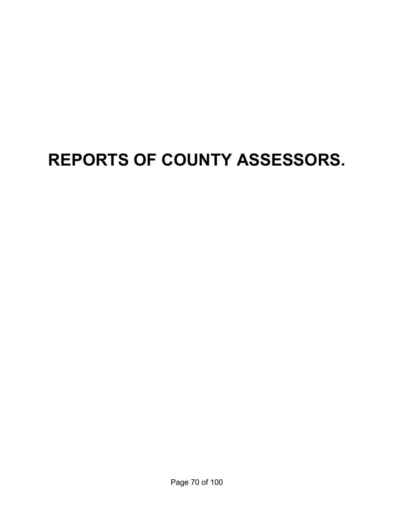# **REPORTS OF COUNTY ASSESSORS.**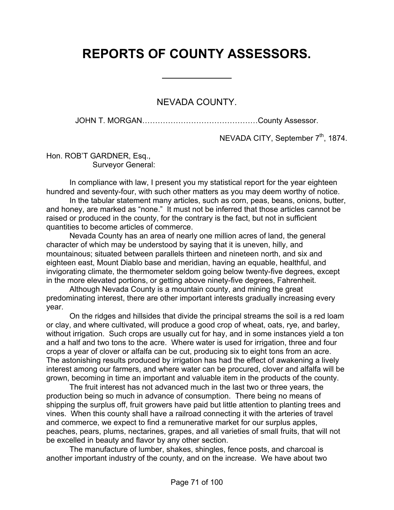## **REPORTS OF COUNTY ASSESSORS.**

 $\overline{a}$ 

NEVADA COUNTY.

JOHN T. MORGAN………………………………………County Assessor.

NEVADA CITY, September 7<sup>th</sup>, 1874.

Hon. ROB'T GARDNER, Esq., Surveyor General:

 In compliance with law, I present you my statistical report for the year eighteen hundred and seventy-four, with such other matters as you may deem worthy of notice.

 In the tabular statement many articles, such as corn, peas, beans, onions, butter, and honey, are marked as "none." It must not be inferred that those articles cannot be raised or produced in the county, for the contrary is the fact, but not in sufficient quantities to become articles of commerce.

 Nevada County has an area of nearly one million acres of land, the general character of which may be understood by saying that it is uneven, hilly, and mountainous; situated between parallels thirteen and nineteen north, and six and eighteen east, Mount Diablo base and meridian, having an equable, healthful, and invigorating climate, the thermometer seldom going below twenty-five degrees, except in the more elevated portions, or getting above ninety-five degrees, Fahrenheit.

 Although Nevada County is a mountain county, and mining the great predominating interest, there are other important interests gradually increasing every year.

 On the ridges and hillsides that divide the principal streams the soil is a red loam or clay, and where cultivated, will produce a good crop of wheat, oats, rye, and barley, without irrigation. Such crops are usually cut for hay, and in some instances yield a ton and a half and two tons to the acre. Where water is used for irrigation, three and four crops a year of clover or alfalfa can be cut, producing six to eight tons from an acre. The astonishing results produced by irrigation has had the effect of awakening a lively interest among our farmers, and where water can be procured, clover and alfalfa will be grown, becoming in time an important and valuable item in the products of the county.

 The fruit interest has not advanced much in the last two or three years, the production being so much in advance of consumption. There being no means of shipping the surplus off, fruit growers have paid but little attention to planting trees and vines. When this county shall have a railroad connecting it with the arteries of travel and commerce, we expect to find a remunerative market for our surplus apples, peaches, pears, plums, nectarines, grapes, and all varieties of small fruits, that will not be excelled in beauty and flavor by any other section.

 The manufacture of lumber, shakes, shingles, fence posts, and charcoal is another important industry of the county, and on the increase. We have about two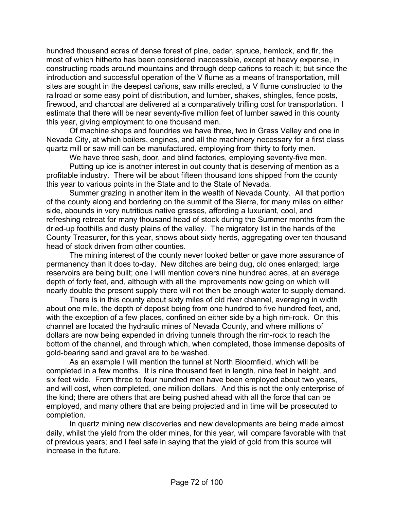hundred thousand acres of dense forest of pine, cedar, spruce, hemlock, and fir, the most of which hitherto has been considered inaccessible, except at heavy expense, in constructing roads around mountains and through deep cañons to reach it; but since the introduction and successful operation of the V flume as a means of transportation, mill sites are sought in the deepest cañons, saw mills erected, a V flume constructed to the railroad or some easy point of distribution, and lumber, shakes, shingles, fence posts, firewood, and charcoal are delivered at a comparatively trifling cost for transportation. I estimate that there will be near seventy-five million feet of lumber sawed in this county this year, giving employment to one thousand men.

 Of machine shops and foundries we have three, two in Grass Valley and one in Nevada City, at which boilers, engines, and all the machinery necessary for a first class quartz mill or saw mill can be manufactured, employing from thirty to forty men.

We have three sash, door, and blind factories, employing seventy-five men.

 Putting up ice is another interest in out county that is deserving of mention as a profitable industry. There will be about fifteen thousand tons shipped from the county this year to various points in the State and to the State of Nevada.

 Summer grazing in another item in the wealth of Nevada County. All that portion of the county along and bordering on the summit of the Sierra, for many miles on either side, abounds in very nutritious native grasses, affording a luxuriant, cool, and refreshing retreat for many thousand head of stock during the Summer months from the dried-up foothills and dusty plains of the valley. The migratory list in the hands of the County Treasurer, for this year, shows about sixty herds, aggregating over ten thousand head of stock driven from other counties.

 The mining interest of the county never looked better or gave more assurance of permanency than it does to-day. New ditches are being dug, old ones enlarged; large reservoirs are being built; one I will mention covers nine hundred acres, at an average depth of forty feet, and, although with all the improvements now going on which will nearly double the present supply there will not then be enough water to supply demand.

 There is in this county about sixty miles of old river channel, averaging in width about one mile, the depth of deposit being from one hundred to five hundred feet, and, with the exception of a few places, confined on either side by a high rim-rock. On this channel are located the hydraulic mines of Nevada County, and where millions of dollars are now being expended in driving tunnels through the rim-rock to reach the bottom of the channel, and through which, when completed, those immense deposits of gold-bearing sand and gravel are to be washed.

 As an example I will mention the tunnel at North Bloomfield, which will be completed in a few months. It is nine thousand feet in length, nine feet in height, and six feet wide. From three to four hundred men have been employed about two years, and will cost, when completed, one million dollars. And this is not the only enterprise of the kind; there are others that are being pushed ahead with all the force that can be employed, and many others that are being projected and in time will be prosecuted to completion.

 In quartz mining new discoveries and new developments are being made almost daily, whilst the yield from the older mines, for this year, will compare favorable with that of previous years; and I feel safe in saying that the yield of gold from this source will increase in the future.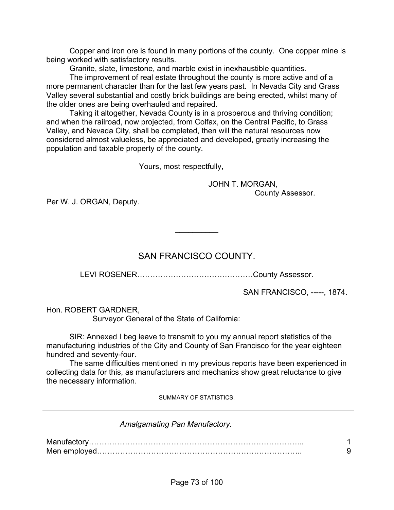Copper and iron ore is found in many portions of the county. One copper mine is being worked with satisfactory results.

Granite, slate, limestone, and marble exist in inexhaustible quantities.

 The improvement of real estate throughout the county is more active and of a more permanent character than for the last few years past. In Nevada City and Grass Valley several substantial and costly brick buildings are being erected, whilst many of the older ones are being overhauled and repaired.

 Taking it altogether, Nevada County is in a prosperous and thriving condition; and when the railroad, now projected, from Colfax, on the Central Pacific, to Grass Valley, and Nevada City, shall be completed, then will the natural resources now considered almost valueless, be appreciated and developed, greatly increasing the population and taxable property of the county.

Yours, most respectfully,

 JOHN T. MORGAN, County Assessor.

Per W. J. ORGAN, Deputy.

# SAN FRANCISCO COUNTY.

 $\frac{1}{2}$ 

LEVI ROSENER………………………………………County Assessor.

SAN FRANCISCO, -----, 1874.

Hon. ROBERT GARDNER,

Surveyor General of the State of California:

 SIR: Annexed I beg leave to transmit to you my annual report statistics of the manufacturing industries of the City and County of San Francisco for the year eighteen hundred and seventy-four.

 The same difficulties mentioned in my previous reports have been experienced in collecting data for this, as manufacturers and mechanics show great reluctance to give the necessary information.

SUMMARY OF STATISTICS.

| <b>Amalgamating Pan Manufactory.</b> |  |
|--------------------------------------|--|
|                                      |  |
|                                      |  |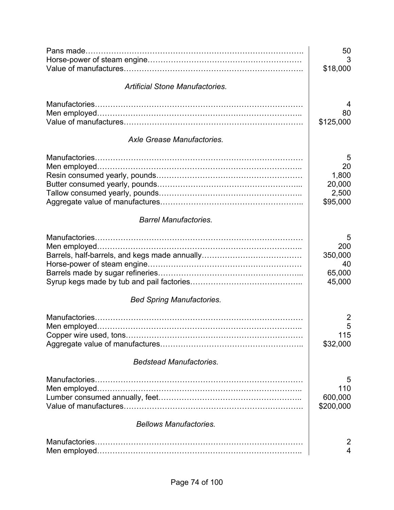|                                        | 50<br>3<br>\$18,000     |
|----------------------------------------|-------------------------|
|                                        |                         |
| <b>Artificial Stone Manufactories.</b> |                         |
|                                        | 4                       |
|                                        | 80                      |
|                                        | \$125,000               |
| Axle Grease Manufactories.             |                         |
|                                        | 5                       |
|                                        | 20                      |
|                                        | 1,800                   |
|                                        | 20,000                  |
|                                        | 2,500                   |
|                                        | \$95,000                |
| <b>Barrel Manufactories.</b>           |                         |
|                                        | 5                       |
|                                        | 200                     |
|                                        | 350,000                 |
|                                        | 40                      |
|                                        | 65,000                  |
|                                        | 45,000                  |
| <b>Bed Spring Manufactories.</b>       |                         |
|                                        | $\overline{2}$          |
|                                        | 5                       |
|                                        | 115                     |
|                                        | \$32,000                |
| <b>Bedstead Manufactories.</b>         |                         |
|                                        | 5                       |
|                                        | 110                     |
|                                        | 600,000<br>\$200,000    |
| <b>Bellows Manufactories.</b>          |                         |
|                                        | $\overline{2}$          |
|                                        | $\overline{\mathbf{4}}$ |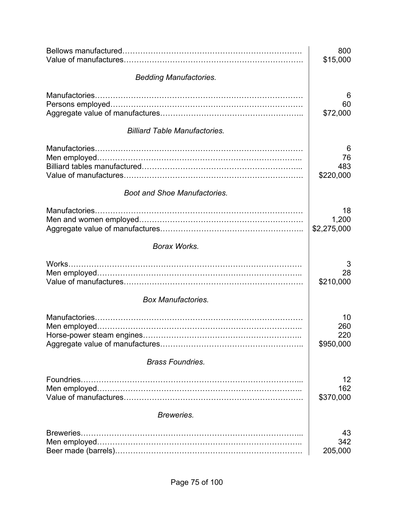|                                      | 800<br>\$15,000               |
|--------------------------------------|-------------------------------|
| <b>Bedding Manufactories.</b>        |                               |
|                                      | 6<br>60<br>\$72,000           |
| <b>Billiard Table Manufactories.</b> |                               |
|                                      | 6<br>76<br>483<br>\$220,000   |
| <b>Boot and Shoe Manufactories.</b>  |                               |
|                                      | 18<br>1,200<br>\$2,275,000    |
| Borax Works.                         |                               |
| Works.                               | 3<br>28<br>\$210,000          |
| <b>Box Manufactories.</b>            |                               |
|                                      | 10<br>260<br>220<br>\$950,000 |
| <b>Brass Foundries.</b>              |                               |
|                                      | 12<br>162<br>\$370,000        |
| Breweries.                           |                               |
| Breweries                            | 43<br>342<br>205,000          |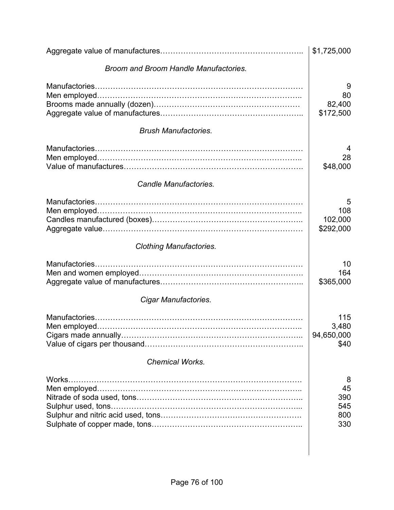|                                       | \$1,725,000                         |
|---------------------------------------|-------------------------------------|
| Broom and Broom Handle Manufactories. |                                     |
|                                       | 9<br>80<br>82,400<br>\$172,500      |
| <b>Brush Manufactories.</b>           |                                     |
|                                       | 28<br>\$48,000                      |
| Candle Manufactories.                 |                                     |
|                                       | 5<br>108<br>102,000<br>\$292,000    |
| <b>Clothing Manufactories.</b>        |                                     |
|                                       | 10<br>164<br>\$365,000              |
| Cigar Manufactories.                  |                                     |
|                                       | 115<br>3,480<br>94,650,000<br>\$40  |
| <b>Chemical Works.</b>                |                                     |
| Works.                                | 8<br>45<br>390<br>545<br>800<br>330 |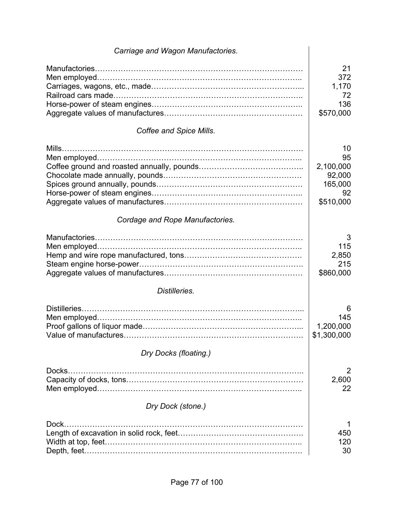| Carriage and Wagon Manufactories. |                                                               |
|-----------------------------------|---------------------------------------------------------------|
|                                   | 21<br>372<br>1,170<br>72<br>136<br>\$570,000                  |
| Coffee and Spice Mills.           |                                                               |
|                                   | 10<br>95<br>2,100,000<br>92,000<br>165,000<br>92<br>\$510,000 |
| Cordage and Rope Manufactories.   |                                                               |
|                                   | 3<br>115<br>2,850<br>215<br>\$860,000                         |
| Distilleries.                     |                                                               |
|                                   | 6<br>145<br>1,200,000<br>\$1,300,000                          |
| Dry Docks (floating.)             |                                                               |
| Docks.                            | 2<br>2,600<br>22                                              |
| Dry Dock (stone.)                 |                                                               |
| Dock.                             | 450<br>120<br>30                                              |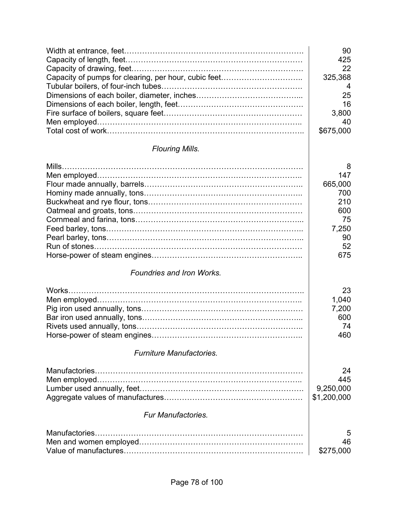| 90               |
|------------------|
| 425              |
| 22               |
| 325,368          |
| $\boldsymbol{4}$ |
| 25               |
| 16               |
| 3,800            |
| 40               |
| \$675,000        |

## *Flouring Mills.*

|                                 | 8           |
|---------------------------------|-------------|
|                                 | 147         |
|                                 | 665,000     |
|                                 | 700         |
|                                 | 210         |
|                                 | 600         |
|                                 | 75          |
|                                 | 7,250       |
|                                 | 90          |
|                                 | 52          |
|                                 | 675         |
| Foundries and Iron Works.       |             |
|                                 | 23          |
|                                 | 1,040       |
|                                 | 7,200       |
|                                 | 600         |
|                                 | 74          |
|                                 | 460         |
| <b>Furniture Manufactories.</b> |             |
|                                 | 24          |
|                                 | 445         |
|                                 | 9,250,000   |
|                                 | \$1,200,000 |
| <b>Fur Manufactories.</b>       |             |
|                                 | 5           |
|                                 | 46          |
|                                 | \$275,000   |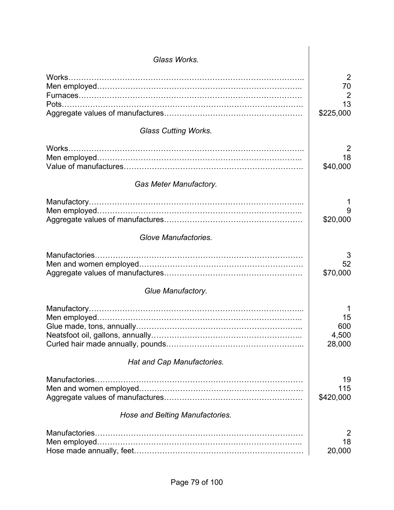| Glass Works.                    |                     |
|---------------------------------|---------------------|
|                                 |                     |
| Works.                          | 2<br>70             |
|                                 | $\overline{2}$      |
|                                 | 13                  |
|                                 | \$225,000           |
| <b>Glass Cutting Works.</b>     |                     |
| Works.                          | 2                   |
|                                 | 18                  |
|                                 | \$40,000            |
| <b>Gas Meter Manufactory.</b>   |                     |
|                                 |                     |
|                                 |                     |
|                                 | \$20,000            |
| Glove Manufactories.            |                     |
|                                 | 3<br>52<br>\$70,000 |
| Glue Manufactory.               |                     |
|                                 |                     |
|                                 | 15                  |
|                                 | 600                 |
|                                 | 4,500<br>28,000     |
| Hat and Cap Manufactories.      |                     |
|                                 | 19                  |
|                                 | 115                 |
|                                 | \$420,000           |
| Hose and Belting Manufactories. |                     |
|                                 | 2                   |
|                                 | 18                  |
|                                 | 20,000              |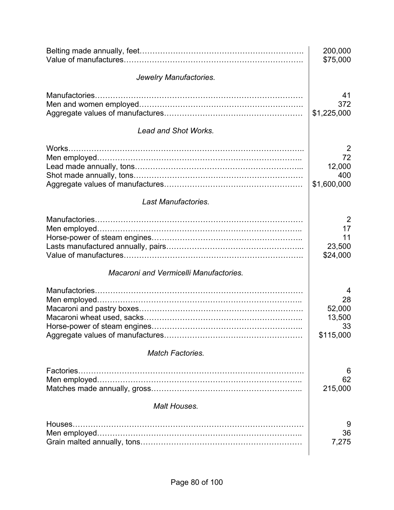|                                               | 200,000<br>\$75,000                              |
|-----------------------------------------------|--------------------------------------------------|
| Jewelry Manufactories.                        |                                                  |
|                                               | 41<br>372<br>\$1,225,000                         |
| <b>Lead and Shot Works.</b>                   |                                                  |
| Works                                         | 2<br>72<br>12,000<br>400<br>\$1,600,000          |
| Last Manufactories.                           |                                                  |
|                                               | $\overline{2}$<br>17<br>11<br>23,500<br>\$24,000 |
| <b>Macaroni and Vermicelli Manufactories.</b> |                                                  |
|                                               | 4<br>28<br>52,000<br>13,500<br>33<br>\$115,000   |
| <b>Match Factories.</b>                       |                                                  |
| Factories.                                    | 6<br>62<br>215,000                               |
| <b>Malt Houses.</b>                           |                                                  |
| Houses.                                       | 9<br>36<br>7,275                                 |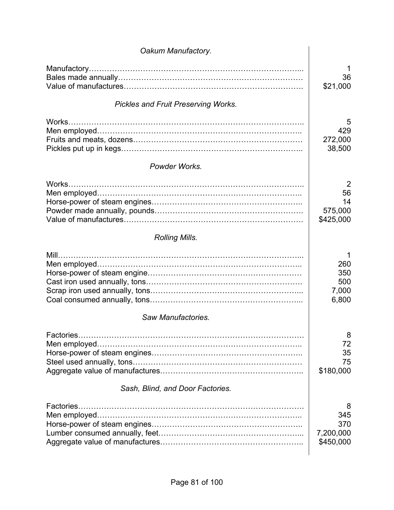| Oakum Manufactory.                                                                                                                                                                                                                                                                                                                                                                                                                                                                             |                                                    |
|------------------------------------------------------------------------------------------------------------------------------------------------------------------------------------------------------------------------------------------------------------------------------------------------------------------------------------------------------------------------------------------------------------------------------------------------------------------------------------------------|----------------------------------------------------|
|                                                                                                                                                                                                                                                                                                                                                                                                                                                                                                | 1<br>36<br>\$21,000                                |
| <b>Pickles and Fruit Preserving Works.</b>                                                                                                                                                                                                                                                                                                                                                                                                                                                     |                                                    |
|                                                                                                                                                                                                                                                                                                                                                                                                                                                                                                | 5<br>429<br>272,000<br>38,500                      |
| Powder Works.                                                                                                                                                                                                                                                                                                                                                                                                                                                                                  |                                                    |
| <b>Rolling Mills.</b>                                                                                                                                                                                                                                                                                                                                                                                                                                                                          | $\overline{2}$<br>56<br>14<br>575,000<br>\$425,000 |
|                                                                                                                                                                                                                                                                                                                                                                                                                                                                                                |                                                    |
|                                                                                                                                                                                                                                                                                                                                                                                                                                                                                                | 260<br>350<br>500<br>7,000<br>6,800                |
| Saw Manufactories.                                                                                                                                                                                                                                                                                                                                                                                                                                                                             |                                                    |
| $\label{eq:2.1} \textbf{Factories}.\textcolor{red}{\textbf{}}\textcolor{red}{\textbf{}}\textcolor{red}{\textbf{}}\textcolor{red}{\textbf{}}\textcolor{red}{\textbf{}}\textcolor{red}{\textbf{}}\textcolor{red}{\textbf{}}\textcolor{red}{\textbf{}}\textcolor{red}{\textbf{}}\textcolor{red}{\textbf{}}\textcolor{red}{\textbf{}}\textcolor{red}{\textbf{}}\textcolor{red}{\textbf{}}\textcolor{red}{\textbf{}}\textcolor{red}{\textbf{}}\textcolor{red}{\textbf{}}\textcolor{red}{\textbf{}}$ | 8<br>72<br>35<br>75<br>\$180,000                   |
| Sash, Blind, and Door Factories.                                                                                                                                                                                                                                                                                                                                                                                                                                                               |                                                    |
|                                                                                                                                                                                                                                                                                                                                                                                                                                                                                                | 8<br>345<br>370<br>7,200,000<br>\$450,000          |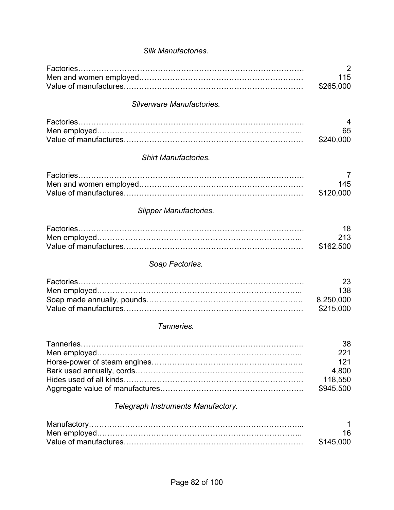| <b>Silk Manufactories.</b>         |                                                   |
|------------------------------------|---------------------------------------------------|
| Factories                          | 2<br>115<br>\$265,000                             |
| Silverware Manufactories.          |                                                   |
| Factories                          | 65<br>\$240,000                                   |
| <b>Shirt Manufactories.</b>        |                                                   |
| Factories                          | 145<br>\$120,000                                  |
| <b>Slipper Manufactories.</b>      |                                                   |
| Factories                          | 18<br>213<br>\$162,500                            |
| Soap Factories.                    |                                                   |
| Factories                          | 23<br>138<br>8,250,000<br>\$215,000               |
| Tanneries.                         |                                                   |
|                                    | 38<br>221<br>121<br>4,800<br>118,550<br>\$945,500 |
| Telegraph Instruments Manufactory. |                                                   |
|                                    | 16<br>\$145,000                                   |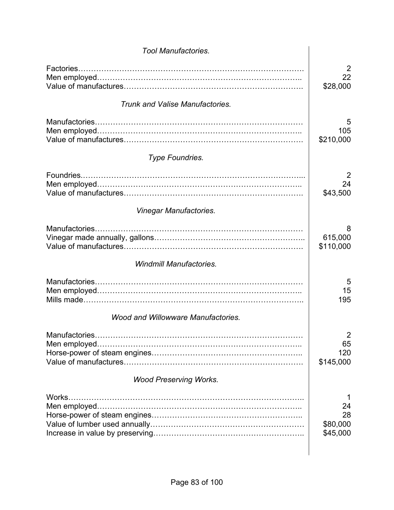| <b>Tool Manufactories.</b>                |                                          |
|-------------------------------------------|------------------------------------------|
| Factories                                 | 2<br>22<br>\$28,000                      |
| <b>Trunk and Valise Manufactories.</b>    |                                          |
|                                           | 5<br>105<br>\$210,000                    |
| <b>Type Foundries.</b>                    |                                          |
|                                           | 2<br>24<br>\$43,500                      |
| Vinegar Manufactories.                    |                                          |
| Manufactories.                            | 8<br>615,000<br>\$110,000                |
| <b>Windmill Manufactories.</b>            |                                          |
|                                           | 5<br>15<br>195                           |
| <b>Wood and Willowware Manufactories.</b> |                                          |
|                                           | $\overline{2}$<br>65<br>120<br>\$145,000 |
| <b>Wood Preserving Works.</b>             |                                          |
| Works.                                    | 24<br>28<br>\$80,000<br>\$45,000         |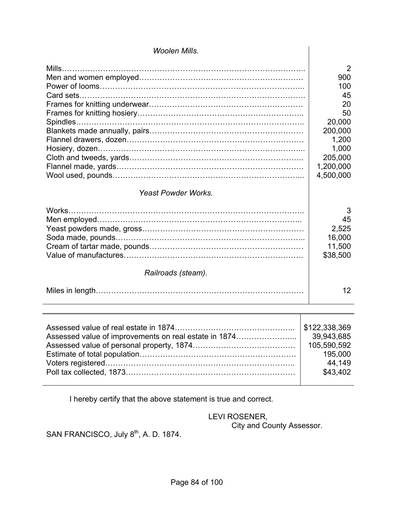| <b>Woolen Mills.</b>       |                                                     |
|----------------------------|-----------------------------------------------------|
|                            | 2<br>900                                            |
|                            | 100<br>45                                           |
|                            | 20<br>50                                            |
|                            | 20,000<br>200,000                                   |
|                            | 1,200<br>1,000<br>205,000<br>1,200,000<br>4,500,000 |
|                            |                                                     |
| <b>Yeast Powder Works.</b> |                                                     |
|                            | 3<br>45<br>2,525<br>16,000<br>11,500<br>\$38,500    |
| Railroads (steam).         |                                                     |
|                            | 12                                                  |

I hereby certify that the above statement is true and correct.

#### LEVI ROSENER, City and County Assessor.

T

SAN FRANCISCO, July 8<sup>th</sup>, A. D. 1874.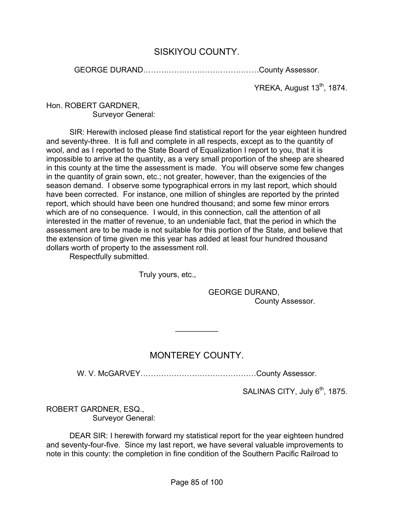## SISKIYOU COUNTY.

GEORGE DURAND………………………………………County Assessor.

YREKA, August 13<sup>th</sup>, 1874.

#### Hon. ROBERT GARDNER, Surveyor General:

 SIR: Herewith inclosed please find statistical report for the year eighteen hundred and seventy-three. It is full and complete in all respects, except as to the quantity of wool, and as I reported to the State Board of Equalization I report to you, that it is impossible to arrive at the quantity, as a very small proportion of the sheep are sheared in this county at the time the assessment is made. You will observe some few changes in the quantity of grain sown, etc.; not greater, however, than the exigencies of the season demand. I observe some typographical errors in my last report, which should have been corrected. For instance, one million of shingles are reported by the printed report, which should have been one hundred thousand; and some few minor errors which are of no consequence. I would, in this connection, call the attention of all interested in the matter of revenue, to an undeniable fact, that the period in which the assessment are to be made is not suitable for this portion of the State, and believe that the extension of time given me this year has added at least four hundred thousand dollars worth of property to the assessment roll.

Respectfully submitted.

Truly yours, etc.,

 GEORGE DURAND, County Assessor.

# MONTEREY COUNTY.

 $\frac{1}{2}$ 

W. V. McGARVEY………………………………………County Assessor.

SALINAS CITY, July  $6<sup>th</sup>$ , 1875.

ROBERT GARDNER, ESQ., Surveyor General:

 DEAR SIR: I herewith forward my statistical report for the year eighteen hundred and seventy-four-five. Since my last report, we have several valuable improvements to note in this county: the completion in fine condition of the Southern Pacific Railroad to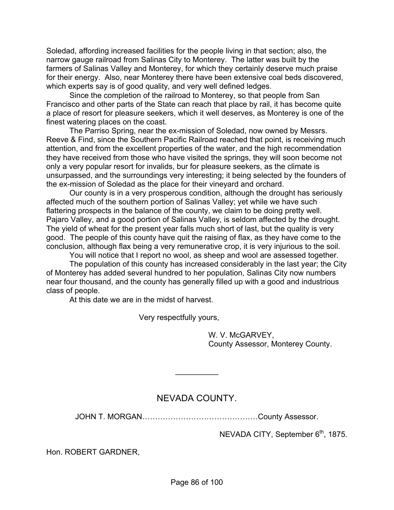Soledad, affording increased facilities for the people living in that section; also, the narrow gauge railroad from Salinas City to Monterey. The latter was built by the farmers of Salinas Valley and Monterey, for which they certainly deserve much praise for their energy. Also, near Monterey there have been extensive coal beds discovered, which experts say is of good quality, and very well defined ledges.

 Since the completion of the railroad to Monterey, so that people from San Francisco and other parts of the State can reach that place by rail, it has become quite a place of resort for pleasure seekers, which it well deserves, as Monterey is one of the finest watering places on the coast.

 The Parriso Spring, near the ex-mission of Soledad, now owned by Messrs. Reeve & Find, since the Southern Pacific Railroad reached that point, is receiving much attention, and from the excellent properties of the water, and the high recommendation they have received from those who have visited the springs, they will soon become not only a very popular resort for invalids, bur for pleasure seekers, as the climate is unsurpassed, and the surroundings very interesting; it being selected by the founders of the ex-mission of Soledad as the place for their vineyard and orchard.

 Our county is in a very prosperous condition, although the drought has seriously affected much of the southern portion of Salinas Valley; yet while we have such flattering prospects in the balance of the county, we claim to be doing pretty well. Pajaro Valley, and a good portion of Salinas Valley, is seldom affected by the drought. The yield of wheat for the present year falls much short of last, but the quality is very good. The people of this county have quit the raising of flax, as they have come to the conclusion, although flax being a very remunerative crop, it is very injurious to the soil.

You will notice that I report no wool, as sheep and wool are assessed together.

 The population of this county has increased considerably in the last year; the City of Monterey has added several hundred to her population, Salinas City now numbers near four thousand, and the county has generally filled up with a good and industrious class of people.

At this date we are in the midst of harvest.

Very respectfully yours,

 W. V. McGARVEY, County Assessor, Monterey County.

### NEVADA COUNTY.

 $\frac{1}{2}$ 

JOHN T. MORGAN………………………………………County Assessor.

NEVADA CITY, September 6<sup>th</sup>, 1875.

Hon. ROBERT GARDNER,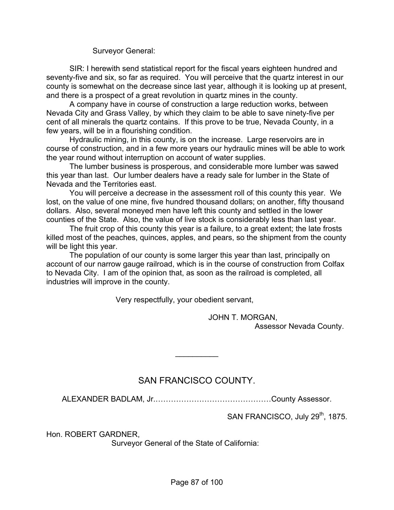Surveyor General:

 SIR: I herewith send statistical report for the fiscal years eighteen hundred and seventy-five and six, so far as required. You will perceive that the quartz interest in our county is somewhat on the decrease since last year, although it is looking up at present, and there is a prospect of a great revolution in quartz mines in the county.

 A company have in course of construction a large reduction works, between Nevada City and Grass Valley, by which they claim to be able to save ninety-five per cent of all minerals the quartz contains. If this prove to be true, Nevada County, in a few years, will be in a flourishing condition.

 Hydraulic mining, in this county, is on the increase. Large reservoirs are in course of construction, and in a few more years our hydraulic mines will be able to work the year round without interruption on account of water supplies.

 The lumber business is prosperous, and considerable more lumber was sawed this year than last. Our lumber dealers have a ready sale for lumber in the State of Nevada and the Territories east.

 You will perceive a decrease in the assessment roll of this county this year. We lost, on the value of one mine, five hundred thousand dollars; on another, fifty thousand dollars. Also, several moneyed men have left this county and settled in the lower counties of the State. Also, the value of live stock is considerably less than last year.

 The fruit crop of this county this year is a failure, to a great extent; the late frosts killed most of the peaches, quinces, apples, and pears, so the shipment from the county will be light this year.

 The population of our county is some larger this year than last, principally on account of our narrow gauge railroad, which is in the course of construction from Colfax to Nevada City. I am of the opinion that, as soon as the railroad is completed, all industries will improve in the county.

Very respectfully, your obedient servant,

 JOHN T. MORGAN, Assessor Nevada County.

## SAN FRANCISCO COUNTY.

 $\frac{1}{2}$ 

ALEXANDER BADLAM, Jr.………………………………………County Assessor.

SAN FRANCISCO, July 29<sup>th</sup>, 1875.

Hon. ROBERT GARDNER,

Surveyor General of the State of California: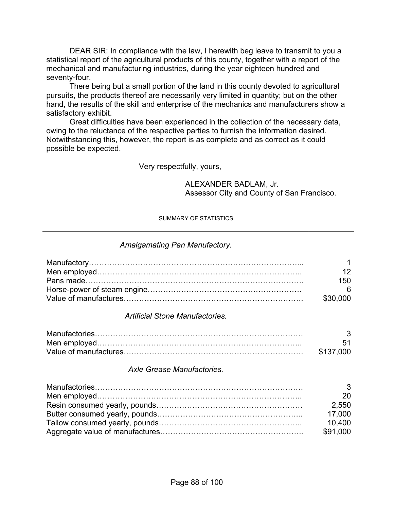DEAR SIR: In compliance with the law, I herewith beg leave to transmit to you a statistical report of the agricultural products of this county, together with a report of the mechanical and manufacturing industries, during the year eighteen hundred and seventy-four.

 There being but a small portion of the land in this county devoted to agricultural pursuits, the products thereof are necessarily very limited in quantity; but on the other hand, the results of the skill and enterprise of the mechanics and manufacturers show a satisfactory exhibit.

 Great difficulties have been experienced in the collection of the necessary data, owing to the reluctance of the respective parties to furnish the information desired. Notwithstanding this, however, the report is as complete and as correct as it could possible be expected.

Very respectfully, yours,

 ALEXANDER BADLAM, Jr. Assessor City and County of San Francisco.

#### SUMMARY OF STATISTICS.

| Amalgamating Pan Manufactory.          |                                                  |
|----------------------------------------|--------------------------------------------------|
|                                        | 12<br>150<br>6<br>\$30,000                       |
| <b>Artificial Stone Manufactories.</b> |                                                  |
|                                        | 3<br>51<br>\$137,000                             |
| Axle Grease Manufactories.             |                                                  |
|                                        | 3<br>20<br>2,550<br>17,000<br>10,400<br>\$91,000 |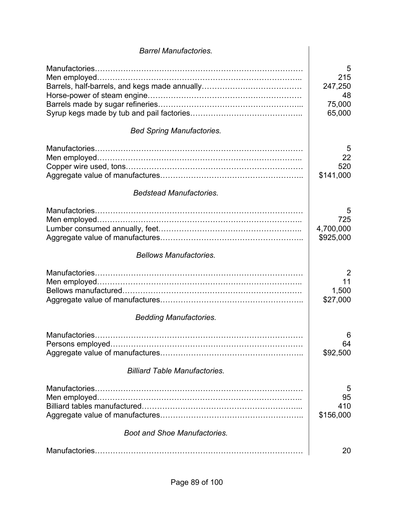| <b>Barrel Manufactories.</b>         |                                               |
|--------------------------------------|-----------------------------------------------|
|                                      | 5<br>215<br>247,250<br>48<br>75,000<br>65,000 |
| <b>Bed Spring Manufactories.</b>     |                                               |
|                                      | 5<br>22<br>520<br>\$141,000                   |
| <b>Bedstead Manufactories.</b>       |                                               |
|                                      | 5<br>725<br>4,700,000<br>\$925,000            |
| <b>Bellows Manufactories.</b>        |                                               |
|                                      | $\overline{2}$<br>11<br>1,500<br>\$27,000     |
| <b>Bedding Manufactories.</b>        |                                               |
|                                      | 6<br>64<br>\$92,500                           |
| <b>Billiard Table Manufactories.</b> |                                               |
|                                      | 5<br>95<br>410<br>\$156,000                   |
| <b>Boot and Shoe Manufactories.</b>  |                                               |
|                                      | 20                                            |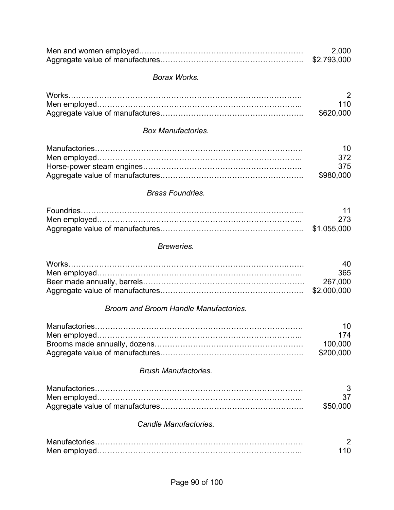|                                       | 2,000<br>\$2,793,000 |
|---------------------------------------|----------------------|
| <b>Borax Works.</b>                   |                      |
| Works.                                | 2                    |
|                                       | 110                  |
|                                       | \$620,000            |
| <b>Box Manufactories.</b>             |                      |
|                                       | 10                   |
|                                       | 372                  |
|                                       | 375                  |
|                                       | \$980,000            |
| <b>Brass Foundries.</b>               |                      |
|                                       | 11                   |
|                                       | 273                  |
|                                       | \$1,055,000          |
| Breweries.                            |                      |
| Works.                                | 40                   |
|                                       | 365                  |
|                                       | 267,000              |
|                                       | \$2,000,000          |
| Broom and Broom Handle Manufactories. |                      |
|                                       | 10                   |
| Men employed.                         | 174                  |
|                                       | 100,000              |
|                                       | \$200,000            |
| <b>Brush Manufactories.</b>           |                      |
|                                       | 3                    |
|                                       | 37                   |
|                                       | \$50,000             |
| <b>Candle Manufactories.</b>          |                      |
|                                       | 2                    |
|                                       | 110                  |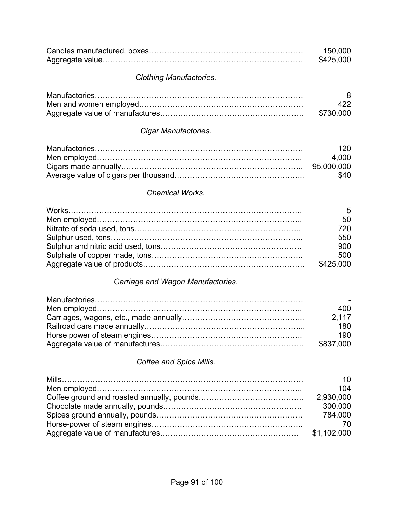|                                            | 150,000<br>\$425,000                                              |
|--------------------------------------------|-------------------------------------------------------------------|
| <b>Clothing Manufactories.</b>             |                                                                   |
| Manufactories                              | 8<br>422<br>\$730,000                                             |
| Cigar Manufactories.                       |                                                                   |
|                                            | 120<br>4,000<br>95,000,000<br>\$40                                |
| <b>Chemical Works.</b>                     |                                                                   |
| Works<br>Carriage and Wagon Manufactories. | 5<br>50<br>720<br>550<br>900<br>500<br>\$425,000                  |
| Coffee and Spice Mills.                    | 400<br>2,117<br>180<br>190<br>\$837,000                           |
|                                            | 10<br>104<br>2,930,000<br>300,000<br>784,000<br>70<br>\$1,102,000 |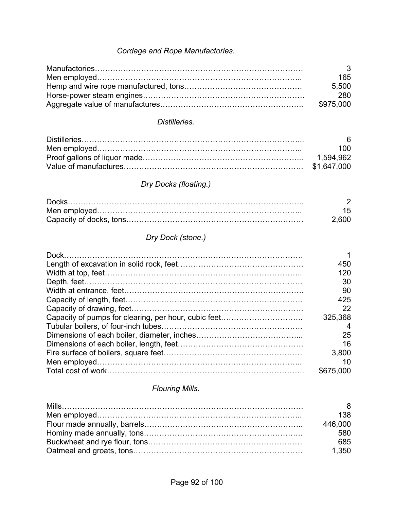| Cordage and Rope Manufactories.                      |                |
|------------------------------------------------------|----------------|
|                                                      | 3              |
|                                                      | 165            |
|                                                      | 5,500          |
|                                                      | 280            |
|                                                      | \$975,000      |
| Distilleries.                                        |                |
|                                                      | 6              |
|                                                      | 100            |
|                                                      | 1,594,962      |
|                                                      | \$1,647,000    |
| Dry Docks (floating.)                                |                |
|                                                      | $\overline{2}$ |
|                                                      | 15             |
|                                                      | 2,600          |
| Dry Dock (stone.)                                    |                |
|                                                      | 1              |
|                                                      | 450            |
|                                                      | 120            |
|                                                      | 30             |
|                                                      | 90             |
|                                                      | 425            |
|                                                      | 22             |
| Capacity of pumps for clearing, per hour, cubic feet | 325,368        |
|                                                      | 4              |
|                                                      | 25             |
|                                                      | 16             |
|                                                      | 3,800          |
|                                                      | 10             |
|                                                      | \$675,000      |
| <b>Flouring Mills.</b>                               |                |
|                                                      | 8              |
|                                                      | 138            |
|                                                      | 446,000        |
|                                                      | 580            |
|                                                      | 685            |
|                                                      | 1,350          |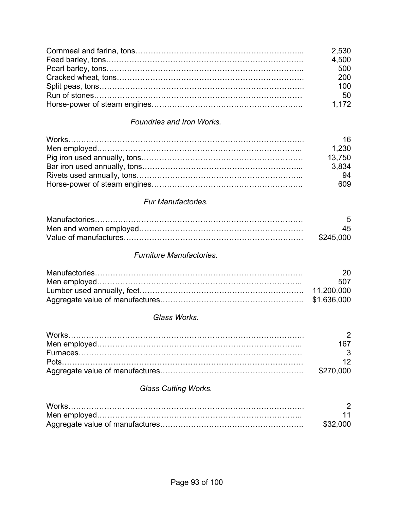|                                  | 2,530<br>4,500<br>500<br>200<br>100<br>50<br>1,172 |
|----------------------------------|----------------------------------------------------|
| <b>Foundries and Iron Works.</b> |                                                    |
| Works                            | 16<br>1,230<br>13,750<br>3,834<br>94<br>609        |
| <b>Fur Manufactories.</b>        |                                                    |
|                                  | 5<br>45<br>\$245,000                               |
| <b>Furniture Manufactories.</b>  |                                                    |
|                                  | 20<br>507<br>11,200,000<br>\$1,636,000             |
| Glass Works.                     |                                                    |
| Pots                             | $\overline{2}$<br>167<br>3<br>12<br>\$270,000      |
| <b>Glass Cutting Works.</b>      |                                                    |
| Works.                           | 2<br>11<br>\$32,000                                |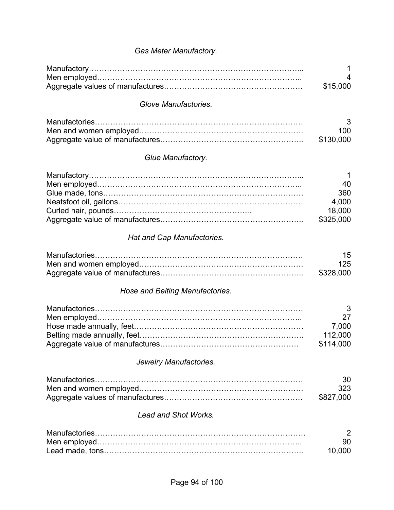| <b>Gas Meter Manufactory.</b>   |                                                |
|---------------------------------|------------------------------------------------|
|                                 | 4<br>\$15,000                                  |
| Glove Manufactories.            |                                                |
|                                 | 3<br>100<br>\$130,000                          |
| Glue Manufactory.               |                                                |
|                                 | 1<br>40<br>360<br>4,000<br>18,000<br>\$325,000 |
| Hat and Cap Manufactories.      |                                                |
|                                 | 15<br>125<br>\$328,000                         |
| Hose and Belting Manufactories. |                                                |
|                                 | 3<br>27<br>7,000<br>112,000<br>\$114,000       |
| Jewelry Manufactories.          |                                                |
| Manufactories                   | 30<br>323<br>\$827,000                         |
| <b>Lead and Shot Works.</b>     |                                                |
|                                 | 2<br>90<br>10,000                              |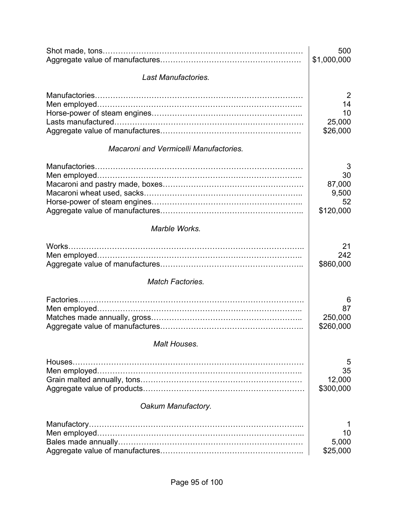|                                               | 500<br>\$1,000,000                            |
|-----------------------------------------------|-----------------------------------------------|
|                                               |                                               |
| <b>Last Manufactories.</b>                    |                                               |
|                                               | $\overline{2}$<br>14<br>10<br>25,000          |
|                                               | \$26,000                                      |
| <b>Macaroni and Vermicelli Manufactories.</b> |                                               |
|                                               | 3<br>30<br>87,000<br>9,500<br>52<br>\$120,000 |
| Marble Works.                                 |                                               |
| Works                                         | 21<br>242<br>\$860,000                        |
| <b>Match Factories.</b>                       |                                               |
|                                               | 6<br>87<br>250,000<br>\$260,000               |
| Malt Houses.                                  |                                               |
|                                               | 5<br>35<br>12,000<br>\$300,000                |
| Oakum Manufactory.                            |                                               |
| Manufactory                                   | 10<br>5,000<br>\$25,000                       |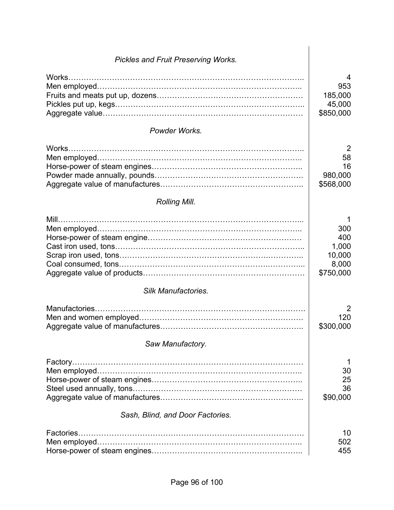| <b>Pickles and Fruit Preserving Works.</b> |                                                          |
|--------------------------------------------|----------------------------------------------------------|
|                                            | 4<br>953<br>185,000<br>45,000<br>\$850,000               |
| Powder Works.                              |                                                          |
|                                            | $\overline{2}$<br>58<br>16<br>980,000<br>\$568,000       |
| <b>Rolling Mill.</b>                       |                                                          |
| $Mill$                                     | 1<br>300<br>400<br>1,000<br>10,000<br>8,000<br>\$750,000 |
| <b>Silk Manufactories.</b>                 |                                                          |
|                                            | 2<br>120<br>\$300,000                                    |
| Saw Manufactory.                           |                                                          |
|                                            | 1<br>30<br>25<br>36<br>\$90,000                          |
| Sash, Blind, and Door Factories.           |                                                          |
|                                            | 10<br>502<br>455                                         |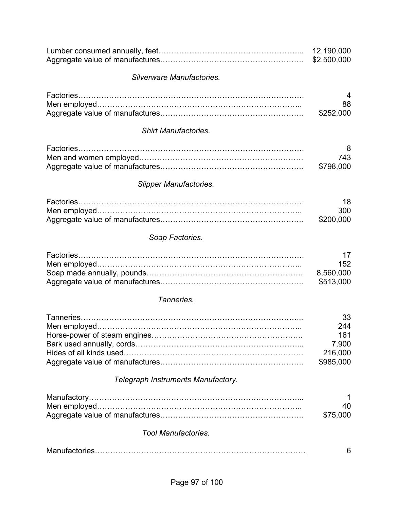|                                    | 12,190,000<br>\$2,500,000                         |
|------------------------------------|---------------------------------------------------|
| Silverware Manufactories.          |                                                   |
| Factories.                         | 4<br>88<br>\$252,000                              |
| <b>Shirt Manufactories.</b>        |                                                   |
|                                    | 8<br>743<br>\$798,000                             |
| <b>Slipper Manufactories.</b>      |                                                   |
| Factories                          | 18<br>300<br>\$200,000                            |
| Soap Factories.                    |                                                   |
|                                    | 17<br>152<br>8,560,000<br>\$513,000               |
| Tanneries.                         |                                                   |
|                                    | 33<br>244<br>161<br>7,900<br>216,000<br>\$985,000 |
| Telegraph Instruments Manufactory. |                                                   |
|                                    | 40<br>\$75,000                                    |
| <b>Tool Manufactories.</b>         |                                                   |
|                                    | 6                                                 |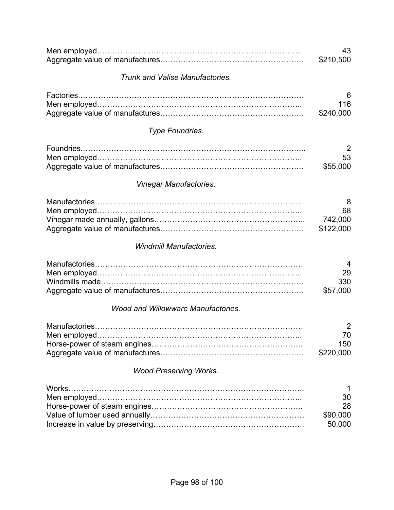|                                           | 43<br>\$210,500                 |
|-------------------------------------------|---------------------------------|
| Trunk and Valise Manufactories.           |                                 |
| Factories                                 | 6<br>116<br>\$240,000           |
| <b>Type Foundries.</b>                    |                                 |
| Foundries                                 | 2<br>53<br>\$55,000             |
| <b>Vinegar Manufactories.</b>             |                                 |
|                                           | 8<br>68<br>742,000<br>\$122,000 |
| <b>Windmill Manufactories.</b>            |                                 |
|                                           | 29<br>330<br>\$57,000           |
| <b>Wood and Willowware Manufactories.</b> |                                 |
| Men employed.                             | 2<br>70<br>150<br>\$220,000     |
| <b>Wood Preserving Works.</b>             |                                 |
| Works.                                    | 30<br>28<br>\$90,000<br>50,000  |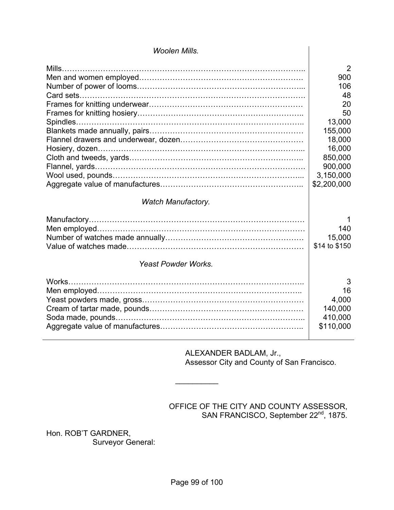| <b>Woolen Mills.</b>                                    |                                                                                                                              |
|---------------------------------------------------------|------------------------------------------------------------------------------------------------------------------------------|
|                                                         | 2<br>900<br>106<br>48<br>20<br>50<br>13,000<br>155,000<br>18,000<br>16,000<br>850,000<br>900,000<br>3,150,000<br>\$2,200,000 |
| <b>Watch Manufactory.</b><br><b>Yeast Powder Works.</b> | 140<br>15,000<br>\$14 to \$150                                                                                               |
| Works.                                                  | 3<br>16<br>4,000<br>140,000<br>410,000<br>\$110,000                                                                          |

#### ALEXANDER BADLAM, Jr., Assessor City and County of San Francisco.

### OFFICE OF THE CITY AND COUNTY ASSESSOR, SAN FRANCISCO, September 22<sup>nd</sup>, 1875.

Hon. ROB'T GARDNER, Surveyor General:  $\frac{1}{2}$